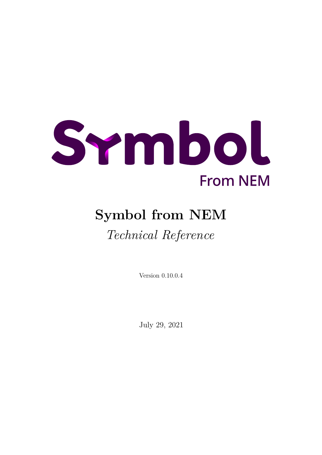

# **Symbol from NEM**

# *Technical Reference*

Version 0.10.0.4

July 29, 2021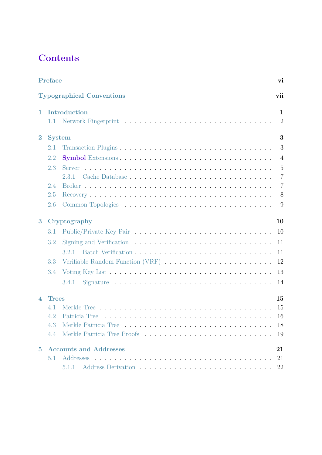# **Contents**

|                          | Preface       |                                  | vi             |
|--------------------------|---------------|----------------------------------|----------------|
|                          |               | <b>Typographical Conventions</b> | vii            |
| 1                        |               | Introduction                     | 1              |
|                          | $1.1\,$       |                                  | $\overline{2}$ |
| $\overline{2}$           | <b>System</b> |                                  | 3              |
|                          | 2.1           |                                  | 3              |
|                          | 2.2           |                                  | $\overline{4}$ |
|                          | 2.3           |                                  | $\overline{5}$ |
|                          |               |                                  | $\overline{7}$ |
|                          | 2.4           |                                  | $\overline{7}$ |
|                          | 2.5           |                                  | 8              |
|                          | 2.6           |                                  | 9              |
| 3                        |               | Cryptography                     | 10             |
|                          | 3.1           |                                  | 10             |
|                          | 3.2           |                                  | 11             |
|                          |               | 3.2.1                            | 11             |
|                          | 3.3           |                                  | 12             |
|                          | 3.4           |                                  | 13             |
|                          |               | 3.4.1                            | 14             |
| $\overline{\mathcal{A}}$ | <b>Trees</b>  |                                  | 15             |
|                          | 4.1           |                                  | 15             |
|                          | 4.2           |                                  | 16             |
|                          | 4.3           |                                  | 18             |
|                          | 4.4           |                                  | 19             |
| $\overline{5}$           |               | <b>Accounts and Addresses</b>    | 21             |
|                          | 5.1           |                                  | 21             |
|                          |               | 5.1.1                            | 22             |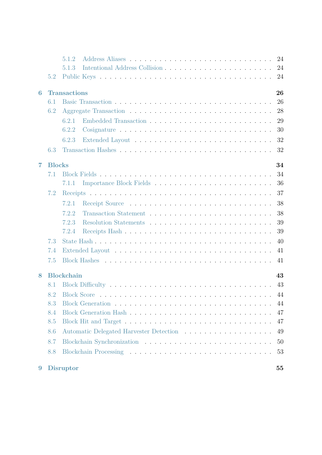|   |               | 5.1.2               |  | 24 |
|---|---------------|---------------------|--|----|
|   |               | 5.1.3               |  | 24 |
|   | 5.2           |                     |  | 24 |
| 6 |               | <b>Transactions</b> |  | 26 |
|   | 6.1           |                     |  | 26 |
|   | 6.2           |                     |  | 28 |
|   |               | 6.2.1               |  | 29 |
|   |               | 6.2.2               |  | 30 |
|   |               | 6.2.3               |  | 32 |
|   | 6.3           |                     |  | 32 |
| 7 | <b>Blocks</b> |                     |  | 34 |
|   | 7.1           |                     |  | 34 |
|   |               | 7.1.1               |  | 36 |
|   | 7.2           |                     |  | 37 |
|   |               | 7.2.1               |  | 38 |
|   |               | 7.2.2               |  | 38 |
|   |               | 7.2.3               |  | 39 |
|   |               | 7.2.4               |  | 39 |
|   | 7.3           |                     |  | 40 |
|   | 7.4           |                     |  | 41 |
|   | 7.5           |                     |  | 41 |
| 8 |               | <b>Blockchain</b>   |  | 43 |
|   | 8.1           |                     |  | 43 |
|   | 8.2           |                     |  | 44 |
|   | 8.3           |                     |  | 44 |
|   | 8.4           |                     |  | 47 |
|   | 8.5           |                     |  | 47 |
|   | 8.6           |                     |  | 49 |
|   | 8.7           |                     |  | 50 |
|   | 8.8           |                     |  | 53 |
| 9 |               | <b>Disruptor</b>    |  | 55 |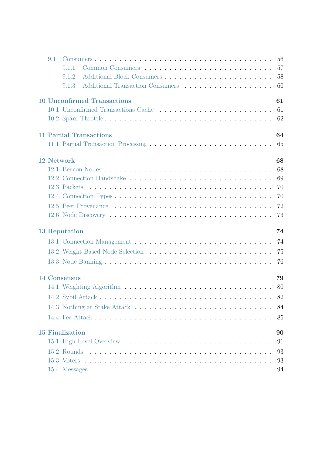| 9.1 |                                    |  |  |  |  |  |  |  |  |  |  |  |  |  |  |    |
|-----|------------------------------------|--|--|--|--|--|--|--|--|--|--|--|--|--|--|----|
|     | 9.1.1                              |  |  |  |  |  |  |  |  |  |  |  |  |  |  |    |
|     | 9.1.2                              |  |  |  |  |  |  |  |  |  |  |  |  |  |  | 58 |
|     | 9.1.3                              |  |  |  |  |  |  |  |  |  |  |  |  |  |  | 60 |
|     | <b>10 Unconfirmed Transactions</b> |  |  |  |  |  |  |  |  |  |  |  |  |  |  | 61 |
|     |                                    |  |  |  |  |  |  |  |  |  |  |  |  |  |  | 61 |
|     |                                    |  |  |  |  |  |  |  |  |  |  |  |  |  |  | 62 |
|     | <b>11 Partial Transactions</b>     |  |  |  |  |  |  |  |  |  |  |  |  |  |  | 64 |
|     |                                    |  |  |  |  |  |  |  |  |  |  |  |  |  |  |    |
|     | 12 Network                         |  |  |  |  |  |  |  |  |  |  |  |  |  |  | 68 |
|     |                                    |  |  |  |  |  |  |  |  |  |  |  |  |  |  | 68 |
|     |                                    |  |  |  |  |  |  |  |  |  |  |  |  |  |  | 69 |
|     |                                    |  |  |  |  |  |  |  |  |  |  |  |  |  |  | 70 |
|     |                                    |  |  |  |  |  |  |  |  |  |  |  |  |  |  | 70 |
|     |                                    |  |  |  |  |  |  |  |  |  |  |  |  |  |  | 72 |
|     |                                    |  |  |  |  |  |  |  |  |  |  |  |  |  |  | 73 |
|     | <b>13 Reputation</b>               |  |  |  |  |  |  |  |  |  |  |  |  |  |  | 74 |
|     |                                    |  |  |  |  |  |  |  |  |  |  |  |  |  |  |    |
|     |                                    |  |  |  |  |  |  |  |  |  |  |  |  |  |  | 75 |
|     |                                    |  |  |  |  |  |  |  |  |  |  |  |  |  |  | 76 |
|     | 14 Consensus                       |  |  |  |  |  |  |  |  |  |  |  |  |  |  | 79 |
|     |                                    |  |  |  |  |  |  |  |  |  |  |  |  |  |  |    |
|     |                                    |  |  |  |  |  |  |  |  |  |  |  |  |  |  | 82 |
|     |                                    |  |  |  |  |  |  |  |  |  |  |  |  |  |  | 84 |
|     |                                    |  |  |  |  |  |  |  |  |  |  |  |  |  |  | 85 |
|     | <b>15 Finalization</b>             |  |  |  |  |  |  |  |  |  |  |  |  |  |  | 90 |
|     |                                    |  |  |  |  |  |  |  |  |  |  |  |  |  |  | 91 |
|     |                                    |  |  |  |  |  |  |  |  |  |  |  |  |  |  | 93 |
|     |                                    |  |  |  |  |  |  |  |  |  |  |  |  |  |  | 93 |
|     |                                    |  |  |  |  |  |  |  |  |  |  |  |  |  |  | 94 |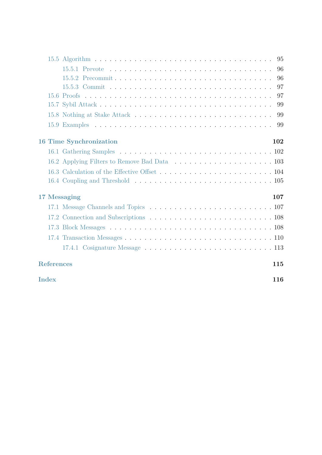|                   |                                | 96  |
|-------------------|--------------------------------|-----|
|                   |                                | 96  |
|                   |                                | 97  |
|                   |                                | 97  |
|                   |                                | 99  |
|                   |                                | 99  |
|                   |                                |     |
|                   | <b>16 Time Synchronization</b> | 102 |
|                   |                                |     |
|                   |                                |     |
|                   |                                |     |
|                   |                                |     |
| 17 Messaging      |                                | 107 |
|                   |                                |     |
|                   |                                |     |
|                   |                                |     |
|                   |                                |     |
|                   |                                |     |
| <b>References</b> |                                | 115 |
| <b>Index</b>      |                                | 116 |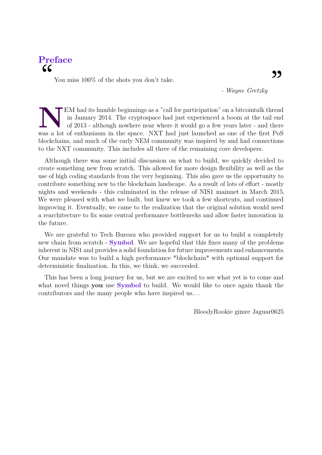# <span id="page-5-0"></span>**Preface**  $cc$

You miss  $100\%$  of the shots you don't take.

*- Wayne Gretzky*

EM had its humble beginnings as a "call for participation" on a bitcointalk thread in January 2014. The cryptospace had just experienced a boom at the tail end of 2013 - although nowhere near where it would go a few years EM had its humble beginnings as a "call for participation" on a bitcointalk thread in January 2014. The cryptospace had just experienced a boom at the tail end of 2013 - although nowhere near where it would go a few years later - and there blockchains, and much of the early NEM community was inspired by and had connections to the NXT community. This includes all three of the remaining core developers.

Although there was some initial discussion on what to build, we quickly decided to create something new from scratch. This allowed for more design flexibility as well as the use of high coding standards from the very beginning. This also gave us the opportunity to contribute something new to the blockchain landscape. As a result of lots of effort - mostly nights and weekends - this culminated in the release of NIS1 mainnet in March 2015. We were pleased with what we built, but knew we took a few shortcuts, and continued improving it. Eventually, we came to the realization that the original solution would need a rearchitecture to fix some central performance bottlenecks and allow faster innovation in the future.

We are grateful to Tech Bureau who provided support for us to build a completely new chain from scratch - **Symbol**. We are hopeful that this fixes many of the problems inherent in NIS1 and provides a solid foundation for future improvements and enhancements. Our mandate was to build a high performance \*blockchain\* with optional support for deterministic finalization. In this, we think, we succeeded.

This has been a long journey for us, but we are excited to see what yet is to come and what novel things **you** use **Symbol** to build. We would like to once again thank the contributors and the many people who have inspired us. . .

BloodyRookie gimre Jaguar0625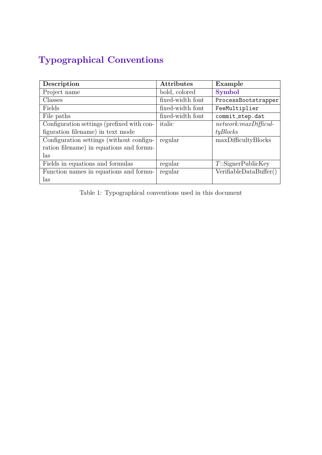# <span id="page-6-0"></span>**Typographical Conventions**

| Description                                | <b>Attributes</b> | Example                 |
|--------------------------------------------|-------------------|-------------------------|
| Project name                               | bold, colored     | <b>Symbol</b>           |
| Classes                                    | fixed-width font  | ProcessBootstrapper     |
| Fields                                     | fixed-width font  | FeeMultiplier           |
| File paths                                 | fixed-width font  | commit_step.dat         |
| Configuration settings (prefixed with con- | italic            | $network: maxDifficul-$ |
| figuration filename) in text mode          |                   | tyBlocks                |
| Configuration settings (without configu-   | regular           | maxDifficultyBlocks     |
| ration filename) in equations and formu-   |                   |                         |
| las                                        |                   |                         |
| Fields in equations and formulas           | regular           | $T$ ::SignerPublicKey   |
| Function names in equations and formu-     | regular           | Verifiable DataBuffer() |
| las                                        |                   |                         |

Table 1: Typographical conventions used in this document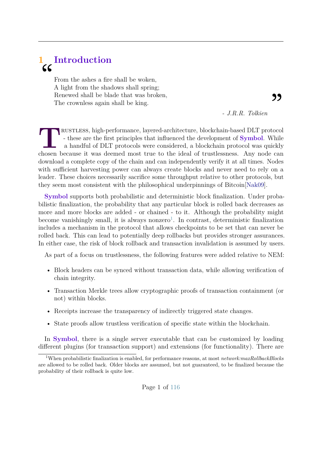# <span id="page-7-0"></span>**1 Introduction**  $cc$

From the ashes a fire shall be woken, A light from the shadows shall spring; Renewed shall be blade that was broken, The crownless again shall be king.

*- J.R.R. Tolkien*

,

**TERUSTLESS, high-performance, layered-architecture, blockchain-based DLT protocol** - these are the first principles that influenced the development of **Symbol**. While a handful of DLT protocols were considered, a blockcha rustless, high-performance, layered-architecture, blockchain-based DLT protocol - these are the first principles that influenced the development of **Symbol**. While a handful of DLT protocols were considered, a blockchain protocol was quickly download a complete copy of the chain and can independently verify it at all times. Nodes with sufficient harvesting power can always create blocks and never need to rely on a leader. These choices necessarily sacrifice some throughput relative to other protocols, but they seem most consistent with the philosophical underpinnings of Bitcoin[\[Nak09\]](#page-121-0).

**Symbol** supports both probabilistic and deterministic block finalization. Under probabilistic finalization, the probability that any particular block is rolled back decreases as more and more blocks are added - or chained - to it. Although the probability might become vanishingly small, it is always nonzero<sup>[1](#page-7-1)</sup>. In contrast, deterministic finalization includes a mechanism in the protocol that allows checkpoints to be set that can never be rolled back. This can lead to potentially deep rollbacks but provides stronger assurances. In either case, the risk of block rollback and transaction invalidation is assumed by users.

As part of a focus on trustlessness, the following features were added relative to NEM:

- Block headers can be synced without transaction data, while allowing verification of chain integrity.
- Transaction Merkle trees allow cryptographic proofs of transaction containment (or not) within blocks.
- Receipts increase the transparency of indirectly triggered state changes.
- State proofs allow trustless verification of specific state within the blockchain.

In **Symbol**, there is a single server executable that can be customized by loading different plugins (for transaction support) and extensions (for functionality). There are

<span id="page-7-1"></span><sup>1</sup>When probabilistic finalization is enabled, for performance reasons, at most *network:maxRollbackBlocks* are allowed to be rolled back. Older blocks are assumed, but not guaranteed, to be finalized because the probability of their rollback is quite low.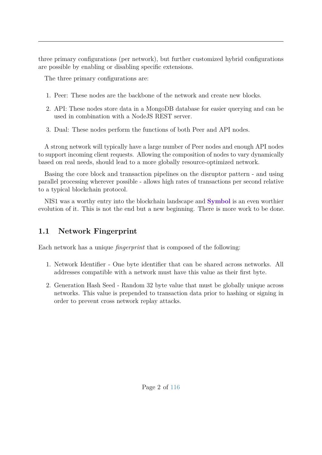three primary configurations (per network), but further customized hybrid configurations are possible by enabling or disabling specific extensions.

The three primary configurations are:

- 1. Peer: These nodes are the backbone of the network and create new blocks.
- 2. API: These nodes store data in a MongoDB database for easier querying and can be used in combination with a NodeJS REST server.
- 3. Dual: These nodes perform the functions of both Peer and API nodes.

A strong network will typically have a large number of Peer nodes and enough API nodes to support incoming client requests. Allowing the composition of nodes to vary dynamically based on real needs, should lead to a more globally resource-optimized network.

Basing the core block and transaction pipelines on the disruptor pattern - and using parallel processing wherever possible - allows high rates of transactions per second relative to a typical blockchain protocol.

<span id="page-8-0"></span>NIS1 was a worthy entry into the blockchain landscape and **Symbol** is an even worthier evolution of it. This is not the end but a new beginning. There is more work to be done.

## **1.1 Network Fingerprint**

Each network has a unique *fingerprint* that is composed of the following:

- 1. Network Identifier One byte identifier that can be shared across networks. All addresses compatible with a network must have this value as their first byte.
- 2. Generation Hash Seed Random 32 byte value that must be globally unique across networks. This value is prepended to transaction data prior to hashing or signing in order to prevent cross network replay attacks.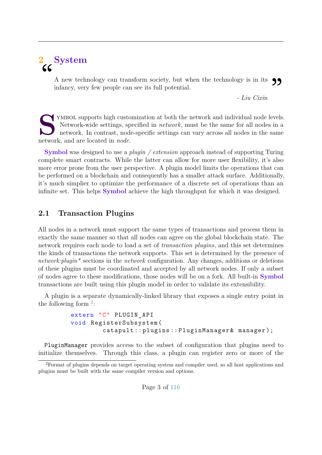# <span id="page-9-0"></span>**2 System** "

A new technology can transform society, but when the technology is in its  $\bigcirc$ <br>infancy, very few people can see its full potential.<br>Figures - Liu Cixin - Liu Cixin infancy, very few people can see its full potential.

*- Liu Cixin*

STAN YMBOL supports high custo<br>
Network-wide settings, sp<br>
network. In contrast, nod<br>
network, and are located in *node*. YMBOL supports high customization at both the network and individual node levels. Network-wide settings, specified in *network*, must be the same for all nodes in a network. In contrast, node-specific settings can vary across all nodes in the same

**Symbol** was designed to use a *plugin / extension* approach instead of supporting Turing complete smart contracts. While the latter can allow for more user flexibility, it's also more error prone from the user perspective. A plugin model limits the operations that can be performed on a blockchain and consequently has a smaller attack surface. Additionally, it's much simplier to optimize the performance of a discrete set of operations than an infinite set. This helps **Symbol** achieve the high throughput for which it was designed.

## <span id="page-9-1"></span>**2.1 Transaction Plugins**

All nodes in a network must support the same types of transactions and process them in exactly the same manner so that all nodes can agree on the global blockchain state. The network requires each node to load a set of *transaction plugins*, and this set determines the kinds of transactions the network supports. This set is determined by the presence of *network:plugin\** sections in the *network* configuration. Any changes, additions or deletions of these plugins must be coordinated and accepted by all network nodes. If only a subset of nodes agree to these modifications, those nodes will be on a fork. All built-in **Symbol** transactions are built using this plugin model in order to validate its extensibility.

A plugin is a separate dynamically-linked library that exposes a single entry point in the following form  $2$ :

```
extern "C" PLUGIN_API
void RegisterSubsystem (
         catapult :: plugins :: PluginManager & manager );
```
PluginManager provides access to the subset of configuration that plugins need to initialize themselves. Through this class, a plugin can register zero or more of the

<span id="page-9-2"></span><sup>2</sup>Format of plugins depends on target operating system and compiler used, so all host applications and plugins must be built with the same compiler version and options.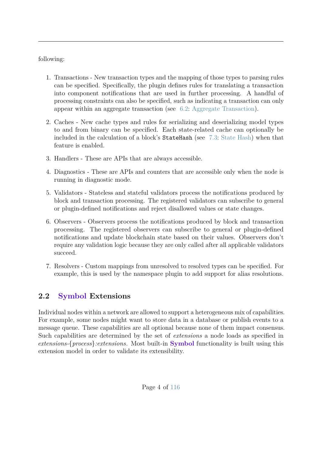following:

- 1. Transactions New transaction types and the mapping of those types to parsing rules can be specified. Specifically, the plugin defines rules for translating a transaction into component notifications that are used in further processing. A handful of processing constraints can also be specified, such as indicating a transaction can only appear within an aggregate transaction (see [6.2:](#page-33-0) [Aggregate Transaction\)](#page-33-0).
- 2. Caches New cache types and rules for serializing and deserializing model types to and from binary can be specified. Each state-related cache can optionally be included in the calculation of a block's StateHash (see [7.3:](#page-46-0) [State Hash\)](#page-46-0) when that feature is enabled.
- 3. Handlers These are APIs that are always accessible.
- 4. Diagnostics These are APIs and counters that are accessible only when the node is running in diagnostic mode.
- 5. Validators Stateless and stateful validators process the notifications produced by block and transaction processing. The registered validators can subscribe to general or plugin-defined notifications and reject disallowed values or state changes.
- 6. Observers Observers process the notifications produced by block and transaction processing. The registered observers can subscribe to general or plugin-defined notifications and update blockchain state based on their values. Observers don't require any validation logic because they are only called after all applicable validators succeed.
- 7. Resolvers Custom mappings from unresolved to resolved types can be specified. For example, this is used by the namespace plugin to add support for alias resolutions.

# <span id="page-10-0"></span>**2.2 Symbol Extensions**

Individual nodes within a network are allowed to support a heterogeneous mix of capabilities. For example, some nodes might want to store data in a database or publish events to a message queue. These capabilities are all optional because none of them impact consensus. Such capabilities are determined by the set of *extensions* a node loads as specified in *extensions-*{*process*}*:extensions*. Most built-in **Symbol** functionality is built using this extension model in order to validate its extensibility.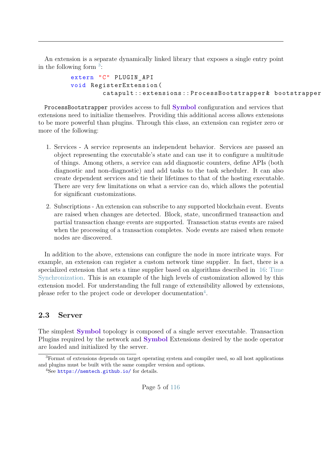An extension is a separate dynamically linked library that exposes a single entry point in the following form  $3$ :

```
extern "C" PLUGIN_API
void RegisterExtension (
        catapult :: extensions :: ProcessBootstrapper & bootstrapper
```
ProcessBootstrapper provides access to full **Symbol** configuration and services that extensions need to initialize themselves. Providing this additional access allows extensions to be more powerful than plugins. Through this class, an extension can register zero or more of the following:

- 1. Services A service represents an independent behavior. Services are passed an object representing the executable's state and can use it to configure a multitude of things. Among others, a service can add diagnostic counters, define APIs (both diagnostic and non-diagnostic) and add tasks to the task scheduler. It can also create dependent services and tie their lifetimes to that of the hosting executable. There are very few limitations on what a service can do, which allows the potential for significant customizations.
- 2. Subscriptions An extension can subscribe to any supported blockchain event. Events are raised when changes are detected. Block, state, unconfirmed transaction and partial transaction change events are supported. Transaction status events are raised when the processing of a transaction completes. Node events are raised when remote nodes are discovered.

In addition to the above, extensions can configure the node in more intricate ways. For example, an extension can register a custom network time supplier. In fact, there is a specialized extension that sets a time supplier based on algorithms described in [16:](#page-108-0) [Time](#page-108-0) [Synchronization.](#page-108-0) This is an example of the high levels of customization allowed by this extension model. For understanding the full range of extensibility allowed by extensions, please refer to the project code or developer documentation<sup>[4](#page-11-2)</sup>.

#### <span id="page-11-0"></span>**2.3 Server**

The simplest **Symbol** topology is composed of a single server executable. Transaction Plugins required by the network and **Symbol** Extensions desired by the node operator are loaded and initialized by the server.

<span id="page-11-1"></span><sup>3</sup>Format of extensions depends on target operating system and compiler used, so all host applications and plugins must be built with the same compiler version and options.

<span id="page-11-2"></span><sup>4</sup>See <https://nemtech.github.io/> for details.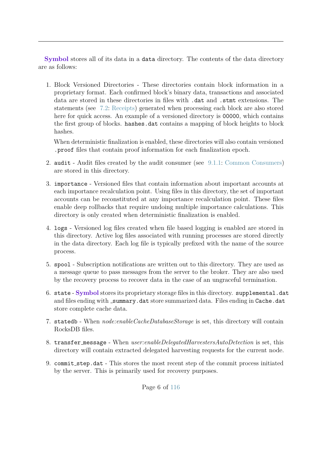**Symbol** stores all of its data in a data directory. The contents of the data directory are as follows:

1. Block Versioned Directories - These directories contain block information in a proprietary format. Each confirmed block's binary data, transactions and associated data are stored in these directories in files with .dat and .stmt extensions. The statements (see [7.2:](#page-43-0) [Receipts\)](#page-43-0) generated when processing each block are also stored here for quick access. An example of a versioned directory is 00000, which contains the first group of blocks. hashes.dat contains a mapping of block heights to block hashes.

When deterministic finalization is enabled, these directories will also contain versioned .proof files that contain proof information for each finalization epoch.

- 2. audit Audit files created by the audit consumer (see [9.1.1:](#page-63-0) [Common Consumers\)](#page-63-0) are stored in this directory.
- 3. importance Versioned files that contain information about important accounts at each importance recalculation point. Using files in this directory, the set of important accounts can be reconstituted at any importance recalculation point. These files enable deep rollbacks that require undoing multiple importance calculations. This directory is only created when deterministic finalization is enabled.
- 4. logs Versioned log files created when file based logging is enabled are stored in this directory. Active log files associated with running processes are stored directly in the data directory. Each log file is typically prefixed with the name of the source process.
- 5. spool Subscription notifications are written out to this directory. They are used as a message queue to pass messages from the server to the broker. They are also used by the recovery process to recover data in the case of an ungraceful termination.
- 6. state **Symbol** stores its proprietary storage files in this directory. supplemental.dat and files ending with summary.dat store summarized data. Files ending in Cache.dat store complete cache data.
- 7. statedb When *node:enableCacheDatabaseStorage* is set, this directory will contain RocksDB files.
- 8. transfer message When *user:enableDelegatedHarvestersAutoDetection* is set, this directory will contain extracted delegated harvesting requests for the current node.
- 9. commit step.dat This stores the most recent step of the commit process initiated by the server. This is primarily used for recovery purposes.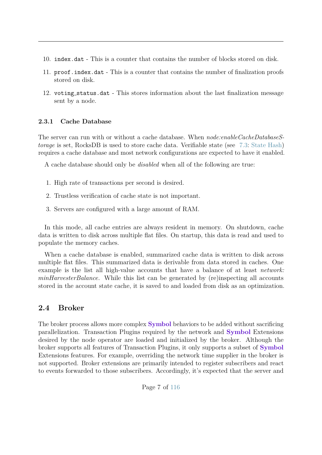- 10. index.dat This is a counter that contains the number of blocks stored on disk.
- 11. proof.index.dat This is a counter that contains the number of finalization proofs stored on disk.
- 12. voting status.dat This stores information about the last finalization message sent by a node.

#### <span id="page-13-0"></span>**2.3.1 Cache Database**

The server can run with or without a cache database. When *node:enableCacheDatabaseStorage* is set, RocksDB is used to store cache data. Verifiable state (see [7.3:](#page-46-0) [State Hash\)](#page-46-0) requires a cache database and most network configurations are expected to have it enabled.

A cache database should only be *disabled* when all of the following are true:

- 1. High rate of transactions per second is desired.
- 2. Trustless verification of cache state is not important.
- 3. Servers are configured with a large amount of RAM.

In this mode, all cache entries are always resident in memory. On shutdown, cache data is written to disk across multiple flat files. On startup, this data is read and used to populate the memory caches.

When a cache database is enabled, summarized cache data is written to disk across multiple flat files. This summarized data is derivable from data stored in caches. One example is the list all high-value accounts that have a balance of at least *network: minHarvesterBalance*. While this list can be generated by (re)inspecting all accounts stored in the account state cache, it is saved to and loaded from disk as an optimization.

#### <span id="page-13-1"></span>**2.4 Broker**

The broker process allows more complex **Symbol** behaviors to be added without sacrificing parallelization. Transaction Plugins required by the network and **Symbol** Extensions desired by the node operator are loaded and initialized by the broker. Although the broker supports all features of Transaction Plugins, it only supports a subset of **Symbol** Extensions features. For example, overriding the network time supplier in the broker is not supported. Broker extensions are primarily intended to register subscribers and react to events forwarded to those subscribers. Accordingly, it's expected that the server and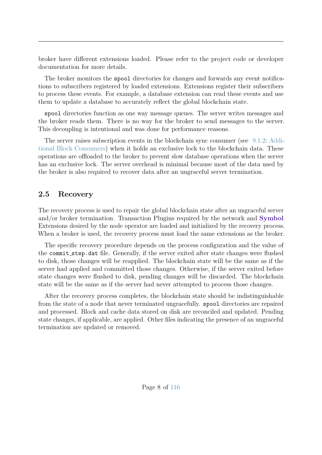broker have different extensions loaded. Please refer to the project code or developer documentation for more details.

The broker monitors the spool directories for changes and forwards any event notifications to subscribers registered by loaded extensions. Extensions register their subscribers to process these events. For example, a database extension can read these events and use them to update a database to accurately reflect the global blockchain state.

spool directories function as one way message queues. The server writes messages and the broker reads them. There is no way for the broker to send messages to the server. This decoupling is intentional and was done for performance reasons.

The server raises subscription events in the blockchain sync consumer (see [9.1.2:](#page-64-0) [Addi](#page-64-0)[tional Block Consumers\)](#page-64-0) when it holds an exclusive lock to the blockchain data. These operations are offloaded to the broker to prevent slow database operations when the server has an exclusive lock. The server overhead is minimal because most of the data used by the broker is also required to recover data after an ungraceful server termination.

### <span id="page-14-0"></span>**2.5 Recovery**

The recovery process is used to repair the global blockchain state after an ungraceful server and/or broker termination. Transaction Plugins required by the network and **Symbol** Extensions desired by the node operator are loaded and initialized by the recovery process. When a broker is used, the recovery process must load the same extensions as the broker.

The specific recovery procedure depends on the process configuration and the value of the commit step.dat file. Generally, if the server exited after state changes were flushed to disk, those changes will be reapplied. The blockchain state will be the same as if the server had applied and committed those changes. Otherwise, if the server exited before state changes were flushed to disk, pending changes will be discarded. The blockchain state will be the same as if the server had never attempted to process those changes.

<span id="page-14-1"></span>After the recovery process completes, the blockchain state should be indistinguishable from the state of a node that never terminated ungracefully. spool directories are repaired and processed. Block and cache data stored on disk are reconciled and updated. Pending state changes, if applicable, are applied. Other files indicating the presence of an ungraceful termination are updated or removed.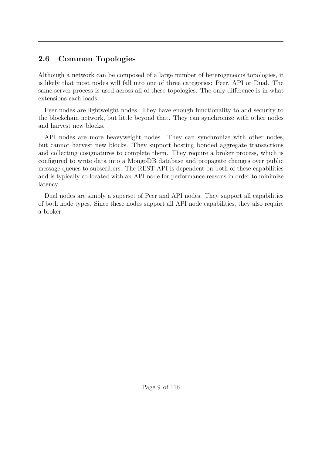# **2.6 Common Topologies**

Although a network can be composed of a large number of heterogeneous topologies, it is likely that most nodes will fall into one of three categories: Peer, API or Dual. The same server process is used across all of these topologies. The only difference is in what extensions each loads.

Peer nodes are lightweight nodes. They have enough functionality to add security to the blockchain network, but little beyond that. They can synchronize with other nodes and harvest new blocks.

API nodes are more heavyweight nodes. They can synchronize with other nodes, but cannot harvest new blocks. They support hosting bonded aggregate transactions and collecting cosignatures to complete them. They require a broker process, which is configured to write data into a MongoDB database and propagate changes over public message queues to subscribers. The REST API is dependent on both of these capabilities and is typically co-located with an API node for performance reasons in order to minimize latency.

Dual nodes are simply a superset of Peer and API nodes. They support all capabilities of both node types. Since these nodes support all API node capabilities, they also require a broker.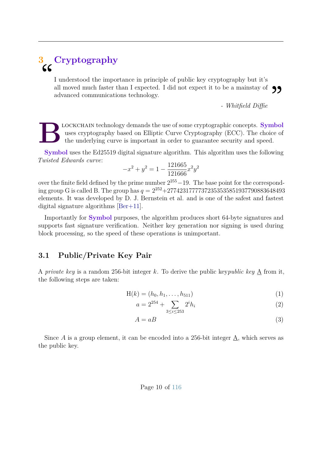# <span id="page-16-0"></span>**3 Cryptography** "

I understood the importance in principle of public key cryptography but it's all moved much faster than I expected. I did not expect it to be a mainstay of  $\bigcirc$   $\bigcirc$  advanced communications technology.<br>Figure - Whitfield Diffie advanced communications technology.

*- Whitfield Diffie*

**B** lockchain technology demands the use of some cryptographic concepts. **Symbol** uses cryptography based on Elliptic Curve Cryptography (ECC). The choice of the underlying curve is important in order to guarantee security and speed.

**Symbol** uses the Ed25519 digital signature algorithm. This algorithm uses the following *Twisted Edwards curve*:

$$
-x^2 + y^2 = 1 - \frac{121665}{121666}x^2y^2
$$

over the finite field defined by the prime number  $2^{255}-19$ . The base point for the corresponding group G is called B. The group has  $q = 2^{252} + 27742317777372353535851937790883648493$ elements. It was developed by D. J. Bernstein et al. and is one of the safest and fastest digital signature algorithms [\[Ber+11\]](#page-121-1).

Importantly for **Symbol** purposes, the algorithm produces short 64-byte signatures and supports fast signature verification. Neither key generation nor signing is used during block processing, so the speed of these operations is unimportant.

#### <span id="page-16-1"></span>**3.1 Public/Private Key Pair**

A *private key* is a random 256-bit integer *k*. To derive the public key*public key* A from it, the following steps are taken:

$$
H(k) = (h_0, h_1, \dots, h_{511})
$$
\n(1)

$$
a = 2^{254} + \sum_{3 \le i \le 253} 2^i h_i \tag{2}
$$

$$
A = aB \tag{3}
$$

<span id="page-16-2"></span>Since  $A$  is a group element, it can be encoded into a 256-bit integer  $\underline{A}$ , which serves as the public key.

#### Page 10 of [116](#page-122-1)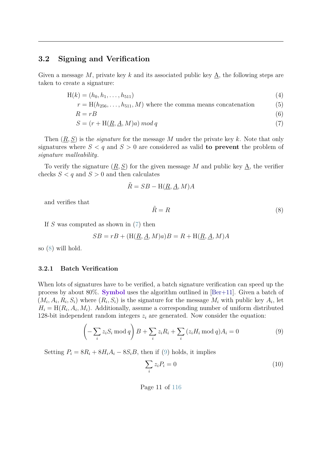#### **3.2 Signing and Verification**

Given a message M, private key k and its associated public key  $\underline{A}$ , the following steps are taken to create a signature:

$$
H(k) = (h_0, h_1, \dots, h_{511})
$$
\n(4)

$$
r = H(h_{256}, \dots, h_{511}, M)
$$
 where the comma means concatenation (5)

$$
R = rB \tag{6}
$$

$$
S = (r + H(\underline{R}, \underline{A}, M)a) \bmod q \tag{7}
$$

Then (*R, S*) is the *signature* for the message *M* under the private key *k*. Note that only signatures where  $S < q$  and  $S > 0$  are considered as valid **to prevent** the problem of *signature malleability*.

To verify the signature  $(\underline{R}, \underline{S})$  for the given message M and public key  $\underline{A}$ , the verifier checks  $S < q$  and  $S > 0$  and then calculates

$$
\tilde{R} = SB - H(\underline{R}, \underline{A}, M)A
$$

and verifies that

<span id="page-17-1"></span>
$$
\tilde{R} = R \tag{8}
$$

If *S* was computed as shown in [\(7\)](#page-17-1) then

<span id="page-17-2"></span>
$$
SB = rB + (H(\underline{R}, \underline{A}, M)a)B = R + H(\underline{R}, \underline{A}, M)A
$$

<span id="page-17-0"></span>so [\(8\)](#page-17-2) will hold.

#### **3.2.1 Batch Verification**

When lots of signatures have to be verified, a batch signature verification can speed up the process by about 80%. **Symbol** uses the algorithm outlined in [\[Ber+11\]](#page-121-1). Given a batch of  $(M_i, A_i, R_i, S_i)$  where  $(R_i, S_i)$  is the signature for the message  $M_i$  with public key  $A_i$ , let  $H_i = H(R_i, A_i, M_i)$ . Additionally, assume a corresponding number of uniform distributed 128-bit independent random integers  $z_i$  are generated. Now consider the equation:

$$
\left(-\sum_{i} z_i S_i \bmod q\right) B + \sum_{i} z_i R_i + \sum_{i} \left(z_i H_i \bmod q\right) A_i = 0\tag{9}
$$

Setting  $P_i = 8R_i + 8H_iA_i - 8S_iB$ , then if [\(9\)](#page-17-3) holds, it implies

<span id="page-17-4"></span><span id="page-17-3"></span>
$$
\sum_{i} z_i P_i = 0 \tag{10}
$$

Page 11 of [116](#page-122-1)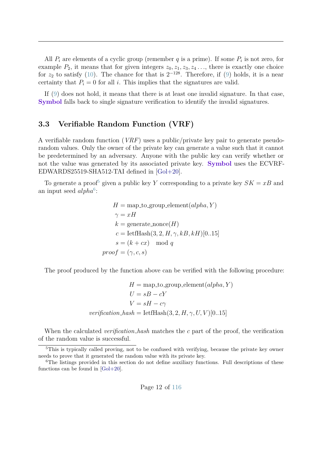All  $P_i$  are elements of a cyclic group (remember  $q$  is a prime). If some  $P_i$  is not zero, for example  $P_2$ , it means that for given integers  $z_0, z_1, z_3, z_4, \ldots$ , there is exactly one choice for  $z_2$  to satisfy [\(10\)](#page-17-4). The chance for that is  $2^{-128}$ . Therefore, if [\(9\)](#page-17-3) holds, it is a near certainty that  $P_i = 0$  for all *i*. This implies that the signatures are valid.

<span id="page-18-0"></span>If [\(9\)](#page-17-3) does not hold, it means that there is at least one invalid signature. In that case, **Symbol** falls back to single signature verification to identify the invalid signatures.

#### **3.3 Verifiable Random Function (VRF)**

A verifiable random function (*VRF*) uses a public/private key pair to generate pseudorandom values. Only the owner of the private key can generate a value such that it cannot be predetermined by an adversary. Anyone with the public key can verify whether or not the value was generated by its associated private key. **Symbol** uses the ECVRF-EDWARDS25519-SHA512-TAI defined in [\[Gol+20\]](#page-121-2).

To generate a proof<sup>[5](#page-18-1)</sup> given a public key *Y* corresponding to a private key  $SK = xB$  and an input seed *alpha*<sup>[6](#page-18-2)</sup>:

$$
H = \text{map_to-group-element}(alpha, Y)
$$
  
\n
$$
\gamma = xH
$$
  
\n
$$
k = \text{generate nonce}(H)
$$
  
\n
$$
c = \text{letfflash}(3, 2, H, \gamma, kB, kH)[0..15]
$$
  
\n
$$
s = (k + cx) \mod q
$$
  
\n
$$
proof = (\gamma, c, s)
$$

The proof produced by the function above can be verified with the following procedure:

$$
H = \text{map_to-group-element}(alpha, Y)
$$

$$
U = sB - cY
$$

$$
V = sH - c\gamma
$$

$$
verification\_hash = \text{letHash}(3, 2, H, \gamma, U, V)[0..15]
$$

When the calculated *verification hash* matches the *c* part of the proof, the verification of the random value is successful.

<span id="page-18-1"></span><sup>&</sup>lt;sup>5</sup>This is typically called proving, not to be confused with verifying, because the private key owner needs to prove that it generated the random value with its private key.

<span id="page-18-2"></span><sup>&</sup>lt;sup>6</sup>The listings provided in this section do not define auxiliary functions. Full descriptions of these functions can be found in [\[Gol+20\]](#page-121-2).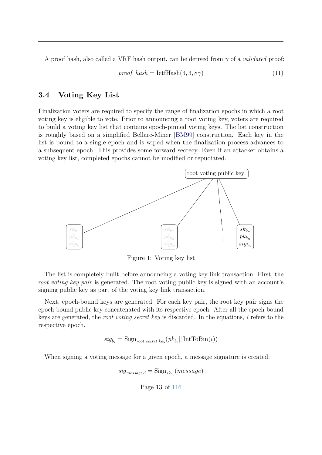A proof hash, also called a VRF hash output, can be derived from *γ* of a *validated* proof:

$$
proof\_hash = \text{letffdash}(3, 3, 8\gamma) \tag{11}
$$

#### <span id="page-19-0"></span>**3.4 Voting Key List**

Finalization voters are required to specify the range of finalization epochs in which a root voting key is eligible to vote. Prior to announcing a root voting key, voters are required to build a voting key list that contains epoch-pinned voting keys. The list construction is roughly based on a simplified Bellare-Miner [\[BM99\]](#page-121-3) construction. Each key in the list is bound to a single epoch and is wiped when the finalization process advances to a subsequent epoch. This provides some forward secrecy. Even if an attacker obtains a voting key list, completed epochs cannot be modified or repudiated.



Figure 1: Voting key list

The list is completely built before announcing a voting key link transaction. First, the *root voting key pair* is generated. The root voting public key is signed with an account's signing public key as part of the voting key link transaction.

Next, epoch-bound keys are generated. For each key pair, the root key pair signs the epoch-bound public key concatenated with its respective epoch. After all the epoch-bound keys are generated, the *root voting secret key* is discarded. In the equations, *i* refers to the respective epoch.

 $sig_{b_i} = \text{Sign}_{root~secret~key}(pk_{b_i} || \text{IntToBin}(i))$ 

<span id="page-19-1"></span>When signing a voting message for a given epoch, a message signature is created:

$$
sig_{message\text{-}i} = \text{Sign}_{sk_{b_i}}(message)
$$

Page 13 of [116](#page-122-1)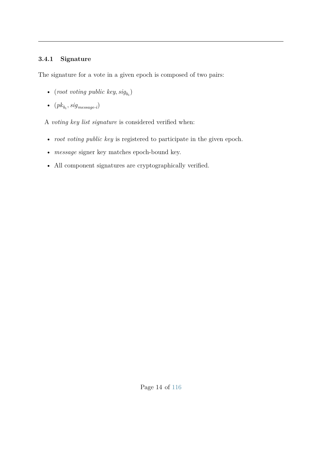#### **3.4.1 Signature**

The signature for a vote in a given epoch is composed of two pairs:

- (*root voting public key*,  $sig_{b_i}$ )
- $(pk_{b_i}, sig_{message-i})$

A *voting key list signature* is considered verified when:

- *root voting public key* is registered to participate in the given epoch.
- *message* signer key matches epoch-bound key.
- All component signatures are cryptographically verified.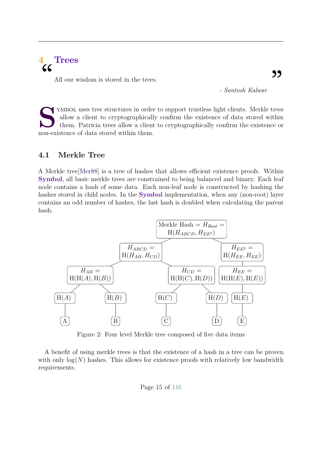# <span id="page-21-0"></span>**4 Trees** "

All our wisdom is stored in the trees.

*- Santosh Kalwar*

STAND TEST THE STANDAR STATE OF THE MEL ON A CONSTRAINING THE MOVED THE MOVED THE MOVED THE MOVED THE MOVED THE MOVED THE MOVED THE MOVED THE MOVED THE MOVED THE MOVED THE MOVED THE MOVED THE MOVED THE MOVED THE MOVED THE YMBOL uses tree structures in order to support trustless light clients. Merkle trees allow a client to cryptographically confirm the existence of data stored within them. Patricia trees allow a client to cryptographically confirm the existence or

#### <span id="page-21-1"></span>**4.1 Merkle Tree**

A Merkle tree[\[Mer88\]](#page-121-4) is a tree of hashes that allows efficient existence proofs. Within **Symbol**, all basic merkle trees are constrained to being balanced and binary. Each leaf node contains a hash of some data. Each non-leaf node is constructed by hashing the hashes stored in child nodes. In the **Symbol** implementation, when any (non-root) layer contains an odd number of hashes, the last hash is doubled when calculating the parent hash.



Figure 2: Four level Merkle tree composed of five data items

A benefit of using merkle trees is that the existence of a hash in a tree can be proven with only  $log(N)$  hashes. This allows for existence proofs with relatively low bandwidth requirements.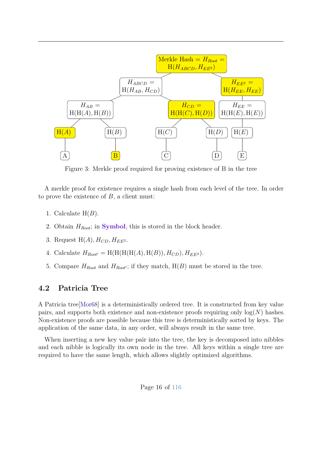

Figure 3: Merkle proof required for proving existence of B in the tree

A merkle proof for existence requires a single hash from each level of the tree. In order to prove the existence of *B*, a client must:

- 1. Calculate H(*B*).
- 2. Obtain *HRoot*; in **Symbol**, this is stored in the block header.
- 3. Request  $H(A)$ *,*  $H_{CD}$ *,*  $H_{EE^2}$ *.*
- 4. Calculate  $H_{Root'} = H(H(H(H(A), H(B)), H_{CD}), H_{EE^2})$ .
- 5. Compare  $H_{Root}$  and  $H_{Root}$ ; if they match,  $H(B)$  must be stored in the tree.

#### <span id="page-22-0"></span>**4.2 Patricia Tree**

A Patricia tree[\[Mor68\]](#page-121-5) is a deterministically ordered tree. It is constructed from key value pairs, and supports both existence and non-existence proofs requiring only  $log(N)$  hashes. Non-existence proofs are possible because this tree is deterministically sorted by keys. The application of the same data, in any order, will always result in the same tree.

When inserting a new key value pair into the tree, the key is decomposed into nibbles and each nibble is logically its own node in the tree. All keys within a single tree are required to have the same length, which allows slightly optimized algorithms.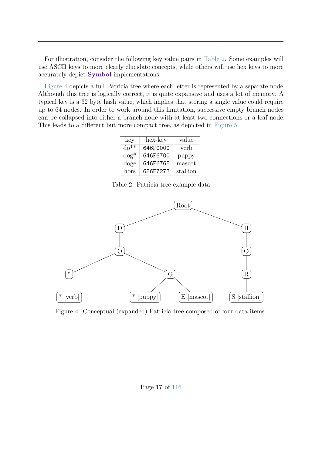For illustration, consider the following key value pairs in [Table 2.](#page-23-0) Some examples will use ASCII keys to more clearly elucidate concepts, while others will use hex keys to more accurately depict **Symbol** implementations.

<span id="page-23-0"></span>[Figure 4](#page-23-1) depicts a full Patricia tree where each letter is represented by a separate node. Although this tree is logically correct, it is quite expansive and uses a lot of memory. A typical key is a 32 byte hash value, which implies that storing a single value could require up to 64 nodes. In order to work around this limitation, successive empty branch nodes can be collapsed into either a branch node with at least two connections or a leaf node. This leads to a different but more compact tree, as depicted in [Figure 5.](#page-24-1)

| key      | hex-key  | value    |
|----------|----------|----------|
| $do**$   | 646F0000 | verb     |
| $\log^*$ | 646F6700 | puppy    |
| doge     | 646F6765 | mascot   |
| hors     | 686F7273 | stallion |

Table 2: Patricia tree example data

<span id="page-23-1"></span>

Figure 4: Conceptual (expanded) Patricia tree composed of four data items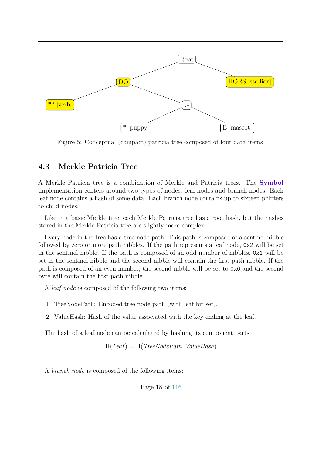<span id="page-24-1"></span>

Figure 5: Conceptual (compact) patricia tree composed of four data items

#### <span id="page-24-0"></span>**4.3 Merkle Patricia Tree**

A Merkle Patricia tree is a combination of Merkle and Patricia trees. The **Symbol** implementation centers around two types of nodes: leaf nodes and branch nodes. Each leaf node contains a hash of some data. Each branch node contains up to sixteen pointers to child nodes.

Like in a basic Merkle tree, each Merkle Patricia tree has a root hash, but the hashes stored in the Merkle Patricia tree are slightly more complex.

Every node in the tree has a tree node path. This path is composed of a sentinel nibble followed by zero or more path nibbles. If the path represents a leaf node, 0x2 will be set in the sentinel nibble. If the path is composed of an odd number of nibbles, 0x1 will be set in the sentinel nibble and the second nibble will contain the first path nibble. If the path is composed of an even number, the second nibble will be set to 0x0 and the second byte will contain the first path nibble.

A *leaf node* is composed of the following two items:

- 1. TreeNodePath: Encoded tree node path (with leaf bit set).
- 2. ValueHash: Hash of the value associated with the key ending at the leaf.

The hash of a leaf node can be calculated by hashing its component parts:

H(*Leaf*) = H(*TreeNodePath, ValueHash*)

A *branch node* is composed of the following items:

.

Page 18 of [116](#page-122-1)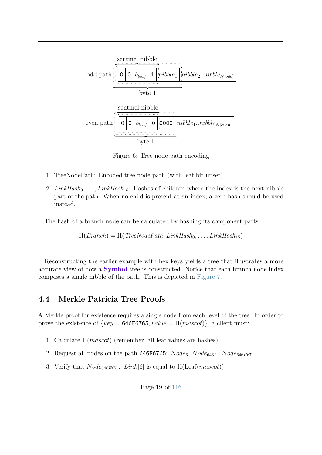

Figure 6: Tree node path encoding

- 1. TreeNodePath: Encoded tree node path (with leaf bit unset).
- 2.  $LinkHash_{0}, \ldots, LinkHash_{15}$ : Hashes of children where the index is the next nibble part of the path. When no child is present at an index, a zero hash should be used instead.

The hash of a branch node can be calculated by hashing its component parts:

 $H(Branch) = H(TreeNodePath, LinkHash_0, \ldots, LinkHash_{15})$ 

Reconstructing the earlier example with hex keys yields a tree that illustrates a more accurate view of how a **Symbol** tree is constructed. Notice that each branch node index composes a single nibble of the path. This is depicted in [Figure 7.](#page-26-0)

#### <span id="page-25-0"></span>**4.4 Merkle Patricia Tree Proofs**

.

A Merkle proof for existence requires a single node from each level of the tree. In order to prove the existence of  $\{key = 646F6765, value = H(maxcot)\},\$ a client must:

- 1. Calculate H(*mascot*) (remember, all leaf values are hashes).
- 2. Request all nodes on the path 646F6765:  $Node_6$ ,  $Node_{646F}$ ,  $Node_{646F67}$ .
- 3. Verify that *Node*646*F*<sup>67</sup> :: *Link*[6] is equal to H(Leaf(*mascot*)).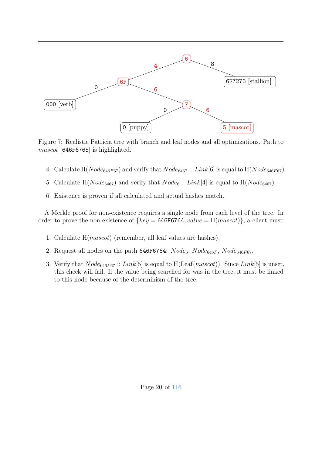<span id="page-26-0"></span>

Figure 7: Realistic Patricia tree with branch and leaf nodes and all optimizations. Path to *mascot* [646F6765] is highlighted.

- 4. Calculate  $H(Node_{646F67})$  and verify that  $Node_{6467} :: Link[6]$  is equal to  $H(Node_{646F67})$ .
- 5. Calculate  $H(Node_{6467})$  and verify that  $Node_6::Link[4]$  is equal to  $H(Node_{6467})$ .
- 6. Existence is proven if all calculated and actual hashes match.

A Merkle proof for non-existence requires a single node from each level of the tree. In order to prove the non-existence of  $\{key = 646F6764, value = H(mascot)\}\$ , a client must:

- 1. Calculate H(*mascot*) (remember, all leaf values are hashes).
- 2. Request all nodes on the path 646F6764:  $Node_6$ ,  $Node_{646F}$ ,  $Node_{646F67}$ .
- 3. Verify that *Node*646*F*<sup>67</sup> :: *Link*[5] is equal to H(Leaf(*mascot*)). Since *Link*[5] is unset, this check will fail. If the value being searched for was in the tree, it must be linked to this node because of the determinism of the tree.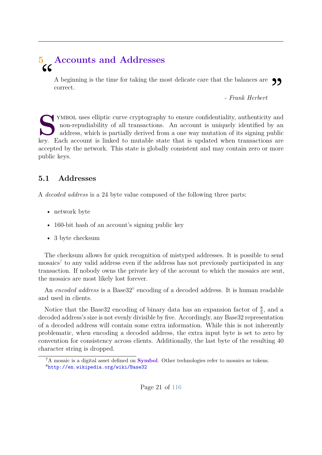# <span id="page-27-0"></span>**5 Accounts and Addresses** "

A beginning is the time for taking the most delicate care that the balances are correct. **99** 

*- Frank Herbert*

STAND TEST TERRY ISSUE IS THE MULTIMETER ALL THE MULTIMETER COUNTROL USE OF THE MULTIMETER AND address, which is partially derived from a one way mutation of its signing public key. Each account is linked to mutable state YMBOL uses elliptic curve cryptography to ensure confidentiality, authenticity and non-repudiability of all transactions. An account is uniquely identified by an address, which is partially derived from a one way mutation of its signing public accepted by the network. This state is globally consistent and may contain zero or more public keys.

## <span id="page-27-1"></span>**5.1 Addresses**

A *decoded address* is a 24 byte value composed of the following three parts:

- network byte
- 160-bit hash of an account's signing public key
- 3 byte checksum

The checksum allows for quick recognition of mistyped addresses. It is possible to send mosaics<sup>[7](#page-27-3)</sup> to any valid address even if the address has not previously participated in any transaction. If nobody owns the private key of the account to which the mosaics are sent, the mosaics are most likely lost forever.

An *encoded address* is a Base32<sup>[8](#page-27-4)</sup> encoding of a decoded address. It is human readable and used in clients.

Notice that the Base32 encoding of binary data has an expansion factor of  $\frac{8}{5}$ , and a decoded address's size is not evenly divisible by five. Accordingly, any Base32 representation of a decoded address will contain some extra information. While this is not inherently problematic, when encoding a decoded address, the extra input byte is set to zero by convention for consistency across clients. Additionally, the last byte of the resulting 40 character string is dropped.

<span id="page-27-4"></span><span id="page-27-3"></span><span id="page-27-2"></span><sup>7</sup>A mosaic is a digital asset defined on **Symbol**. Other technologies refer to mosaics as tokens. <sup>8</sup><http://en.wikipedia.org/wiki/Base32>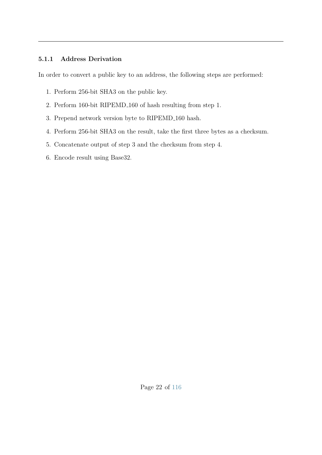#### **5.1.1 Address Derivation**

In order to convert a public key to an address, the following steps are performed:

- 1. Perform 256-bit SHA3 on the public key.
- 2. Perform 160-bit RIPEMD 160 of hash resulting from step 1.
- 3. Prepend network version byte to RIPEMD 160 hash.
- 4. Perform 256-bit SHA3 on the result, take the first three bytes as a checksum.
- 5. Concatenate output of step 3 and the checksum from step 4.
- 6. Encode result using Base32.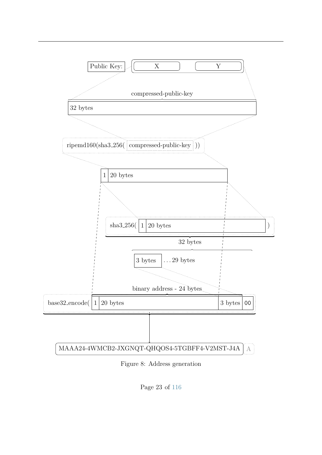

Figure 8: Address generation

Page 23 of [116](#page-122-1)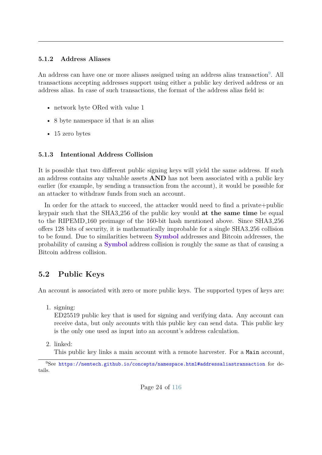#### <span id="page-30-0"></span>**5.1.2 Address Aliases**

An address can have one or more aliases assigned using an address alias transaction<sup>[9](#page-30-3)</sup>. All transactions accepting addresses support using either a public key derived address or an address alias. In case of such transactions, the format of the address alias field is:

- network byte ORed with value 1
- 8 byte namespace id that is an alias
- 15 zero bytes

#### <span id="page-30-1"></span>**5.1.3 Intentional Address Collision**

It is possible that two different public signing keys will yield the same address. If such an address contains any valuable assets **AND** has not been associated with a public key earlier (for example, by sending a transaction from the account), it would be possible for an attacker to withdraw funds from such an account.

In order for the attack to succeed, the attacker would need to find a private+public keypair such that the SHA3 256 of the public key would **at the same time** be equal to the RIPEMD 160 preimage of the 160-bit hash mentioned above. Since SHA3 256 offers 128 bits of security, it is mathematically improbable for a single SHA3 256 collision to be found. Due to similarities between **Symbol** addresses and Bitcoin addresses, the probability of causing a **Symbol** address collision is roughly the same as that of causing a Bitcoin address collision.

## <span id="page-30-2"></span>**5.2 Public Keys**

An account is associated with zero or more public keys. The supported types of keys are:

1. signing:

ED25519 public key that is used for signing and verifying data. Any account can receive data, but only accounts with this public key can send data. This public key is the only one used as input into an account's address calculation.

2. linked:

This public key links a main account with a remote harvester. For a Main account,

<span id="page-30-3"></span><sup>9</sup>See <https://nemtech.github.io/concepts/namespace.html#addressaliastransaction> for details.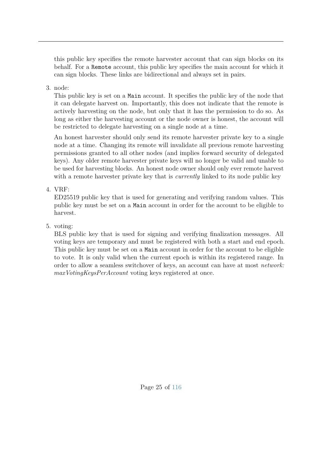this public key specifies the remote harvester account that can sign blocks on its behalf. For a Remote account, this public key specifies the main account for which it can sign blocks. These links are bidirectional and always set in pairs.

#### 3. node:

This public key is set on a Main account. It specifies the public key of the node that it can delegate harvest on. Importantly, this does not indicate that the remote is actively harvesting on the node, but only that it has the permission to do so. As long as either the harvesting account or the node owner is honest, the account will be restricted to delegate harvesting on a single node at a time.

An honest harvester should only send its remote harvester private key to a single node at a time. Changing its remote will invalidate all previous remote harvesting permissions granted to all other nodes (and implies forward security of delegated keys). Any older remote harvester private keys will no longer be valid and unable to be used for harvesting blocks. An honest node owner should only ever remote harvest with a remote harvester private key that is *currently* linked to its node public key

#### 4. VRF:

ED25519 public key that is used for generating and verifying random values. This public key must be set on a Main account in order for the account to be eligible to harvest.

#### 5. voting:

BLS public key that is used for signing and verifying finalization messages. All voting keys are temporary and must be registered with both a start and end epoch. This public key must be set on a Main account in order for the account to be eligible to vote. It is only valid when the current epoch is within its registered range. In order to allow a seamless switchover of keys, an account can have at most *network: maxVotingKeysPerAccount* voting keys registered at once.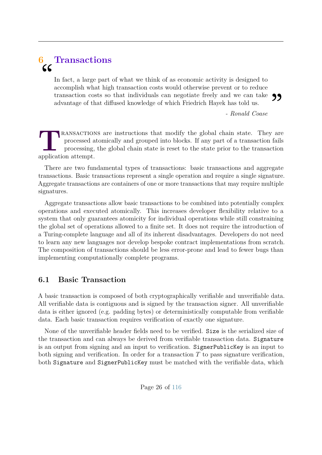# <span id="page-32-0"></span>**6 Transactions**  $\mathsf{C}\mathsf{C}$

In fact, a large part of what we think of as economic activity is designed to accomplish what high transaction costs would otherwise prevent or to reduce transaction costs so that individuals can negotiate freely and we can take advantage of that diffused knowledge of which Friedrich Hayek has told us. 99

*- Ronald Coase*

**TEANSACTION**<br>
processing,<br>
application attempt. **RANSACTIONS** are instructions that modify the global chain state. They are processed atomically and grouped into blocks. If any part of a transaction fails processing, the global chain state is reset to the state prior to the transaction

There are two fundamental types of transactions: basic transactions and aggregate transactions. Basic transactions represent a single operation and require a single signature. Aggregate transactions are containers of one or more transactions that may require multiple signatures.

Aggregate transactions allow basic transactions to be combined into potentially complex operations and executed atomically. This increases developer flexibility relative to a system that only guarantees atomicity for individual operations while still constraining the global set of operations allowed to a finite set. It does not require the introduction of a Turing-complete language and all of its inherent disadvantages. Developers do not need to learn any new languages nor develop bespoke contract implementations from scratch. The composition of transactions should be less error-prone and lead to fewer bugs than implementing computationally complete programs.

## <span id="page-32-1"></span>**6.1 Basic Transaction**

A basic transaction is composed of both cryptographically verifiable and unverifiable data. All verifiable data is contiguous and is signed by the transaction signer. All unverifiable data is either ignored (e.g. padding bytes) or deterministically computable from verifiable data. Each basic transaction requires verification of exactly one signature.

None of the unverifiable header fields need to be verified. Size is the serialized size of the transaction and can always be derived from verifiable transaction data. Signature is an output from signing and an input to verification. SignerPublicKey is an input to both signing and verification. In order for a transaction *T* to pass signature verification, both Signature and SignerPublicKey must be matched with the verifiable data, which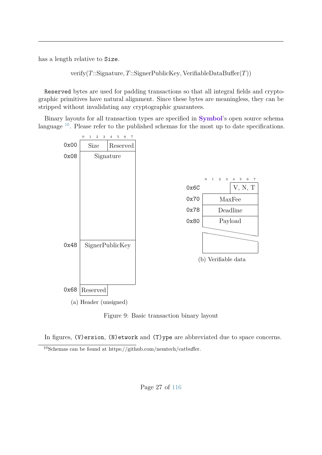has a length relative to Size.

verify(*T*::Signature*, T*::SignerPublicKey*,* VerifiableDataBuffer(*T*))

Reserved bytes are used for padding transactions so that all integral fields and cryptographic primitives have natural alignment. Since these bytes are meaningless, they can be stripped without invalidating any cryptographic guarantees.

Binary layouts for all transaction types are specified in **Symbol**'s open source schema language <sup>[10](#page-33-1)</sup>. Please refer to the published schemas for the most up to date specifications.



Figure 9: Basic transaction binary layout

In figures, (V)ersion, (N)etwork and (T)ype are abbreviated due to space concerns.

<span id="page-33-1"></span><span id="page-33-0"></span><sup>&</sup>lt;sup>10</sup>Schemas can be found at https://github.com/nemtech/catbuffer.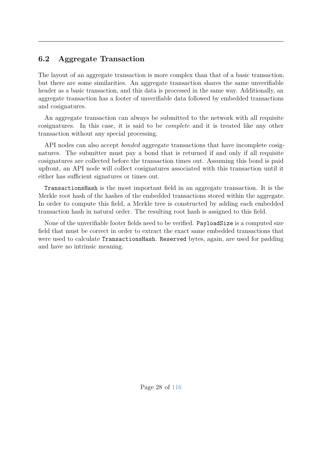## **6.2 Aggregate Transaction**

The layout of an aggregate transaction is more complex than that of a basic transaction, but there are some similarities. An aggregate transaction shares the same unverifiable header as a basic transaction, and this data is processed in the same way. Additionally, an aggregate transaction has a footer of unverifiable data followed by embedded transactions and cosignatures.

An aggregate transaction can always be submitted to the network with all requisite cosignatures. In this case, it is said to be *complete* and it is treated like any other transaction without any special processing.

API nodes can also accept *bonded* aggregate transactions that have incomplete cosignatures. The submitter must pay a bond that is returned if and only if all requisite cosignatures are collected before the transaction times out. Assuming this bond is paid upfront, an API node will collect cosignatures associated with this transaction until it either has sufficient signatures or times out.

TransactionsHash is the most important field in an aggregate transaction. It is the Merkle root hash of the hashes of the embedded transactions stored within the aggregate. In order to compute this field, a Merkle tree is constructed by adding each embedded transaction hash in natural order. The resulting root hash is assigned to this field.

None of the unverifiable footer fields need to be verified. PayloadSize is a computed size field that must be correct in order to extract the exact same embedded transactions that were used to calculate TransactionsHash. Reserved bytes, again, are used for padding and have no intrinsic meaning.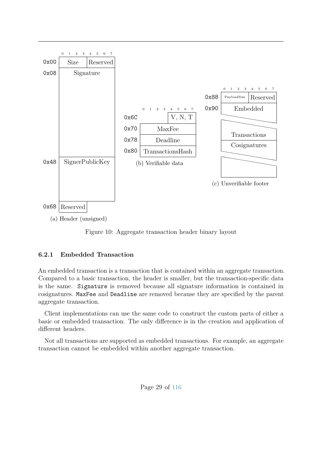

Figure 10: Aggregate transaction header binary layout

#### <span id="page-35-0"></span>**6.2.1 Embedded Transaction**

An embedded transaction is a transaction that is contained within an aggregate transaction. Compared to a basic transaction, the header is smaller, but the transaction-specific data is the same. Signature is removed because all signature information is contained in cosignatures. MaxFee and Deadline are removed because they are specified by the parent aggregate transaction.

Client implementations can use the same code to construct the custom parts of either a basic or embedded transaction. The only difference is in the creation and application of different headers.

Not all transactions are supported as embedded transactions. For example, an aggregate transaction cannot be embedded within another aggregate transaction.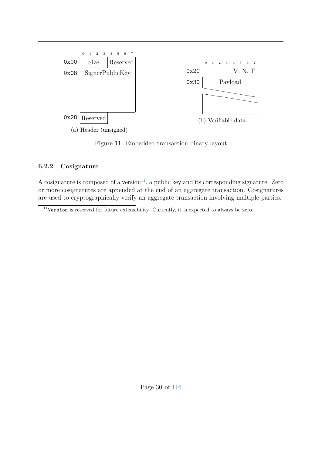

Figure 11: Embedded transaction binary layout

### **6.2.2 Cosignature**

A cosignature is composed of a version $11$ , a public key and its corresponding signature. Zero or more cosignatures are appended at the end of an aggregate transaction. Cosignatures are used to cryptographically verify an aggregate transaction involving multiple parties.

<span id="page-36-0"></span> $11$ Version is reserved for future extensibility. Currently, it is expected to always be zero.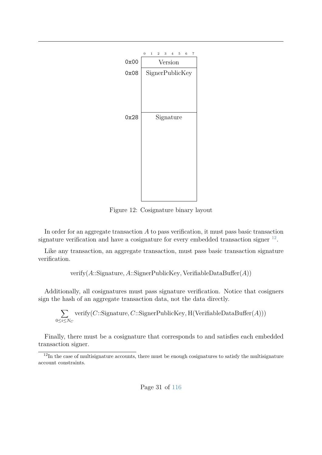

Figure 12: Cosignature binary layout

In order for an aggregate transaction *A* to pass verification, it must pass basic transaction signature verification and have a cosignature for every embedded transaction signer  $^{12}$  $^{12}$  $^{12}$ .

Like any transaction, an aggregate transaction, must pass basic transaction signature verification.

verify(*A*::Signature*, A*::SignerPublicKey*,* VerifiableDataBuffer(*A*))

Additionally, all cosignatures must pass signature verification. Notice that cosigners sign the hash of an aggregate transaction data, not the data directly.

$$
\sum_{0 \le i \le N_C} \text{verify}(C::Signature, C::SignerPublicKey, H(VerifiableDataBuffer(A)))
$$

Finally, there must be a cosignature that corresponds to and satisfies each embedded transaction signer.

<span id="page-37-0"></span> $12$ In the case of multisignature accounts, there must be enough cosignatures to satisfy the multisignature account constraints.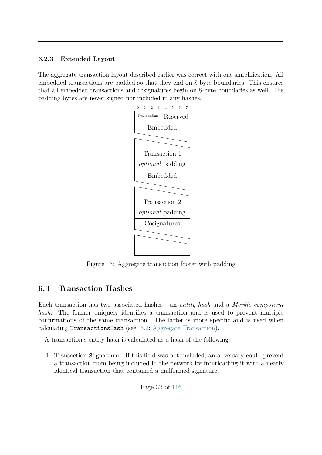### **6.2.3 Extended Layout**

The aggregate transaction layout described earlier was correct with one simplification. All embedded transactions are padded so that they end on 8-byte boundaries. This ensures that all embedded transactions and cosignatures begin on 8-byte boundaries as well. The padding bytes are never signed nor included in any hashes.



Figure 13: Aggregate transaction footer with padding

# **6.3 Transaction Hashes**

Each transaction has two associated hashes - an *entity hash* and a *Merkle component hash*. The former uniquely identifies a transaction and is used to prevent multiple confirmations of the same transaction. The latter is more specific and is used when calculating TransactionsHash (see [6.2:](#page-33-0) [Aggregate Transaction\)](#page-33-0).

A transaction's entity hash is calculated as a hash of the following:

1. Transaction Signature - If this field was not included, an adversary could prevent a transaction from being included in the network by frontloading it with a nearly identical transaction that contained a malformed signature.

Page 32 of [116](#page-122-0)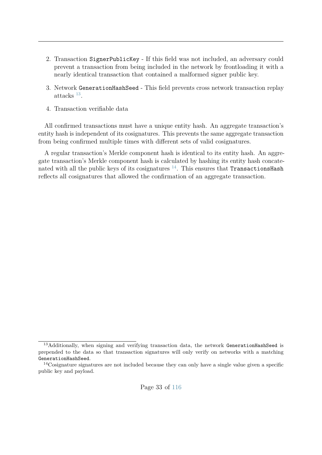- 2. Transaction SignerPublicKey If this field was not included, an adversary could prevent a transaction from being included in the network by frontloading it with a nearly identical transaction that contained a malformed signer public key.
- 3. Network GenerationHashSeed This field prevents cross network transaction replay attacks [13](#page-39-0) .
- 4. Transaction verifiable data

All confirmed transactions must have a unique entity hash. An aggregate transaction's entity hash is independent of its cosignatures. This prevents the same aggregate transaction from being confirmed multiple times with different sets of valid cosignatures.

A regular transaction's Merkle component hash is identical to its entity hash. An aggregate transaction's Merkle component hash is calculated by hashing its entity hash concatenated with all the public keys of its cosignatures  $14$ . This ensures that TransactionsHash reflects all cosignatures that allowed the confirmation of an aggregate transaction.

<span id="page-39-0"></span><sup>&</sup>lt;sup>13</sup>Additionally, when signing and verifying transaction data, the network GenerationHashSeed is prepended to the data so that transaction signatures will only verify on networks with a matching GenerationHashSeed.

<span id="page-39-1"></span><sup>&</sup>lt;sup>14</sup>Cosignature signatures are not included because they can only have a single value given a specific public key and payload.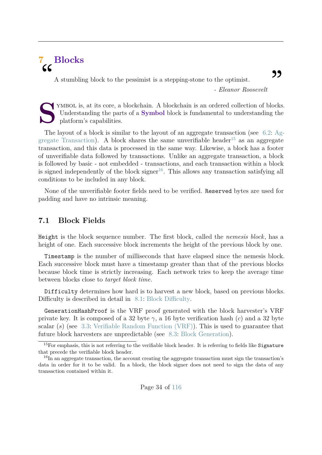# **7 Blocks**  $cc$

A stumbling block to the pessimist is a stepping-stone to the optimist.

*- Eleanor Roosevelt*

**S** YMBOL is, at its core, a blockchain. A blockchain is an ordered collection of blocks. Understanding the parts of a **Symbol** block is fundamental to understanding the platform's capabilities.

The layout of a block is similar to the layout of an aggregate transaction (see [6.2:](#page-33-0) [Ag](#page-33-0)[gregate Transaction\)](#page-33-0). A block shares the same unverifiable header<sup>[15](#page-40-0)</sup> as an aggregate transaction, and this data is processed in the same way. Likewise, a block has a footer of unverifiable data followed by transactions. Unlike an aggregate transaction, a block is followed by basic - not embedded - transactions, and each transaction within a block is signed independently of the block signer<sup>[16](#page-40-1)</sup>. This allows any transaction satisfying all conditions to be included in any block.

None of the unverifiable footer fields need to be verified. Reserved bytes are used for padding and have no intrinsic meaning.

### **7.1 Block Fields**

Height is the block sequence number. The first block, called the *nemesis block*, has a height of one. Each successive block increments the height of the previous block by one.

Timestamp is the number of milliseconds that have elapsed since the nemesis block. Each successive block must have a timestamp greater than that of the previous blocks because block time is strictly increasing. Each network tries to keep the average time between blocks close to *target block time*.

Difficulty determines how hard is to harvest a new block, based on previous blocks. Difficulty is described in detail in [8.1:](#page-49-0) [Block Difficulty.](#page-49-0)

GenerationHashProof is the VRF proof generated with the block harvester's VRF private key. It is composed of a 32 byte  $\gamma$ , a 16 byte verification hash (*c*) and a 32 byte scalar (*s*) (see [3.3:](#page-18-0) [Verifiable Random Function \(VRF\)\)](#page-18-0). This is used to guarantee that future block harvesters are unpredictable (see [8.3:](#page-50-0) [Block Generation\)](#page-50-0).

<span id="page-40-0"></span><sup>&</sup>lt;sup>15</sup>For emphasis, this is not referring to the verifiable block header. It is referring to fields like Signature that precede the verifiable block header.

<span id="page-40-1"></span><sup>&</sup>lt;sup>16</sup>In an aggregate transaction, the account creating the aggregate transaction must sign the transaction's data in order for it to be valid. In a block, the block signer does not need to sign the data of any transaction contained within it.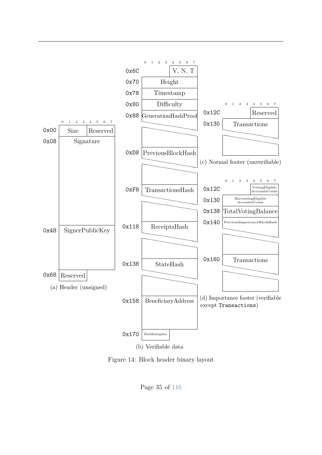

Figure 14: Block header binary layout

Page 35 of [116](#page-122-0)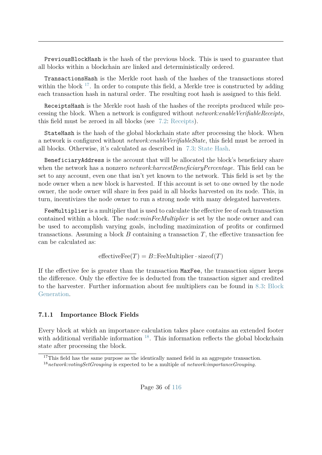PreviousBlockHash is the hash of the previous block. This is used to guarantee that all blocks within a blockchain are linked and deterministically ordered.

TransactionsHash is the Merkle root hash of the hashes of the transactions stored within the block  $17$ . In order to compute this field, a Merkle tree is constructed by adding each transaction hash in natural order. The resulting root hash is assigned to this field.

ReceiptsHash is the Merkle root hash of the hashes of the receipts produced while processing the block. When a network is configured without *network:enableVerifiableReceipts*, this field must be zeroed in all blocks (see [7.2:](#page-43-0) [Receipts\)](#page-43-0).

StateHash is the hash of the global blockchain state after processing the block. When a network is configured without *network:enableVerifiableState*, this field must be zeroed in all blocks. Otherwise, it's calculated as described in [7.3:](#page-46-0) [State Hash.](#page-46-0)

BeneficiaryAddress is the account that will be allocated the block's beneficiary share when the network has a nonzero *network:harvestBeneficiaryPercentage*. This field can be set to any account, even one that isn't yet known to the network. This field is set by the node owner when a new block is harvested. If this account is set to one owned by the node owner, the node owner will share in fees paid in all blocks harvested on its node. This, in turn, incentivizes the node owner to run a strong node with many delegated harvesters.

FeeMultiplier is a multiplier that is used to calculate the effective fee of each transaction contained within a block. The *node:minFeeMultiplier* is set by the node owner and can be used to accomplish varying goals, including maximization of profits or confirmed transactions. Assuming a block  $B$  containing a transaction  $T$ , the effective transaction fee can be calculated as:

 $effective\text{Fee}(T) = B$ ::FeeMultiplier · sizeof(*T*)

If the effective fee is greater than the transaction MaxFee, the transaction signer keeps the difference. Only the effective fee is deducted from the transaction signer and credited to the harvester. Further information about fee multipliers can be found in [8.3:](#page-50-0) [Block](#page-50-0) [Generation.](#page-50-0)

#### **7.1.1 Importance Block Fields**

Every block at which an importance calculation takes place contains an extended footer with additional verifiable information  $18$ . This information reflects the global blockchain state after processing the block.

<span id="page-42-0"></span><sup>&</sup>lt;sup>17</sup>This field has the same purpose as the identically named field in an aggregate transaction.

<span id="page-42-1"></span><sup>18</sup>*network:votingSetGrouping* is expected to be a multiple of *network:importanceGrouping*.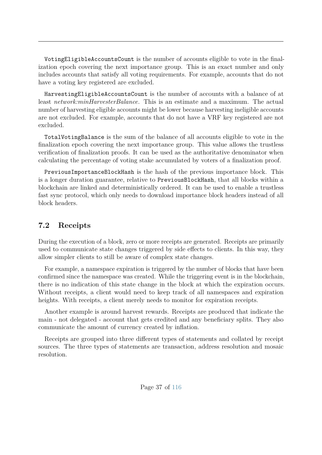VotingEligibleAccountsCount is the number of accounts eligible to vote in the finalization epoch covering the next importance group. This is an exact number and only includes accounts that satisfy all voting requirements. For example, accounts that do not have a voting key registered are excluded.

HarvestingEligibleAccountsCount is the number of accounts with a balance of at least *network:minHarvesterBalance*. This is an estimate and a maximum. The actual number of harvesting eligible accounts might be lower because harvesting ineligible accounts are not excluded. For example, accounts that do not have a VRF key registered are not excluded.

TotalVotingBalance is the sum of the balance of all accounts eligible to vote in the finalization epoch covering the next importance group. This value allows the trustless verification of finalization proofs. It can be used as the authoritative denominator when calculating the percentage of voting stake accumulated by voters of a finalization proof.

PreviousImportanceBlockHash is the hash of the previous importance block. This is a longer duration guarantee, relative to PreviousBlockHash, that all blocks within a blockchain are linked and deterministically ordered. It can be used to enable a trustless fast sync protocol, which only needs to download importance block headers instead of all block headers.

## <span id="page-43-0"></span>**7.2 Receipts**

During the execution of a block, zero or more receipts are generated. Receipts are primarily used to communicate state changes triggered by side effects to clients. In this way, they allow simpler clients to still be aware of complex state changes.

For example, a namespace expiration is triggered by the number of blocks that have been confirmed since the namespace was created. While the triggering event is in the blockchain, there is no indication of this state change in the block at which the expiration occurs. Without receipts, a client would need to keep track of all namespaces and expiration heights. With receipts, a client merely needs to monitor for expiration receipts.

Another example is around harvest rewards. Receipts are produced that indicate the main - not delegated - account that gets credited and any beneficiary splits. They also communicate the amount of currency created by inflation.

Receipts are grouped into three different types of statements and collated by receipt sources. The three types of statements are transaction, address resolution and mosaic resolution.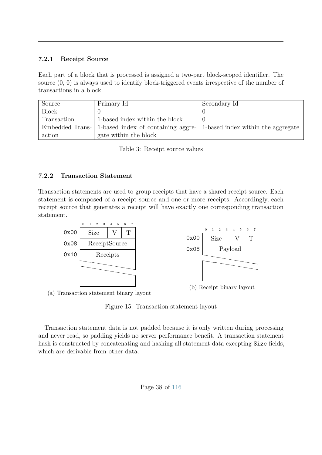### **7.2.1 Receipt Source**

Each part of a block that is processed is assigned a two-part block-scoped identifier. The source (0, 0) is always used to identify block-triggered events irrespective of the number of transactions in a block.

| Source       | Primary Id                                         | Secondary Id                       |
|--------------|----------------------------------------------------|------------------------------------|
| <b>Block</b> |                                                    |                                    |
| Transaction  | 1-based index within the block                     |                                    |
|              | Embedded Trans- 1-based index of containing aggre- | 1-based index within the aggregate |
| action       | gate within the block                              |                                    |

| Table 3: Receipt source values |  |  |  |  |  |
|--------------------------------|--|--|--|--|--|
|--------------------------------|--|--|--|--|--|

### **7.2.2 Transaction Statement**

Transaction statements are used to group receipts that have a shared receipt source. Each statement is composed of a receipt source and one or more receipts. Accordingly, each receipt source that generates a receipt will have exactly one corresponding transaction statement.



(a) Transaction statement binary layout

Figure 15: Transaction statement layout

Transaction statement data is not padded because it is only written during processing and never read, so padding yields no server performance benefit. A transaction statement hash is constructed by concatenating and hashing all statement data excepting Size fields, which are derivable from other data.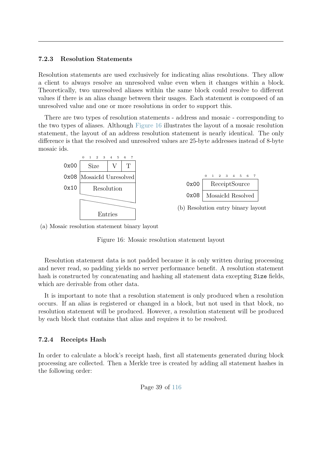#### **7.2.3 Resolution Statements**

Resolution statements are used exclusively for indicating alias resolutions. They allow a client to always resolve an unresolved value even when it changes within a block. Theoretically, two unresolved aliases within the same block could resolve to different values if there is an alias change between their usages. Each statement is composed of an unresolved value and one or more resolutions in order to support this.

There are two types of resolution statements - address and mosaic - corresponding to the two types of aliases. Although [Figure 16](#page-45-0) illustrates the layout of a mosaic resolution statement, the layout of an address resolution statement is nearly identical. The only difference is that the resolved and unresolved values are 25-byte addresses instead of 8-byte mosaic ids.

<span id="page-45-0"></span>

(a) Mosaic resolution statement binary layout

Figure 16: Mosaic resolution statement layout

Resolution statement data is not padded because it is only written during processing and never read, so padding yields no server performance benefit. A resolution statement hash is constructed by concatenating and hashing all statement data excepting Size fields, which are derivable from other data.

It is important to note that a resolution statement is only produced when a resolution occurs. If an alias is registered or changed in a block, but not used in that block, no resolution statement will be produced. However, a resolution statement will be produced by each block that contains that alias and requires it to be resolved.

#### <span id="page-45-1"></span>**7.2.4 Receipts Hash**

In order to calculate a block's receipt hash, first all statements generated during block processing are collected. Then a Merkle tree is created by adding all statement hashes in the following order: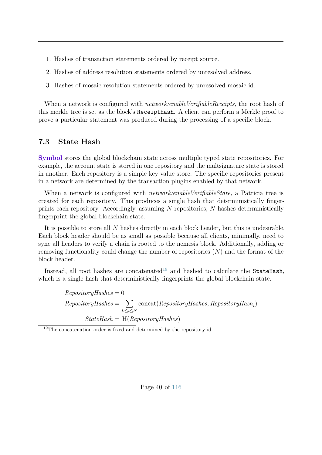- 1. Hashes of transaction statements ordered by receipt source.
- 2. Hashes of address resolution statements ordered by unresolved address.
- 3. Hashes of mosaic resolution statements ordered by unresolved mosaic id.

When a network is configured with *network:enableVerifiableReceipts*, the root hash of this merkle tree is set as the block's ReceiptHash. A client can perform a Merkle proof to prove a particular statement was produced during the processing of a specific block.

### <span id="page-46-0"></span>**7.3 State Hash**

**Symbol** stores the global blockchain state across multiple typed state repositories. For example, the account state is stored in one repository and the multsignature state is stored in another. Each repository is a simple key value store. The specific repositories present in a network are determined by the transaction plugins enabled by that network.

When a network is configured with *network:enableVerifiableState*, a Patricia tree is created for each repository. This produces a single hash that deterministically fingerprints each repository. Accordingly, assuming *N* repositories, *N* hashes deterministically fingerprint the global blockchain state.

It is possible to store all *N* hashes directly in each block header, but this is undesirable. Each block header should be as small as possible because all clients, minimally, need to sync all headers to verify a chain is rooted to the nemesis block. Additionally, adding or removing functionality could change the number of repositories (*N*) and the format of the block header.

Instead, all root hashes are concatenated<sup>[19](#page-46-1)</sup> and hashed to calculate the StateHash, which is a single hash that deterministically fingerprints the global blockchain state.

> $RepositoryHashes = 0$ *RepositoryHashes* = X 0≤*i*≤*N* concat(*RepositoryHashes, RepositoryHash<sup>i</sup>* ) *StateHash* = H(*RepositoryHashes*)

<span id="page-46-1"></span><sup>19</sup>The concatenation order is fixed and determined by the repository id.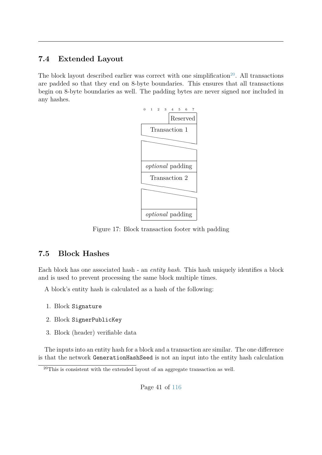# **7.4 Extended Layout**

The block layout described earlier was correct with one simplification<sup>[20](#page-47-0)</sup>. All transactions are padded so that they end on 8-byte boundaries. This ensures that all transactions begin on 8-byte boundaries as well. The padding bytes are never signed nor included in any hashes.



Figure 17: Block transaction footer with padding

## **7.5 Block Hashes**

Each block has one associated hash - an *entity hash*. This hash uniquely identifies a block and is used to prevent processing the same block multiple times.

A block's entity hash is calculated as a hash of the following:

- 1. Block Signature
- 2. Block SignerPublicKey
- 3. Block (header) verifiable data

The inputs into an entity hash for a block and a transaction are similar. The one difference is that the network GenerationHashSeed is not an input into the entity hash calculation

<span id="page-47-0"></span><sup>20</sup>This is consistent with the extended layout of an aggregate transaction as well.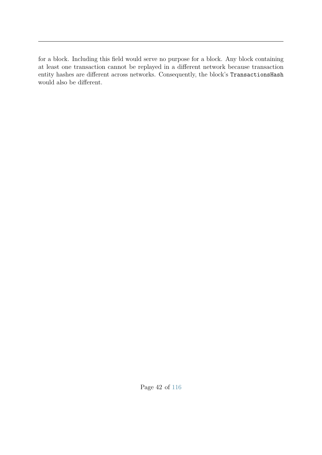for a block. Including this field would serve no purpose for a block. Any block containing at least one transaction cannot be replayed in a different network because transaction entity hashes are different across networks. Consequently, the block's TransactionsHash would also be different.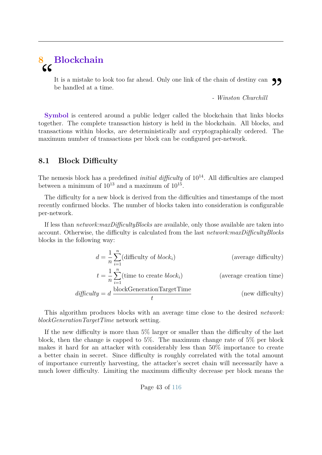# **8 Blockchain**  $cc$

It is a mistake to look too far ahead. Only one link of the chain of destiny can  $\bigcirc$  be handled at a time.<br>Winston Churchill - Winston Churchill be handled at a time.

*- Winston Churchill*

**Symbol** is centered around a public ledger called the blockchain that links blocks together. The complete transaction history is held in the blockchain. All blocks, and transactions within blocks, are deterministically and cryptographically ordered. The maximum number of transactions per block can be configured per-network.

### <span id="page-49-0"></span>**8.1 Block Difficulty**

The nemesis block has a predefined *initial difficulty* of  $10^{14}$ . All difficulties are clamped between a minimum of  $10^{13}$  and a maximum of  $10^{15}$ .

The difficulty for a new block is derived from the difficulties and timestamps of the most recently confirmed blocks. The number of blocks taken into consideration is configurable per-network.

If less than *network:maxDifficultyBlocks* are available, only those available are taken into account. Otherwise, the difficulty is calculated from the last *network:maxDifficultyBlocks* blocks in the following way:

$$
d = \frac{1}{n} \sum_{i=1}^{n} (\text{difficulty of block}_i)
$$
 (average difficulty)  

$$
t = \frac{1}{n} \sum_{i=1}^{n} (\text{time to create block}_i)
$$
 (average creation time)  

$$
difficulty = d \frac{\text{blockGenerationTargetTime}}{t}
$$
 (new difficulty)

This algorithm produces blocks with an average time close to the desired *network: blockGenerationTargetTime* network setting.

If the new difficulty is more than 5% larger or smaller than the difficulty of the last block, then the change is capped to 5%. The maximum change rate of 5% per block makes it hard for an attacker with considerably less than 50% importance to create a better chain in secret. Since difficulty is roughly correlated with the total amount of importance currently harvesting, the attacker's secret chain will necessarily have a much lower difficulty. Limiting the maximum difficulty decrease per block means the

Page 43 of [116](#page-122-0)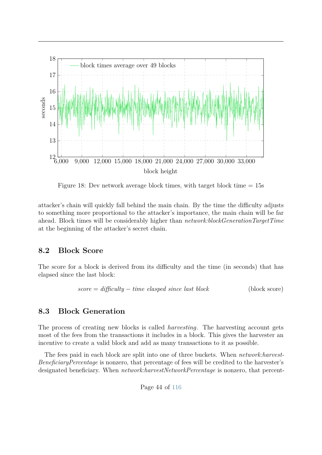

Figure 18: Dev network average block times, with target block time  $= 15$ s

attacker's chain will quickly fall behind the main chain. By the time the difficulty adjusts to something more proportional to the attacker's importance, the main chain will be far ahead. Block times will be considerably higher than *network:blockGenerationTargetTime* at the beginning of the attacker's secret chain.

### **8.2 Block Score**

The score for a block is derived from its difficulty and the time (in seconds) that has elapsed since the last block:

$$
score = difficulty - time\ elapsed\ since\ last\ block
$$
 (block score)

### <span id="page-50-0"></span>**8.3 Block Generation**

The process of creating new blocks is called *harvesting*. The harvesting account gets most of the fees from the transactions it includes in a block. This gives the harvester an incentive to create a valid block and add as many transactions to it as possible.

The fees paid in each block are split into one of three buckets. When *network:harvest-BeneficiaryPercentage* is nonzero, that percentage of fees will be credited to the harvester's designated beneficiary. When *network:harvestNetworkPercentage* is nonzero, that percent-

Page 44 of [116](#page-122-0)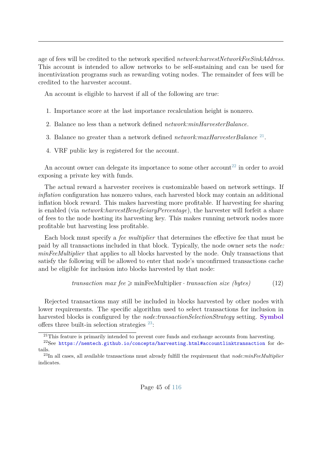age of fees will be credited to the network specified *network:harvestNetworkFeeSinkAddress*. This account is intended to allow networks to be self-sustaining and can be used for incentivization programs such as rewarding voting nodes. The remainder of fees will be credited to the harvester account.

An account is eligible to harvest if all of the following are true:

- 1. Importance score at the last importance recalculation height is nonzero.
- 2. Balance no less than a network defined *network:minHarvesterBalance*.
- 3. Balance no greater than a network defined *network:maxHarvesterBalance* [21](#page-51-0) .
- 4. VRF public key is registered for the account.

An account owner can delegate its importance to some other account<sup>[22](#page-51-1)</sup> in order to avoid exposing a private key with funds.

The actual reward a harvester receives is customizable based on network settings. If *inflation* configuration has nonzero values, each harvested block may contain an additional inflation block reward. This makes harvesting more profitable. If harvesting fee sharing is enabled (via *network:harvestBeneficiaryPercentage*), the harvester will forfeit a share of fees to the node hosting its harvesting key. This makes running network nodes more profitable but harvesting less profitable.

Each block must specify a *fee multiplier* that determines the effective fee that must be paid by all transactions included in that block. Typically, the node owner sets the *node: minFeeMultiplier* that applies to all blocks harvested by the node. Only transactions that satisfy the following will be allowed to enter that node's unconfirmed transactions cache and be eligible for inclusion into blocks harvested by that node:

$$
transaction \; max \; fee \geqslant \text{minFeeMultiplier} \cdot transaction \; size \; (bytes)
$$
\n(12)

Rejected transactions may still be included in blocks harvested by other nodes with lower requirements. The specific algorithm used to select transactions for inclusion in harvested blocks is configured by the *node:transactionSelectionStrategy* setting. **Symbol** offers three built-in selection strategies  $^{23}$  $^{23}$  $^{23}$ :

<span id="page-51-1"></span><span id="page-51-0"></span> $^{21}$ This feature is primarily intended to prevent core funds and exchange accounts from harvesting.

<sup>22</sup>See <https://nemtech.github.io/concepts/harvesting.html#accountlinktransaction> for details.

<span id="page-51-2"></span><sup>23</sup>In all cases, all available transactions must already fulfill the requirement that *node:minFeeMultiplier* indicates.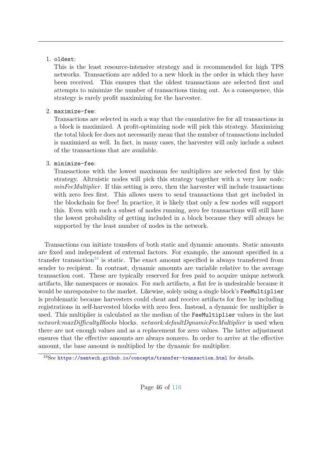### 1. oldest:

This is the least resource-intensive strategy and is recommended for high TPS networks. Transactions are added to a new block in the order in which they have been received. This ensures that the oldest transactions are selected first and attempts to minimize the number of transactions timing out. As a consequence, this strategy is rarely profit maximizing for the harvester.

### 2. maximize-fee:

Transactions are selected in such a way that the cumulative fee for all transactions in a block is maximized. A profit-optimizing node will pick this strategy. Maximizing the total block fee does not necessarily mean that the number of transactions included is maximized as well. In fact, in many cases, the harvester will only include a subset of the transactions that are available.

### 3. minimize-fee:

Transactions with the lowest maximum fee multipliers are selected first by this strategy. Altruistic nodes will pick this strategy together with a very low *node: minFeeMultiplier*. If this setting is zero, then the harvester will include transactions with zero fees first. This allows users to send transactions that get included in the blockchain for free! In practice, it is likely that only a few nodes will support this. Even with such a subset of nodes running, zero fee transactions will still have the lowest probability of getting included in a block because they will always be supported by the least number of nodes in the network.

Transactions can initiate transfers of both static and dynamic amounts. Static amounts are fixed and independent of external factors. For example, the amount specified in a transfer transaction<sup>[24](#page-52-0)</sup> is static. The exact amount specified is always transferred from sender to recipient. In contrast, dynamic amounts are variable relative to the average transaction cost. These are typically reserved for fees paid to acquire unique network artifacts, like namespaces or mosaics. For such artifacts, a flat fee is undesirable because it would be unresponsive to the market. Likewise, solely using a single block's FeeMultiplier is problematic because harvesters could cheat and receive artifacts for free by including registrations in self-harvested blocks with zero fees. Instead, a dynamic fee multiplier is used. This multiplier is calculated as the median of the FeeMultiplier values in the last *network:maxDifficultyBlocks* blocks. *network:defaultDynamicFeeMultiplier* is used when there are not enough values and as a replacement for zero values. The latter adjustment ensures that the effective amounts are always nonzero. In order to arrive at the effective amount, the base amount is multiplied by the dynamic fee multiplier.

<span id="page-52-0"></span><sup>24</sup>See <https://nemtech.github.io/concepts/transfer-transaction.html> for details.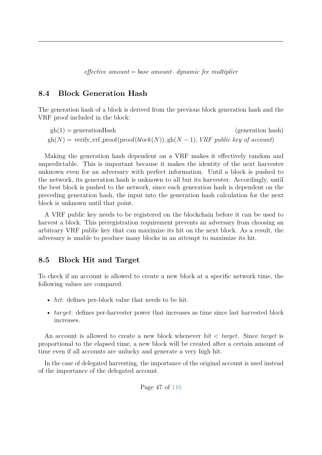*effective amount* = *base amount* · *dynamic fee multiplier*

### **8.4 Block Generation Hash**

The generation hash of a block is derived from the previous block generation hash and the VRF proof included in the block:

 $gh(1) =$  generationHash (generation hash)  $gh(N) = \text{verify\_vrf\_proof}(\text{proof}(block(N)), gh(N-1), VRF \text{ public key of account})$ 

Making the generation hash dependent on a VRF makes it effectively random and unpredictable. This is important because it makes the identity of the next harvester unknown even for an adversary with perfect information. Until a block is pushed to the network, its generation hash is unknown to all but its harvester. Accordingly, until the best block is pushed to the network, since each generation hash is dependent on the preceding generation hash, the input into the generation hash calculation for the next block is unknown until that point.

A VRF public key needs to be registered on the blockchain before it can be used to harvest a block. This preregistration requirement prevents an adversary from choosing an arbitrary VRF public key that can maximize its hit on the next block. As a result, the adversary is unable to produce many blocks in an attempt to maximize its hit.

### **8.5 Block Hit and Target**

To check if an account is allowed to create a new block at a specific network time, the following values are compared:

- *hit*: defines per-block value that needs to be hit.
- *target*: defines per-harvester power that increases as time since last harvested block increases.

An account is allowed to create a new block whenever *hit < target*. Since *target* is proportional to the elapsed time, a new block will be created after a certain amount of time even if all accounts are unlucky and generate a very high hit.

In the case of delegated harvesting, the importance of the original account is used instead of the importance of the delegated account.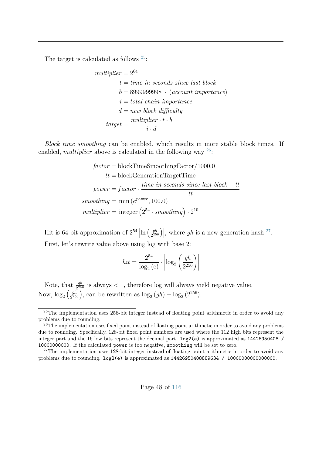The target is calculated as follows [25](#page-54-0):

$$
multiplier = 2^{64}
$$
  
\n $t = time$  in seconds since last block  
\n $b = 899999998 \cdot (account importance)$   
\n $i = total chain importance$   
\n $d = new block difficulty$   
\n
$$
target = \frac{multiplier \cdot t \cdot b}{i \cdot d}
$$

*Block time smoothing* can be enabled, which results in more stable block times. If enabled, *multiplier* above is calculated in the following way <sup>[26](#page-54-1)</sup>:

$$
factor = \text{blockTimeSmoothingFactor}/1000.0
$$

$$
tt = \text{blockGenerationTargetTime}
$$

$$
power = factor \cdot \frac{time \text{ in seconds since last block} - tt}{tt}
$$

$$
smoothing = \min(e^{power}, 100.0)
$$

$$
multiplier = \text{integer} (2^{54} \cdot smoothing) \cdot 2^{10}
$$

Hit is 64-bit approximation of  $2^{54}$   $\ln \left( \frac{gh}{2^{25}} \right)$  $\left(\frac{gh}{2^{256}}\right)\right|$ , where *gh* is a new generation hash <sup>[27](#page-54-2)</sup>. First, let's rewrite value above using log with base 2:

$$
hit = \frac{2^{54}}{\log_2(e)} \cdot \left| \log_2\left(\frac{gh}{2^{256}}\right) \right|
$$

Note, that  $\frac{gh}{2^{256}}$  is always  $\lt 1$ , therefore log will always yield negative value. Now,  $\log_2\left(\frac{gh}{2^{25}}\right)$  $\frac{gh}{2^{256}}$ , can be rewritten as  $\log_2(gh) - \log_2(2^{256})$ .

<span id="page-54-0"></span> $25$ The implementation uses 256-bit integer instead of floating point arithmetic in order to avoid any problems due to rounding.

<span id="page-54-1"></span><sup>&</sup>lt;sup>26</sup>The implementation uses fixed point instead of floating point arithmetic in order to avoid any problems due to rounding. Specifically, 128-bit fixed point numbers are used where the 112 high bits represent the integer part and the 16 low bits represent the decimal part. log2(e) is approximated as 14426950408 / 10000000000. If the calculated power is too negative, smoothing will be set to zero.

<span id="page-54-2"></span> $27$ The implementation uses 128-bit integer instead of floating point arithmetic in order to avoid any problems due to rounding. log2(e) is approximated as 14426950408889634 / 10000000000000000.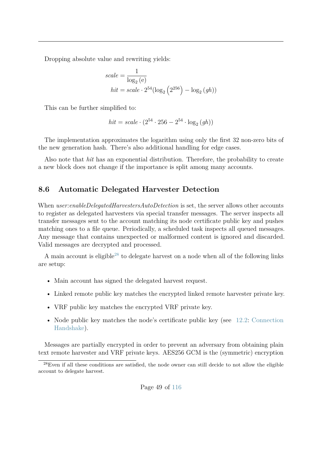Dropping absolute value and rewriting yields:

$$
scale = \frac{1}{\log_2(e)}
$$
  
hit = scale · 2<sup>54</sup>(log<sub>2</sub> (2<sup>256</sup>) – log<sub>2</sub> (gh))

This can be further simplified to:

$$
hit = scale \cdot (2^{54} \cdot 256 - 2^{54} \cdot \log_2(gh))
$$

The implementation approximates the logarithm using only the first 32 non-zero bits of the new generation hash. There's also additional handling for edge cases.

Also note that *hit* has an exponential distribution. Therefore, the probability to create a new block does not change if the importance is split among many accounts.

### **8.6 Automatic Delegated Harvester Detection**

When *user:enableDelegatedHarvestersAutoDetection* is set, the server allows other accounts to register as delegated harvesters via special transfer messages. The server inspects all transfer messages sent to the account matching its node certificate public key and pushes matching ones to a file queue. Periodically, a scheduled task inspects all queued messages. Any message that contains unexpected or malformed content is ignored and discarded. Valid messages are decrypted and processed.

A main account is eligible<sup>[28](#page-55-0)</sup> to delegate harvest on a node when all of the following links are setup:

- Main account has signed the delegated harvest request.
- Linked remote public key matches the encrypted linked remote harvester private key.
- VRF public key matches the encrypted VRF private key.
- Node public key matches the node's certificate public key (see [12.2:](#page-75-0) [Connection](#page-75-0) [Handshake\)](#page-75-0).

Messages are partially encrypted in order to prevent an adversary from obtaining plain text remote harvester and VRF private keys. AES256 GCM is the (symmetric) encryption

<span id="page-55-0"></span><sup>28</sup>Even if all these conditions are satisfied, the node owner can still decide to not allow the eligible account to delegate harvest.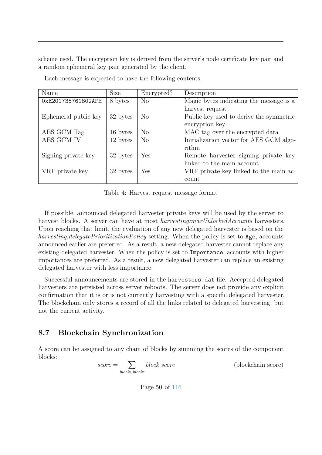scheme used. The encryption key is derived from the server's node certificate key pair and a random ephemeral key pair generated by the client.

| Name                 | <b>Size</b> | Encrypted?     | Description                             |
|----------------------|-------------|----------------|-----------------------------------------|
| 0xE201735761802AFE   | 8 bytes     | N <sub>o</sub> | Magic bytes indicating the message is a |
|                      |             |                | harvest request                         |
| Ephemeral public key | 32 bytes    | N <sub>o</sub> | Public key used to derive the symmetric |
|                      |             |                | encryption key                          |
| AES GCM Tag          | 16 bytes    | N <sub>o</sub> | MAC tag over the encrypted data         |
| AES GCM IV           | 12 bytes    | N <sub>o</sub> | Initialization vector for AES GCM algo- |
|                      |             |                | rithm                                   |
| Signing private key  | 32 bytes    | Yes            | Remote harvester signing private key    |
|                      |             |                | linked to the main account              |
| VRF private key      | 32 bytes    | Yes            | VRF private key linked to the main ac-  |
|                      |             |                | count                                   |

Each message is expected to have the following contents:

Table 4: Harvest request message format

If possible, announced delegated harvester private keys will be used by the server to harvest blocks. A server can have at most *harvesting:maxUnlockedAccounts* harvesters. Upon reaching that limit, the evaluation of any new delegated harvester is based on the *harvesting:delegatePrioritizationPolicy* setting. When the policy is set to Age, accounts announced earlier are preferred. As a result, a new delegated harvester cannot replace any existing delegated harvester. When the policy is set to Importance, accounts with higher importances are preferred. As a result, a new delegated harvester can replace an existing delegated harvester with less importance.

Successful announcements are stored in the harvesters.dat file. Accepted delegated harvesters are persisted across server reboots. The server does not provide any explicit confirmation that it is or is not currently harvesting with a specific delegated harvester. The blockchain only stores a record of all the links related to delegated harvesting, but not the current activity.

### **8.7 Blockchain Synchronization**

A score can be assigned to any chain of blocks by summing the scores of the component blocks:

$$
score = \sum_{block \in blocks} block \; score
$$
 (blockchain score)

Page 50 of [116](#page-122-0)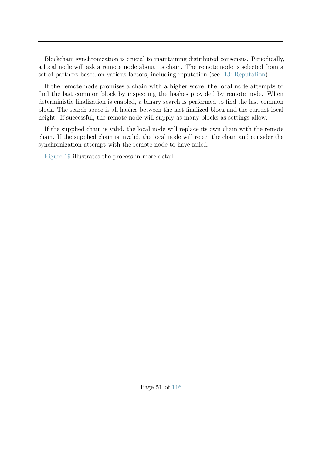Blockchain synchronization is crucial to maintaining distributed consensus. Periodically, a local node will ask a remote node about its chain. The remote node is selected from a set of partners based on various factors, including reputation (see [13:](#page-80-0) [Reputation\)](#page-80-0).

If the remote node promises a chain with a higher score, the local node attempts to find the last common block by inspecting the hashes provided by remote node. When deterministic finalization is enabled, a binary search is performed to find the last common block. The search space is all hashes between the last finalized block and the current local height. If successful, the remote node will supply as many blocks as settings allow.

If the supplied chain is valid, the local node will replace its own chain with the remote chain. If the supplied chain is invalid, the local node will reject the chain and consider the synchronization attempt with the remote node to have failed.

[Figure 19](#page-58-0) illustrates the process in more detail.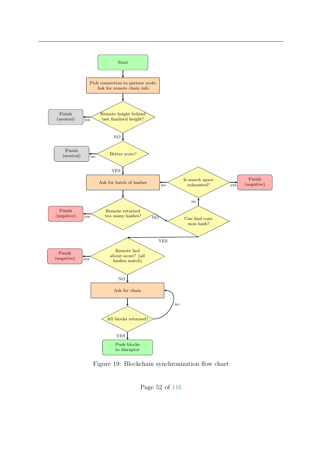<span id="page-58-0"></span>

Figure 19: Blockchain synchronization flow chart

Page 52 of [116](#page-122-0)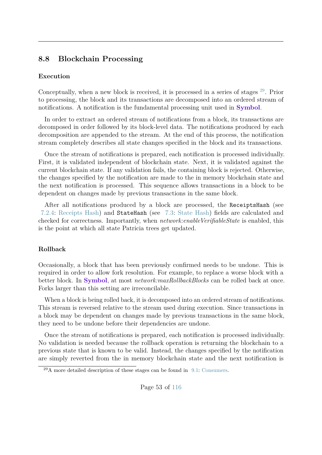### **8.8 Blockchain Processing**

#### **Execution**

Conceptually, when a new block is received, it is processed in a series of stages [29](#page-59-0). Prior to processing, the block and its transactions are decomposed into an ordered stream of notifications. A notification is the fundamental processing unit used in **Symbol**.

In order to extract an ordered stream of notifications from a block, its transactions are decomposed in order followed by its block-level data. The notifications produced by each decomposition are appended to the stream. At the end of this process, the notification stream completely describes all state changes specified in the block and its transactions.

Once the stream of notifications is prepared, each notification is processed individually. First, it is validated independent of blockchain state. Next, it is validated against the current blockchain state. If any validation fails, the containing block is rejected. Otherwise, the changes specified by the notification are made to the in memory blockchain state and the next notification is processed. This sequence allows transactions in a block to be dependent on changes made by previous transactions in the same block.

After all notifications produced by a block are processed, the ReceiptsHash (see [7.2.4:](#page-45-1) [Receipts Hash\)](#page-45-1) and StateHash (see [7.3:](#page-46-0) [State Hash\)](#page-46-0) fields are calculated and checked for correctness. Importantly, when *network:enableVerifiableState* is enabled, this is the point at which all state Patricia trees get updated.

#### **Rollback**

Occasionally, a block that has been previously confirmed needs to be undone. This is required in order to allow fork resolution. For example, to replace a worse block with a better block. In **Symbol**, at most *network:maxRollbackBlocks* can be rolled back at once. Forks larger than this setting are irreconcilable.

When a block is being rolled back, it is decomposed into an ordered stream of notifications. This stream is reversed relative to the stream used during execution. Since transactions in a block may be dependent on changes made by previous transactions in the same block, they need to be undone before their dependencies are undone.

Once the stream of notifications is prepared, each notification is processed individually. No validation is needed because the rollback operation is returning the blockchain to a previous state that is known to be valid. Instead, the changes specified by the notification are simply reverted from the in memory blockchain state and the next notification is

<span id="page-59-0"></span> $^{29}$ A more detailed description of these stages can be found in [9.1:](#page-62-0) [Consumers.](#page-62-0)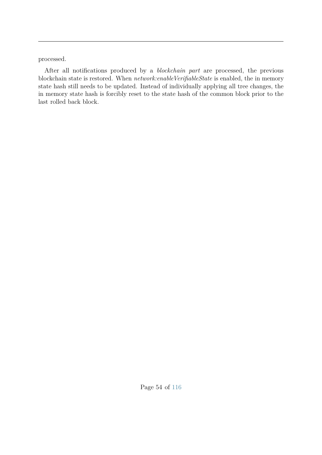processed.

After all notifications produced by a *blockchain part* are processed, the previous blockchain state is restored. When *network:enableVerifiableState* is enabled, the in memory state hash still needs to be updated. Instead of individually applying all tree changes, the in memory state hash is forcibly reset to the state hash of the common block prior to the last rolled back block.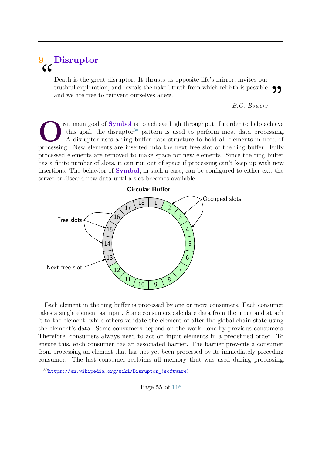# <span id="page-61-1"></span>**9 Disruptor**  $\epsilon$

Death is the great disruptor. It thrusts us opposite life's mirror, invites our truthful exploration, and reveals the naked truth from which rebirth is possible and we are free to reinvent ourselves anew. **99** 

*- B.G. Bowers*

**O**<sup>NE main goal of **Symbol** is to achieve high throughput. In order to help achieve<br>this goal, the disruptor<sup>30</sup> pattern is used to perform most data processing<br>A disruptor uses a ring buffer data structure to hold all e</sup> ne main goal of **Symbol** is to achieve high throughput. In order to help achieve this goal, the disruptor<sup>[30](#page-61-0)</sup> pattern is used to perform most data processing. A disruptor uses a ring buffer data structure to hold all elements in need of processed elements are removed to make space for new elements. Since the ring buffer has a finite number of slots, it can run out of space if processing can't keep up with new insertions. The behavior of **Symbol**, in such a case, can be configured to either exit the server or discard new data until a slot becomes available.



Each element in the ring buffer is processed by one or more consumers. Each consumer takes a single element as input. Some consumers calculate data from the input and attach it to the element, while others validate the element or alter the global chain state using the element's data. Some consumers depend on the work done by previous consumers. Therefore, consumers always need to act on input elements in a predefined order. To ensure this, each consumer has an associated barrier. The barrier prevents a consumer from processing an element that has not yet been processed by its immediately preceding consumer. The last consumer reclaims all memory that was used during processing.

Page 55 of [116](#page-122-0)

<span id="page-61-0"></span><sup>30</sup>[https://en.wikipedia.org/wiki/Disruptor\\_\(software\)](https://en.wikipedia.org/wiki/Disruptor_(software))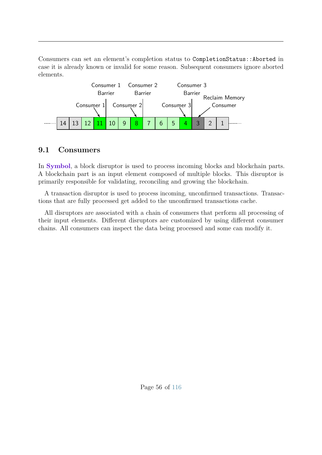Consumers can set an element's completion status to CompletionStatus::Aborted in case it is already known or invalid for some reason. Subsequent consumers ignore aborted elements.



### <span id="page-62-0"></span>**9.1 Consumers**

In **Symbol**, a block disruptor is used to process incoming blocks and blockchain parts. A blockchain part is an input element composed of multiple blocks. This disruptor is primarily responsible for validating, reconciling and growing the blockchain.

A transaction disruptor is used to process incoming, unconfirmed transactions. Transactions that are fully processed get added to the unconfirmed transactions cache.

All disruptors are associated with a chain of consumers that perform all processing of their input elements. Different disruptors are customized by using different consumer chains. All consumers can inspect the data being processed and some can modify it.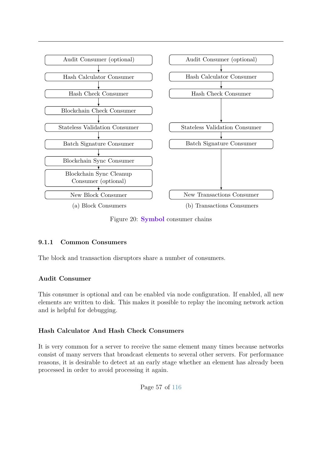

Figure 20: **Symbol** consumer chains

#### <span id="page-63-0"></span>**9.1.1 Common Consumers**

The block and transaction disruptors share a number of consumers.

#### **Audit Consumer**

This consumer is optional and can be enabled via node configuration. If enabled, all new elements are written to disk. This makes it possible to replay the incoming network action and is helpful for debugging.

#### **Hash Calculator And Hash Check Consumers**

It is very common for a server to receive the same element many times because networks consist of many servers that broadcast elements to several other servers. For performance reasons, it is desirable to detect at an early stage whether an element has already been processed in order to avoid processing it again.

Page 57 of [116](#page-122-0)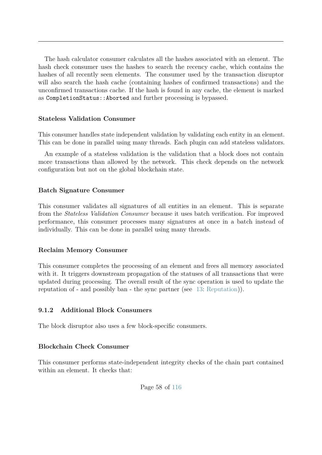The hash calculator consumer calculates all the hashes associated with an element. The hash check consumer uses the hashes to search the recency cache, which contains the hashes of all recently seen elements. The consumer used by the transaction disruptor will also search the hash cache (containing hashes of confirmed transactions) and the unconfirmed transactions cache. If the hash is found in any cache, the element is marked as CompletionStatus::Aborted and further processing is bypassed.

#### **Stateless Validation Consumer**

This consumer handles state independent validation by validating each entity in an element. This can be done in parallel using many threads. Each plugin can add stateless validators.

An example of a stateless validation is the validation that a block does not contain more transactions than allowed by the network. This check depends on the network configuration but not on the global blockchain state.

#### **Batch Signature Consumer**

This consumer validates all signatures of all entities in an element. This is separate from the *Stateless Validation Consumer* because it uses batch verification. For improved performance, this consumer processes many signatures at once in a batch instead of individually. This can be done in parallel using many threads.

#### **Reclaim Memory Consumer**

This consumer completes the processing of an element and frees all memory associated with it. It triggers downstream propagation of the statuses of all transactions that were updated during processing. The overall result of the sync operation is used to update the reputation of - and possibly ban - the sync partner (see [13:](#page-80-0) [Reputation\)](#page-80-0)).

#### **9.1.2 Additional Block Consumers**

The block disruptor also uses a few block-specific consumers.

#### **Blockchain Check Consumer**

This consumer performs state-independent integrity checks of the chain part contained within an element. It checks that: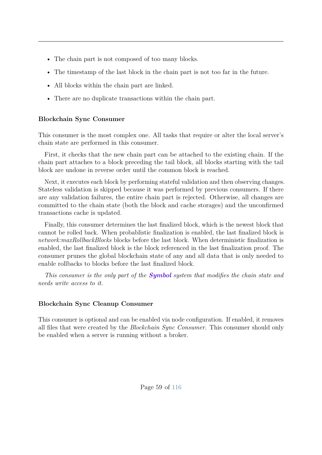- The chain part is not composed of too many blocks.
- The timestamp of the last block in the chain part is not too far in the future.
- All blocks within the chain part are linked.
- There are no duplicate transactions within the chain part.

### **Blockchain Sync Consumer**

This consumer is the most complex one. All tasks that require or alter the local server's chain state are performed in this consumer.

First, it checks that the new chain part can be attached to the existing chain. If the chain part attaches to a block preceding the tail block, all blocks starting with the tail block are undone in reverse order until the common block is reached.

Next, it executes each block by performing stateful validation and then observing changes. Stateless validation is skipped because it was performed by previous consumers. If there are any validation failures, the entire chain part is rejected. Otherwise, all changes are committed to the chain state (both the block and cache storages) and the unconfirmed transactions cache is updated.

Finally, this consumer determines the last finalized block, which is the newest block that cannot be rolled back. When probablistic finalization is enabled, the last finalized block is *network:maxRollbackBlocks* blocks before the last block. When deterministic finalization is enabled, the last finalized block is the block referenced in the last finalization proof. The consumer prunes the global blockchain state of any and all data that is only needed to enable rollbacks to blocks before the last finalized block.

*This consumer is the only part of the Symbol system that modifies the chain state and needs write access to it.*

### **Blockchain Sync Cleanup Consumer**

This consumer is optional and can be enabled via node configuration. If enabled, it removes all files that were created by the *Blockchain Sync Consumer*. This consumer should only be enabled when a server is running without a broker.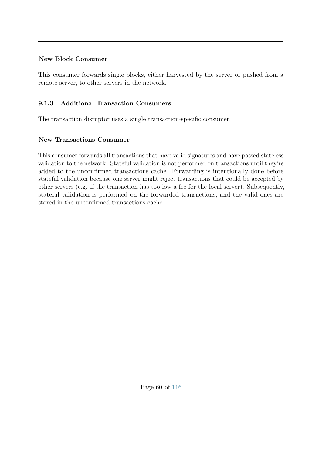#### **New Block Consumer**

This consumer forwards single blocks, either harvested by the server or pushed from a remote server, to other servers in the network.

### <span id="page-66-0"></span>**9.1.3 Additional Transaction Consumers**

The transaction disruptor uses a single transaction-specific consumer.

#### **New Transactions Consumer**

This consumer forwards all transactions that have valid signatures and have passed stateless validation to the network. Stateful validation is not performed on transactions until they're added to the unconfirmed transactions cache. Forwarding is intentionally done before stateful validation because one server might reject transactions that could be accepted by other servers (e.g. if the transaction has too low a fee for the local server). Subsequently, stateful validation is performed on the forwarded transactions, and the valid ones are stored in the unconfirmed transactions cache.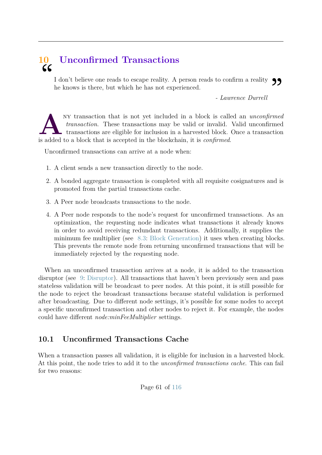# **10 Unconfirmed Transactions**  $cc$

I don't believe one reads to escape reality. A person reads to confirm a reality  $\bigcirc$  he knows is there, but which he has not experienced.<br>
- Lawrence Durrell he knows is there, but which he has not experienced.

*- Lawrence Durrell*

A<br> **A**<br> *A*<br> *A*<br> *A*<br> *A*<br> *A*<br> *Transaction.* These transactions may be valid or invalid.<br> *Transactions* are eligible for inclusion in a harvested block.<br>
is added to a block that is accepted in the blockchain, it is *c* ny transaction that is not yet included in a block is called an *unconfirmed transaction*. These transactions may be valid or invalid. Valid unconfirmed transactions are eligible for inclusion in a harvested block. Once a transaction

Unconfirmed transactions can arrive at a node when:

- 1. A client sends a new transaction directly to the node.
- 2. A bonded aggregate transaction is completed with all requisite cosignatures and is promoted from the partial transactions cache.
- 3. A Peer node broadcasts transactions to the node.
- 4. A Peer node responds to the node's request for unconfirmed transactions. As an optimization, the requesting node indicates what transactions it already knows in order to avoid receiving redundant transactions. Additionally, it supplies the minimum fee multiplier (see [8.3:](#page-50-0) [Block Generation\)](#page-50-0) it uses when creating blocks. This prevents the remote node from returning unconfirmed transactions that will be immediately rejected by the requesting node.

When an unconfirmed transaction arrives at a node, it is added to the transaction disruptor (see [9:](#page-61-1) [Disruptor\)](#page-61-1). All transactions that haven't been previously seen and pass stateless validation will be broadcast to peer nodes. At this point, it is still possible for the node to reject the broadcast transactions because stateful validation is performed after broadcasting. Due to different node settings, it's possible for some nodes to accept a specific unconfirmed transaction and other nodes to reject it. For example, the nodes could have different *node:minFeeMultiplier* settings.

# **10.1 Unconfirmed Transactions Cache**

When a transaction passes all validation, it is eligible for inclusion in a harvested block. At this point, the node tries to add it to the *unconfirmed transactions cache*. This can fail for two reasons: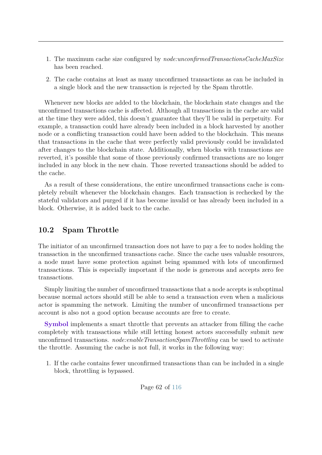- 1. The maximum cache size configured by *node:unconfirmedTransactionsCacheMaxSize* has been reached.
- 2. The cache contains at least as many unconfirmed transactions as can be included in a single block and the new transaction is rejected by the Spam throttle.

Whenever new blocks are added to the blockchain, the blockchain state changes and the unconfirmed transactions cache is affected. Although all transactions in the cache are valid at the time they were added, this doesn't guarantee that they'll be valid in perpetuity. For example, a transaction could have already been included in a block harvested by another node or a conflicting transaction could have been added to the blockchain. This means that transactions in the cache that were perfectly valid previously could be invalidated after changes to the blockchain state. Additionally, when blocks with transactions are reverted, it's possible that some of those previously confirmed transactions are no longer included in any block in the new chain. Those reverted transactions should be added to the cache.

As a result of these considerations, the entire unconfirmed transactions cache is completely rebuilt whenever the blockchain changes. Each transaction is rechecked by the stateful validators and purged if it has become invalid or has already been included in a block. Otherwise, it is added back to the cache.

## **10.2 Spam Throttle**

The initiator of an unconfirmed transaction does not have to pay a fee to nodes holding the transaction in the unconfirmed transactions cache. Since the cache uses valuable resources, a node must have some protection against being spammed with lots of unconfirmed transactions. This is especially important if the node is generous and accepts zero fee transactions.

Simply limiting the number of unconfirmed transactions that a node accepts is suboptimal because normal actors should still be able to send a transaction even when a malicious actor is spamming the network. Limiting the number of unconfirmed transactions per account is also not a good option because accounts are free to create.

**Symbol** implements a smart throttle that prevents an attacker from filling the cache completely with transactions while still letting honest actors successfully submit new unconfirmed transactions. *node:enableTransactionSpamThrottling* can be used to activate the throttle. Assuming the cache is not full, it works in the following way:

1. If the cache contains fewer unconfirmed transactions than can be included in a single block, throttling is bypassed.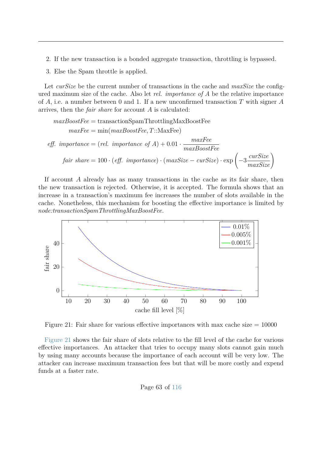- 2. If the new transaction is a bonded aggregate transaction, throttling is bypassed.
- 3. Else the Spam throttle is applied.

Let *curSize* be the current number of transactions in the cache and *maxSize* the configured maximum size of the cache. Also let *rel. importance of A* be the relative importance of *A*, i.e. a number between 0 and 1. If a new unconfirmed transaction *T* with signer *A* arrives, then the *fair share* for account *A* is calculated:

$$
maxBoostFree = \text{transactionSpamThrottlingMaxBoostFree}
$$
  
\n
$$
maxFree = \min(maxBoostFree, T::MaxFree)
$$
  
\n
$$
eff. \text{ importance} = (rel. \text{ importance of } A) + 0.01 \cdot \frac{maxFree}{maxBoostFree}
$$
  
\n
$$
fair \text{ share} = 100 \cdot (eff. \text{ importance}) \cdot (maxSize - cursize) \cdot \exp\left(-3 \frac{curSize}{maxSize}\right)
$$

If account *A* already has as many transactions in the cache as its fair share, then the new transaction is rejected. Otherwise, it is accepted. The formula shows that an increase in a transaction's maximum fee increases the number of slots available in the cache. Nonetheless, this mechanism for boosting the effective importance is limited by *node:transactionSpamThrottlingMaxBoostFee*.

<span id="page-69-0"></span>

Figure 21: Fair share for various effective importances with max cache size  $= 10000$ 

[Figure 21](#page-69-0) shows the fair share of slots relative to the fill level of the cache for various effective importances. An attacker that tries to occupy many slots cannot gain much by using many accounts because the importance of each account will be very low. The attacker can increase maximum transaction fees but that will be more costly and expend funds at a faster rate.

Page 63 of [116](#page-122-0)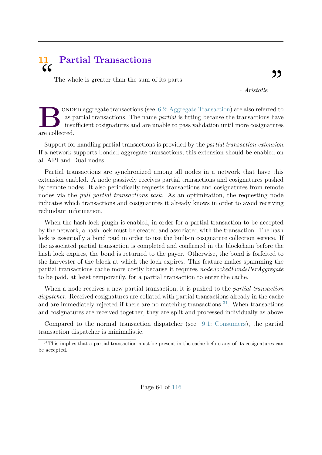# **11 Partial Transactions**  $cc$

The whole is greater than the sum of its parts.

*- Aristotle*

**B**as p<br>
are collected. onded aggregate transactions (see [6.2:](#page-33-0) [Aggregate Transaction\)](#page-33-0) are also referred to as partial transactions. The name *partial* is fitting because the transactions have insufficient cosignatures and are unable to pass validation until more cosignatures

Support for handling partial transactions is provided by the *partial transaction extension*. If a network supports bonded aggregate transactions, this extension should be enabled on all API and Dual nodes.

Partial transactions are synchronized among all nodes in a network that have this extension enabled. A node passively receives partial transactions and cosignatures pushed by remote nodes. It also periodically requests transactions and cosignatures from remote nodes via the *pull partial transactions task*. As an optimization, the requesting node indicates which transactions and cosignatures it already knows in order to avoid receiving redundant information.

When the hash lock plugin is enabled, in order for a partial transaction to be accepted by the network, a hash lock must be created and associated with the transaction. The hash lock is essentially a bond paid in order to use the built-in cosignature collection service. If the associated partial transaction is completed and confirmed in the blockchain before the hash lock expires, the bond is returned to the payer. Otherwise, the bond is forfeited to the harvester of the block at which the lock expires. This feature makes spamming the partial transactions cache more costly because it requires *node:lockedFundsPerAggregate* to be paid, at least temporarily, for a partial transaction to enter the cache.

When a node receives a new partial transaction, it is pushed to the *partial transaction dispatcher*. Received cosignatures are collated with partial transactions already in the cache and are immediately rejected if there are no matching transactions  $31$ . When transactions and cosignatures are received together, they are split and processed individually as above.

Compared to the normal transaction dispatcher (see [9.1:](#page-62-0) [Consumers\)](#page-62-0), the partial transaction dispatcher is minimalistic.

<span id="page-70-0"></span><sup>&</sup>lt;sup>31</sup>This implies that a partial transaction must be present in the cache before any of its cosignatures can be accepted.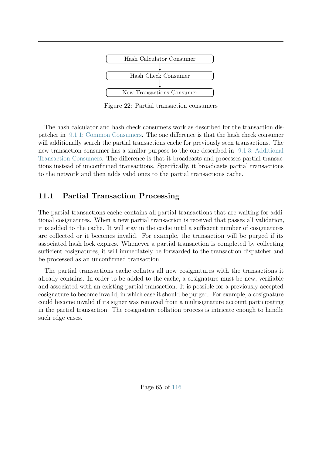

Figure 22: Partial transaction consumers

The hash calculator and hash check consumers work as described for the transaction dispatcher in [9.1.1:](#page-63-0) [Common Consumers.](#page-63-0) The one difference is that the hash check consumer will additionally search the partial transactions cache for previously seen transactions. The new transaction consumer has a similar purpose to the one described in [9.1.3:](#page-66-0) [Additional](#page-66-0) [Transaction Consumers.](#page-66-0) The difference is that it broadcasts and processes partial transactions instead of unconfirmed transactions. Specifically, it broadcasts partial transactions to the network and then adds valid ones to the partial transactions cache.

# **11.1 Partial Transaction Processing**

The partial transactions cache contains all partial transactions that are waiting for additional cosignatures. When a new partial transaction is received that passes all validation, it is added to the cache. It will stay in the cache until a sufficient number of cosignatures are collected or it becomes invalid. For example, the transaction will be purged if its associated hash lock expires. Whenever a partial transaction is completed by collecting sufficient cosignatures, it will immediately be forwarded to the transaction dispatcher and be processed as an unconfirmed transaction.

The partial transactions cache collates all new cosignatures with the transactions it already contains. In order to be added to the cache, a cosignature must be new, verifiable and associated with an existing partial transaction. It is possible for a previously accepted cosignature to become invalid, in which case it should be purged. For example, a cosignature could become invalid if its signer was removed from a multisignature account participating in the partial transaction. The cosignature collation process is intricate enough to handle such edge cases.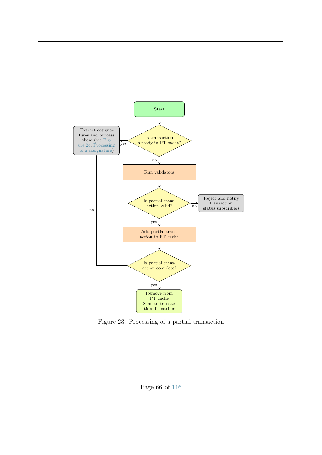

Figure 23: Processing of a partial transaction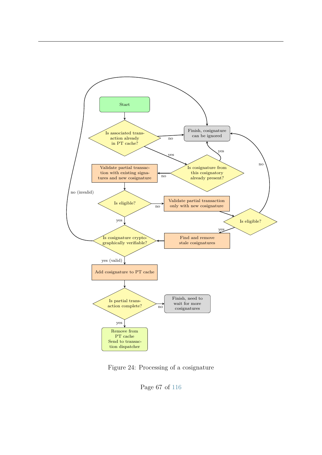<span id="page-73-0"></span>

Figure 24: Processing of a cosignature

Page 67 of [116](#page-122-0)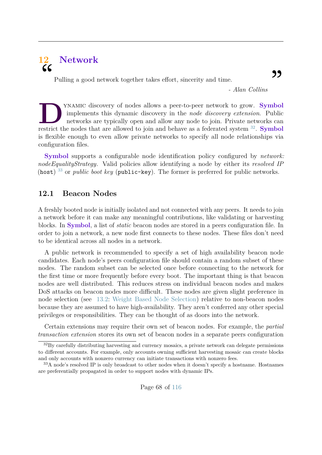# **12 Network** "

Pulling a good network together takes effort, sincerity and time.

*- Alan Collins*

,,

THE TERRY ISLAMIC discovery of nodes allows a peer-to-peer network to grow. **Symbol** implements this dynamic discovery in the *node discovery extension*. Public networks are typically open and allow any node to join. Priva ynamic discovery of nodes allows a peer-to-peer network to grow. **Symbol** implements this dynamic discovery in the *node discovery extension*. Public networks are typically open and allow any node to join. Private networks can is flexible enough to even allow private networks to specify all node relationships via configuration files.

**Symbol** supports a configurable node identification policy configured by *network: nodeEqualityStrategy*. Valid policies allow identifying a node by either its *resolved IP* (host) [33](#page-74-1) or *public boot key* (public-key). The former is preferred for public networks.

# **12.1 Beacon Nodes**

A freshly booted node is initially isolated and not connected with any peers. It needs to join a network before it can make any meaningful contributions, like validating or harvesting blocks. In **Symbol**, a list of *static* beacon nodes are stored in a peers configuration file. In order to join a network, a new node first connects to these nodes. These files don't need to be identical across all nodes in a network.

A public network is recommended to specify a set of high availability beacon node candidates. Each node's peers configuration file should contain a random subset of these nodes. The random subset can be selected once before connecting to the network for the first time or more frequently before every boot. The important thing is that beacon nodes are well distributed. This reduces stress on individual beacon nodes and makes DoS attacks on beacon nodes more difficult. These nodes are given slight preference in node selection (see [13.2:](#page-80-0) [Weight Based Node Selection\)](#page-80-0) relative to non-beacon nodes because they are assumed to have high-availability. They aren't conferred any other special privileges or responsibilities. They can be thought of as doors into the network.

Certain extensions may require their own set of beacon nodes. For example, the *partial transaction extension* stores its own set of beacon nodes in a separate peers configuration

<span id="page-74-0"></span><sup>&</sup>lt;sup>32</sup>By carefully distributing harvesting and currency mosaics, a private network can delegate permissions to different accounts. For example, only accounts owning sufficient harvesting mosaic can create blocks and only accounts with nonzero currency can initiate transactions with nonzero fees.

<span id="page-74-1"></span><sup>&</sup>lt;sup>33</sup>A node's resolved IP is only broadcast to other nodes when it doesn't specify a hostname. Hostnames are preferentially propagated in order to support nodes with dynamic IPs.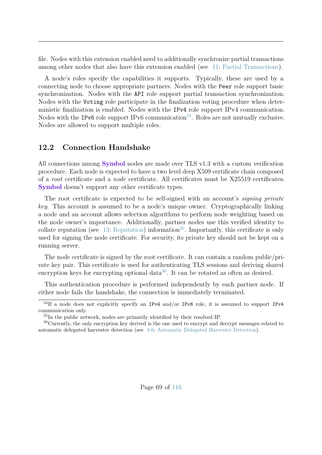file. Nodes with this extension enabled need to additionally synchronize partial transactions among other nodes that also have this extension enabled (see [11:](#page-70-0) [Partial Transactions\)](#page-70-0).

A node's roles specify the capabilities it supports. Typically, these are used by a connecting node to choose appropriate partners. Nodes with the Peer role support basic synchronization. Nodes with the API role support partial transaction synchronization. Nodes with the Voting role participate in the finalization voting procedure when deterministic finalization is enabled. Nodes with the IPv4 role support IPv4 communication. Nodes with the IPv6 role support IPv6 communication<sup>[34](#page-75-0)</sup>. Roles are not mutually exclusive. Nodes are allowed to support multiple roles.

# **12.2 Connection Handshake**

All connections among **Symbol** nodes are made over TLS v1.3 with a custom verification procedure. Each node is expected to have a two level deep X509 certificate chain composed of a *root* certificate and a *node* certificate. All certificates must be X25519 certificates. **Symbol** doesn't support any other certificate types.

The root certificate is expected to be self-signed with an account's *signing private key*. This account is assumed to be a node's unique owner. Cryptographically linking a node and an account allows selection algorithms to perform node weighting based on the node owner's importance. Additionally, partner nodes use this verified identity to collate reputation (see [13:](#page-80-1) [Reputation\)](#page-80-1) information<sup>[35](#page-75-1)</sup>. Importantly, this certificate is only used for signing the node certificate. For security, its private key should not be kept on a running server.

The node certificate is signed by the root certificate. It can contain a random public/private key pair. This certificate is used for authenticating TLS sessions and deriving shared encryption keys for encrypting optional data<sup>[36](#page-75-2)</sup>. It can be rotated as often as desired.

This authentication procedure is performed independently by each partner node. If either node fails the handshake, the connection is immediately terminated.

<span id="page-75-0"></span><sup>&</sup>lt;sup>34</sup>If a node does not explicitly specify an IPv4 and/or IPv6 role, it is assumed to support IPv4 communication only.

<span id="page-75-2"></span><span id="page-75-1"></span><sup>35</sup>In the public network, nodes are primarily identified by their resolved IP.

<sup>36</sup>Currently, the only encryption key derived is the one used to encrypt and decrypt messages related to automatic delegated harvester detection (see [8.6:](#page-55-0) [Automatic Delegated Harvester Detection\)](#page-55-0).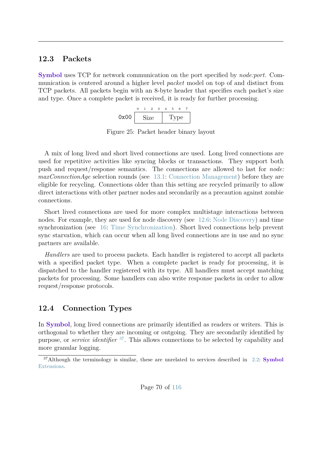# **12.3 Packets**

**Symbol** uses TCP for network communication on the port specified by *node:port*. Communication is centered around a higher level *packet* model on top of and distinct from TCP packets. All packets begin with an 8-byte header that specifies each packet's size and type. Once a complete packet is received, it is ready for further processing.



Figure 25: Packet header binary layout

A mix of long lived and short lived connections are used. Long lived connections are used for repetitive activities like syncing blocks or transactions. They support both push and request/response semantics. The connections are allowed to last for *node: maxConnectionAge* selection rounds (see [13.1:](#page-80-2) [Connection Management\)](#page-80-2) before they are eligible for recycling. Connections older than this setting are recycled primarily to allow direct interactions with other partner nodes and secondarily as a precaution against zombie connections.

Short lived connections are used for more complex multistage interactions between nodes. For example, they are used for node discovery (see [12.6:](#page-79-0) [Node Discovery\)](#page-79-0) and time synchronization (see [16:](#page-108-0) [Time Synchronization\)](#page-108-0). Short lived connections help prevent sync starvation, which can occur when all long lived connections are in use and no sync partners are available.

*Handlers* are used to process packets. Each handler is registered to accept all packets with a specified packet type. When a complete packet is ready for processing, it is dispatched to the handler registered with its type. All handlers must accept matching packets for processing. Some handlers can also write response packets in order to allow request/response protocols.

# **12.4 Connection Types**

In **Symbol**, long lived connections are primarily identified as readers or writers. This is orthogonal to whether they are incoming or outgoing. They are secondarily identified by purpose, or *service identifier* [37](#page-76-0). This allows connections to be selected by capability and more granular logging.

<span id="page-76-0"></span><sup>37</sup>Although the terminology is similar, these are unrelated to services described in [2.2:](#page-10-0) **[Symbol](#page-10-0)** [Extensions.](#page-10-0)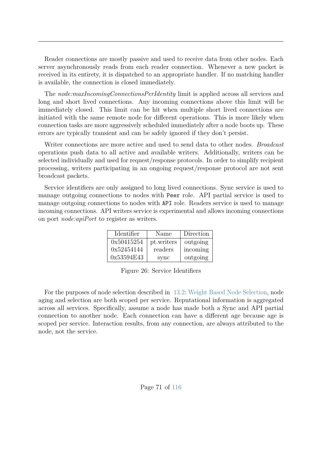Reader connections are mostly passive and used to receive data from other nodes. Each server asynchronously reads from each reader connection. Whenever a new packet is received in its entirety, it is dispatched to an appropriate handler. If no matching handler is available, the connection is closed immediately.

The *node:maxIncomingConnectionsPerIdentity* limit is applied across all services and long and short lived connections. Any incoming connections above this limit will be immediately closed. This limit can be hit when multiple short lived connections are initiated with the same remote node for different operations. This is more likely when connection tasks are more aggressively scheduled immediately after a node boots up. These errors are typically transient and can be safely ignored if they don't persist.

Writer connections are more active and used to send data to other nodes. *Broadcast* operations push data to all active and available writers. Additionally, writers can be selected individually and used for request/response protocols. In order to simplify recipient processing, writers participating in an ongoing request/response protocol are not sent broadcast packets.

Service identifiers are only assigned to long lived connections. Sync service is used to manage outgoing connections to nodes with Peer role. API partial service is used to manage outgoing connections to nodes with API role. Readers service is used to manage incoming connections. API writers service is experimental and allows incoming connections on port *node:apiPort* to register as writers.

| Identifier | Name       | Direction |  |  |
|------------|------------|-----------|--|--|
| 0x50415254 | pt.writers | outgoing  |  |  |
| 0x52454144 | readers    | incoming  |  |  |
| 0x53594E43 | sync       | outgoing  |  |  |

Figure 26: Service Identifiers

For the purposes of node selection described in [13.2:](#page-80-0) [Weight Based Node Selection,](#page-80-0) node aging and selection are both scoped per service. Reputational information is aggregated across all services. Specifically, assume a node has made both a Sync and API partial connection to another node. Each connection can have a different age because age is scoped per service. Interaction results, from any connection, are always attributed to the node, not the service.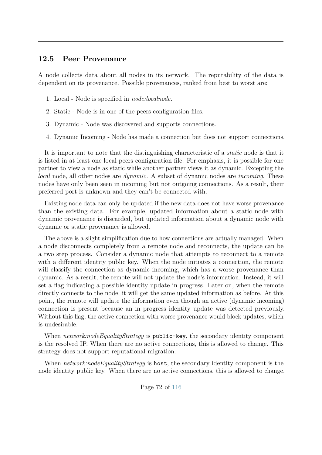# **12.5 Peer Provenance**

A node collects data about all nodes in its network. The reputability of the data is dependent on its provenance. Possible provenances, ranked from best to worst are:

- 1. Local Node is specified in *node:localnode*.
- 2. Static Node is in one of the peers configuration files.
- 3. Dynamic Node was discovered and supports connections.
- 4. Dynamic Incoming Node has made a connection but does not support connections.

It is important to note that the distinguishing characteristic of a *static* node is that it is listed in at least one local peers configuration file. For emphasis, it is possible for one partner to view a node as static while another partner views it as dynamic. Excepting the *local* node, all other nodes are *dynamic*. A subset of dynamic nodes are *incoming*. These nodes have only been seen in incoming but not outgoing connections. As a result, their preferred port is unknown and they can't be connected with.

Existing node data can only be updated if the new data does not have worse provenance than the existing data. For example, updated information about a static node with dynamic provenance is discarded, but updated information about a dynamic node with dynamic or static provenance is allowed.

The above is a slight simplification due to how connections are actually managed. When a node disconnects completely from a remote node and reconnects, the update can be a two step process. Consider a dynamic node that attempts to reconnect to a remote with a different identity public key. When the node initiates a connection, the remote will classify the connection as dynamic incoming, which has a worse provenance than dynamic. As a result, the remote will not update the node's information. Instead, it will set a flag indicating a possible identity update in progress. Later on, when the remote directly connects to the node, it will get the same updated information as before. At this point, the remote will update the information even though an active (dynamic incoming) connection is present because an in progress identity update was detected previously. Without this flag, the active connection with worse provenance would block updates, which is undesirable.

When *network:nodeEqualityStrategy* is public-key, the secondary identity component is the resolved IP. When there are no active connections, this is allowed to change. This strategy does not support reputational migration.

When *network:nodeEqualityStrategy* is host, the secondary identity component is the node identity public key. When there are no active connections, this is allowed to change.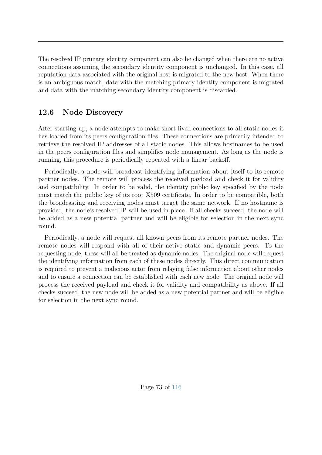The resolved IP primary identity component can also be changed when there are no active connections assuming the secondary identity component is unchanged. In this case, all reputation data associated with the original host is migrated to the new host. When there is an ambiguous match, data with the matching primary identity component is migrated and data with the matching secondary identity component is discarded.

# <span id="page-79-0"></span>**12.6 Node Discovery**

After starting up, a node attempts to make short lived connections to all static nodes it has loaded from its peers configuration files. These connections are primarily intended to retrieve the resolved IP addresses of all static nodes. This allows hostnames to be used in the peers configuration files and simplifies node management. As long as the node is running, this procedure is periodically repeated with a linear backoff.

Periodically, a node will broadcast identifying information about itself to its remote partner nodes. The remote will process the received payload and check it for validity and compatibility. In order to be valid, the identity public key specified by the node must match the public key of its root X509 certificate. In order to be compatible, both the broadcasting and receiving nodes must target the same network. If no hostname is provided, the node's resolved IP will be used in place. If all checks succeed, the node will be added as a new potential partner and will be eligible for selection in the next sync round.

Periodically, a node will request all known peers from its remote partner nodes. The remote nodes will respond with all of their active static and dynamic peers. To the requesting node, these will all be treated as dynamic nodes. The original node will request the identifying information from each of these nodes directly. This direct communication is required to prevent a malicious actor from relaying false information about other nodes and to ensure a connection can be established with each new node. The original node will process the received payload and check it for validity and compatibility as above. If all checks succeed, the new node will be added as a new potential partner and will be eligible for selection in the next sync round.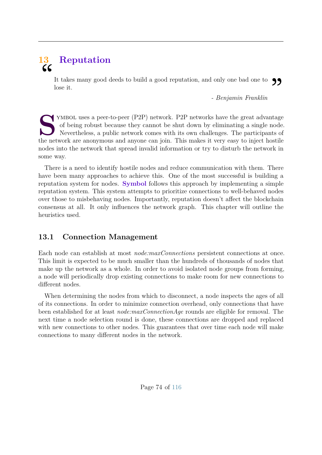# <span id="page-80-1"></span>**13 Reputation**  $cc$

It takes many good deeds to build a good reputation, and only one bad one to  $\bigcirc$   $\bigcirc$  lose it.<br> Penjamin Franklin - Benjamin Franklin lose it.

*- Benjamin Franklin*

STAND TERRY TERRY STANDA USES a peer-to-peer (P2P) network. P2P networks have the great advantage of being robust because they cannot be shut down by eliminating a single node Nevertheless, a public network comes with its of being robust because they cannot be shut down by eliminating a single node. Nevertheless, a public network comes with its own challenges. The participants of the network are anonymous and anyone can join. This makes it very easy to inject hostile nodes into the network that spread invalid information or try to disturb the network in some way.

There is a need to identify hostile nodes and reduce communication with them. There have been many approaches to achieve this. One of the most successful is building a reputation system for nodes. **Symbol** follows this approach by implementing a simple reputation system. This system attempts to prioritize connections to well-behaved nodes over those to misbehaving nodes. Importantly, reputation doesn't affect the blockchain consensus at all. It only influences the network graph. This chapter will outline the heuristics used.

# <span id="page-80-2"></span>**13.1 Connection Management**

Each node can establish at most *node:maxConnections* persistent connections at once. This limit is expected to be much smaller than the hundreds of thousands of nodes that make up the network as a whole. In order to avoid isolated node groups from forming, a node will periodically drop existing connections to make room for new connections to different nodes.

<span id="page-80-0"></span>When determining the nodes from which to disconnect, a node inspects the ages of all of its connections. In order to minimize connection overhead, only connections that have been established for at least *node:maxConnectionAge* rounds are eligible for removal. The next time a node selection round is done, these connections are dropped and replaced with new connections to other nodes. This guarantees that over time each node will make connections to many different nodes in the network.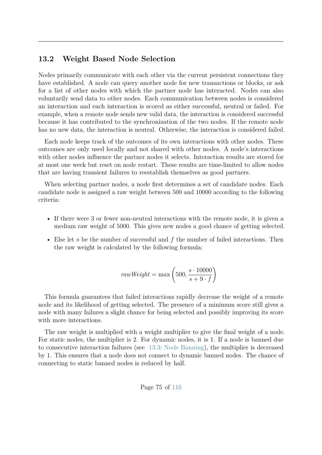# **13.2 Weight Based Node Selection**

Nodes primarily communicate with each other via the current persistent connections they have established. A node can query another node for new transactions or blocks, or ask for a list of other nodes with which the partner node has interacted. Nodes can also voluntarily send data to other nodes. Each communication between nodes is considered an interaction and each interaction is scored as either successful, neutral or failed. For example, when a remote node sends new valid data, the interaction is considered successful because it has contributed to the synchronization of the two nodes. If the remote node has no new data, the interaction is neutral. Otherwise, the interaction is considered failed.

Each node keeps track of the outcomes of its own interactions with other nodes. These outcomes are only used locally and not shared with other nodes. A node's interactions with other nodes influence the partner nodes it selects. Interaction results are stored for at most one week but reset on node restart. These results are time-limited to allow nodes that are having transient failures to reestablish themselves as good partners.

When selecting partner nodes, a node first determines a set of candidate nodes. Each candidate node is assigned a raw weight between 500 and 10000 according to the following criteria:

- If there were 3 or fewer non-neutral interactions with the remote node, it is given a medium raw weight of 5000. This gives new nodes a good chance of getting selected.
- Else let *s* be the number of successful and *f* the number of failed interactions. Then the raw weight is calculated by the following formula:

$$
rawWeight = \max\left(500, \frac{s \cdot 10000}{s + 9 \cdot f}\right)
$$

This formula guarantees that failed interactions rapidly decrease the weight of a remote node and its likelihood of getting selected. The presence of a minimum score still gives a node with many failures a slight chance for being selected and possibly improving its score with more interactions.

The raw weight is multiplied with a weight multiplier to give the final weight of a node. For static nodes, the multiplier is 2. For dynamic nodes, it is 1. If a node is banned due to consecutive interaction failures (see [13.3:](#page-82-0) [Node Banning\)](#page-82-0), the multiplier is decreased by 1. This ensures that a node does not connect to dynamic banned nodes. The chance of connecting to static banned nodes is reduced by half.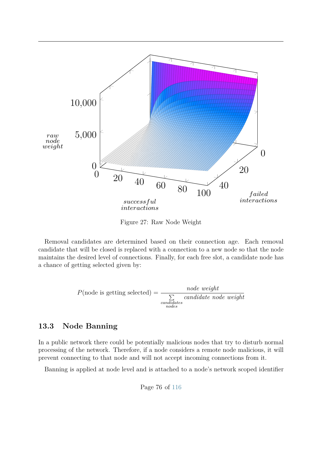

Figure 27: Raw Node Weight

Removal candidates are determined based on their connection age. Each removal candidate that will be closed is replaced with a connection to a new node so that the node maintains the desired level of connections. Finally, for each free slot, a candidate node has a chance of getting selected given by:

$$
P(\text{node is getting selected}) = \frac{node \ weight}{\sum_{\substack{\text{condidates} \\ \text{nodes}}} candidate \ node \ weight}
$$

# <span id="page-82-0"></span>**13.3 Node Banning**

In a public network there could be potentially malicious nodes that try to disturb normal processing of the network. Therefore, if a node considers a remote node malicious, it will prevent connecting to that node and will not accept incoming connections from it.

Banning is applied at node level and is attached to a node's network scoped identifier

Page 76 of [116](#page-122-0)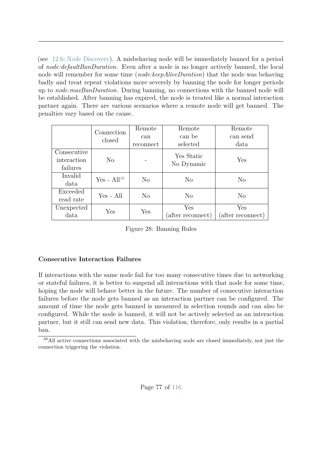(see [12.6:](#page-79-0) [Node Discovery\)](#page-79-0). A misbehaving node will be immediately banned for a period of *node:defaultBanDuration*. Even after a node is no longer actively banned, the local node will remember for some time (*node:keepAliveDuration*) that the node was behaving badly and treat repeat violations more severely by banning the node for longer periods up to *node:maxBanDuration*. During banning, no connections with the banned node will be established. After banning has expired, the node is treated like a normal interaction partner again. There are various scenarios where a remote node will get banned. The penalties vary based on the cause.

|             | Connection      | Remote    | Remote            | Remote            |  |
|-------------|-----------------|-----------|-------------------|-------------------|--|
|             | closed          | can       | can be            | can send          |  |
|             |                 | reconnect | selected          | data              |  |
| Consecutive |                 |           | Yes Static        |                   |  |
| interaction | $\rm No$        |           | No Dynamic        | Yes               |  |
| failures    |                 |           |                   |                   |  |
| Invalid     | Yes - $Al^{38}$ | $\rm No$  | $\rm No$          | N <sub>o</sub>    |  |
| data        |                 |           |                   |                   |  |
| Exceeded    | Yes - All       | No        | N <sub>o</sub>    | No                |  |
| read rate   |                 |           |                   |                   |  |
| Unexpected  | Yes             | Yes       | Yes               | Yes               |  |
| data        |                 |           | (after reconnect) | (after reconnect) |  |

Figure 28: Banning Rules

# **Consecutive Interaction Failures**

If interactions with the same node fail for too many consecutive times due to networking or stateful failures, it is better to suspend all interactions with that node for some time, hoping the node will behave better in the future. The number of consecutive interaction failures before the node gets banned as an interaction partner can be configured. The amount of time the node gets banned is measured in selection rounds and can also be configured. While the node is banned, it will not be actively selected as an interaction partner, but it still can send new data. This violation, therefore, only results in a partial ban.

<span id="page-83-0"></span><sup>38</sup>All active connections associated with the misbehaving node are closed immediately, not just the connection triggering the violation.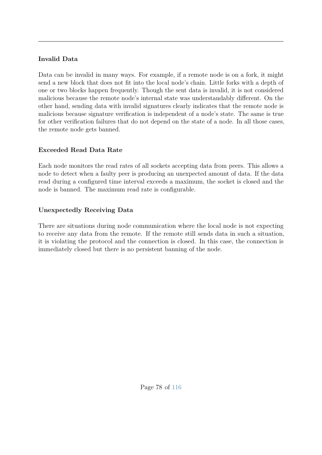# **Invalid Data**

Data can be invalid in many ways. For example, if a remote node is on a fork, it might send a new block that does not fit into the local node's chain. Little forks with a depth of one or two blocks happen frequently. Though the sent data is invalid, it is not considered malicious because the remote node's internal state was understandably different. On the other hand, sending data with invalid signatures clearly indicates that the remote node is malicious because signature verification is independent of a node's state. The same is true for other verification failures that do not depend on the state of a node. In all those cases, the remote node gets banned.

# **Exceeded Read Data Rate**

Each node monitors the read rates of all sockets accepting data from peers. This allows a node to detect when a faulty peer is producing an unexpected amount of data. If the data read during a configured time interval exceeds a maximum, the socket is closed and the node is banned. The maximum read rate is configurable.

# **Unexpectedly Receiving Data**

There are situations during node communication where the local node is not expecting to receive any data from the remote. If the remote still sends data in such a situation, it is violating the protocol and the connection is closed. In this case, the connection is immediately closed but there is no persistent banning of the node.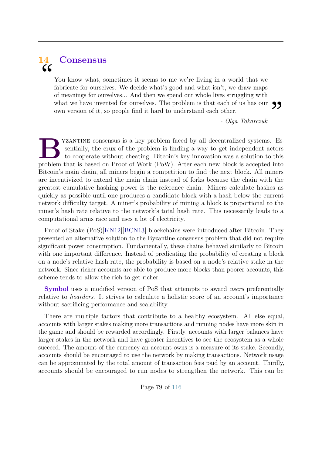# <span id="page-85-0"></span>**14 Consensus**  $cc$

You know what, sometimes it seems to me we're living in a world that we fabricate for ourselves. We decide what's good and what isn't, we draw maps of meanings for ourselves... And then we spend our whole lives struggling with what we have invented for ourselves. The problem is that each of us has our **99**<br>own version of it, so people find it hard to understand each other.<br> $Olga$  Tokarczuk own version of it, so people find it hard to understand each other.

*- Olga Tokarczuk*

**B**problem faced by all decentralized systems. Essentially, the crux of the problem is finding a way to get independent actors to cooperate without cheating. Bitcoin's key innovation was a solution to this problem that is yzantine consensus is a key problem faced by all decentralized systems. Essentially, the crux of the problem is finding a way to get independent actors to cooperate without cheating. Bitcoin's key innovation was a solution to this Bitcoin's main chain, all miners begin a competition to find the next block. All miners are incentivized to extend the main chain instead of forks because the chain with the greatest cumulative hashing power is the reference chain. Miners calculate hashes as quickly as possible until one produces a candidate block with a hash below the current network difficulty target. A miner's probability of mining a block is proportional to the miner's hash rate relative to the network's total hash rate. This necessarily leads to a computational arms race and uses a lot of electricity.

Proof of Stake (PoS)[\[KN12\]](#page-121-0)[\[BCN13\]](#page-121-1) blockchains were introduced after Bitcoin. They presented an alternative solution to the Byzantine consensus problem that did not require significant power consumption. Fundamentally, these chains behaved similarly to Bitcoin with one important difference. Instead of predicating the probability of creating a block on a node's relative hash rate, the probability is based on a node's relative stake in the network. Since richer accounts are able to produce more blocks than poorer accounts, this scheme tends to allow the rich to get richer.

**Symbol** uses a modified version of PoS that attempts to award *users* preferentially relative to *hoarders*. It strives to calculate a holistic score of an account's importance without sacrificing performance and scalability.

There are multiple factors that contribute to a healthy ecosystem. All else equal, accounts with larger stakes making more transactions and running nodes have more skin in the game and should be rewarded accordingly. Firstly, accounts with larger balances have larger stakes in the network and have greater incentives to see the ecosystem as a whole succeed. The amount of the currency an account owns is a measure of its stake. Secondly, accounts should be encouraged to use the network by making transactions. Network usage can be approximated by the total amount of transaction fees paid by an account. Thirdly, accounts should be encouraged to run nodes to strengthen the network. This can be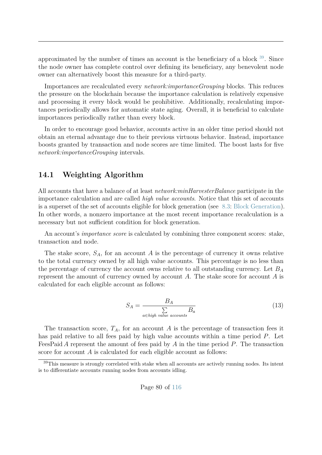approximated by the number of times an account is the beneficiary of a block [39](#page-86-0). Since the node owner has complete control over defining its beneficiary, any benevolent node owner can alternatively boost this measure for a third-party.

Importances are recalculated every *network:importanceGrouping* blocks. This reduces the pressure on the blockchain because the importance calculation is relatively expensive and processing it every block would be prohibitive. Additionally, recalculating importances periodically allows for automatic state aging. Overall, it is beneficial to calculate importances periodically rather than every block.

In order to encourage good behavior, accounts active in an older time period should not obtain an eternal advantage due to their previous virtuous behavior. Instead, importance boosts granted by transaction and node scores are time limited. The boost lasts for five *network:importanceGrouping* intervals.

# <span id="page-86-1"></span>**14.1 Weighting Algorithm**

All accounts that have a balance of at least *network:minHarvesterBalance* participate in the importance calculation and are called *high value accounts*. Notice that this set of accounts is a superset of the set of accounts eligible for block generation (see [8.3:](#page-50-0) [Block Generation\)](#page-50-0). In other words, a nonzero importance at the most recent importance recalculation is a necessary but not sufficient condition for block generation.

An account's *importance score* is calculated by combining three component scores: stake, transaction and node.

<span id="page-86-2"></span>The stake score,  $S_A$ , for an account A is the percentage of currency it owns relative to the total currency owned by all high value accounts. This percentage is no less than the percentage of currency the account owns relative to all outstanding currency. Let *B<sup>A</sup>* represent the amount of currency owned by account *A*. The stake score for account *A* is calculated for each eligible account as follows:

$$
S_A = \frac{B_A}{\sum_{a \in high \; value \; accounts} B_a}
$$
 (13)

The transaction score,  $T_A$ , for an account *A* is the percentage of transaction fees it has paid relative to all fees paid by high value accounts within a time period *P*. Let FeesPaid *A* represent the amount of fees paid by *A* in the time period *P*. The transaction score for account *A* is calculated for each eligible account as follows:

<span id="page-86-0"></span><sup>39</sup>This measure is strongly correlated with stake when all accounts are actively running nodes. Its intent is to differentiate accounts running nodes from accounts idling.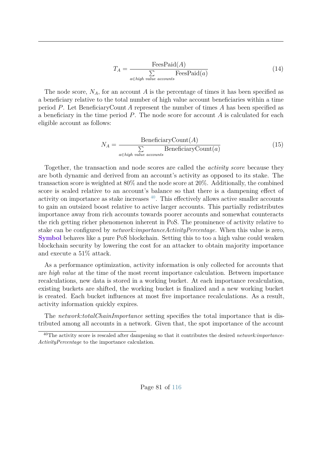$$
T_A = \frac{\text{FeesPaid}(A)}{\sum\limits_{a \in high \; value \; accounts} \text{FeesPaid}(a)} \tag{14}
$$

The node score,  $N_A$ , for an account *A* is the percentage of times it has been specified as a beneficiary relative to the total number of high value account beneficiaries within a time period *P*. Let BeneficiaryCount *A* represent the number of times *A* has been specified as a beneficiary in the time period *P*. The node score for account *A* is calculated for each eligible account as follows:

$$
N_A = \frac{\text{BeneficiencyCount}(A)}{\sum_{a \in high \ value \ accounts} \text{BeneficiencyCount}(a)} \tag{15}
$$

Together, the transaction and node scores are called the *activity score* because they are both dynamic and derived from an account's activity as opposed to its stake. The transaction score is weighted at 80% and the node score at 20%. Additionally, the combined score is scaled relative to an account's balance so that there is a dampening effect of activity on importance as stake increases  $40$ . This effectively allows active smaller accounts to gain an outsized boost relative to active larger accounts. This partially redistributes importance away from rich accounts towards poorer accounts and somewhat counteracts the rich getting richer phenomenon inherent in PoS. The prominence of activity relative to stake can be configured by *network:importanceActivityPercentage*. When this value is zero, **Symbol** behaves like a pure PoS blockchain. Setting this to too a high value could weaken blockchain security by lowering the cost for an attacker to obtain majority importance and execute a 51% attack.

As a performance optimization, activity information is only collected for accounts that are *high value* at the time of the most recent importance calculation. Between importance recalculations, new data is stored in a working bucket. At each importance recalculation, existing buckets are shifted, the working bucket is finalized and a new working bucket is created. Each bucket influences at most five importance recalculations. As a result, activity information quickly expires.

The *network:totalChainImportance* setting specifies the total importance that is distributed among all accounts in a network. Given that, the spot importance of the account

<span id="page-87-0"></span><sup>40</sup>The activity score is rescaled after dampening so that it contributes the desired *network:importance-ActivityPercentage* to the importance calculation.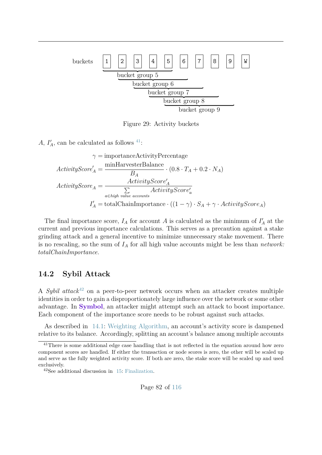

Figure 29: Activity buckets

*A*,  $I'_A$ , can be calculated as follows <sup>[41](#page-88-0)</sup>:

$$
\gamma = \text{importanceActivityPercentage}
$$
\n
$$
ActivityScore'_{A} = \frac{\text{minHarvesterBalance}}{B_{A}} \cdot (0.8 \cdot T_{A} + 0.2 \cdot N_{A})
$$
\n
$$
ActivityScore_{A} = \frac{ActivityScore'_{A}}{\sum\limits_{a \in high \ value \ accounts}} ActiveityScore'_{a}
$$
\n
$$
I'_{A} = \text{totalChainImportance} \cdot ((1 - \gamma) \cdot S_{A} + \gamma \cdot ActivityScore_{A})
$$

The final importance score,  $I_A$  for account A is calculated as the minimum of  $I'_A$  at the current and previous importance calculations. This serves as a precaution against a stake grinding attack and a general incentive to minimize unnecessary stake movement. There is no rescaling, so the sum of *I<sup>A</sup>* for all high value accounts might be less than *network: totalChainImportance*.

## **14.2 Sybil Attack**

A *Sybil attack*[42](#page-88-1) on a peer-to-peer network occurs when an attacker creates multiple identities in order to gain a disproportionately large influence over the network or some other advantage. In **Symbol**, an attacker might attempt such an attack to boost importance. Each component of the importance score needs to be robust against such attacks.

As described in [14.1:](#page-86-1) [Weighting Algorithm,](#page-86-1) an account's activity score is dampened relative to its balance. Accordingly, splitting an account's balance among multiple accounts

<span id="page-88-0"></span><sup>&</sup>lt;sup>41</sup>There is some additional edge case handling that is not reflected in the equation around how zero component scores are handled. If either the transaction or node scores is zero, the other will be scaled up and serve as the fully weighted activity score. If both are zero, the stake score will be scaled up and used exclusively.

<span id="page-88-1"></span><sup>42</sup>See additional discussion in [15:](#page-96-0) [Finalization.](#page-96-0)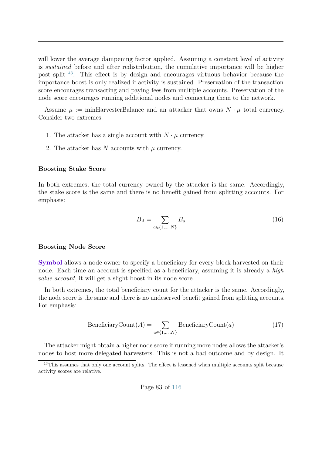will lower the average dampening factor applied. Assuming a constant level of activity is *sustained* before and after redistribution, the cumulative importance will be higher post split [43](#page-89-0). This effect is by design and encourages virtuous behavior because the importance boost is only realized if activity is sustained. Preservation of the transaction score encourages transacting and paying fees from multiple accounts. Preservation of the node score encourages running additional nodes and connecting them to the network.

Assume  $\mu := \text{minHarvesterBalance}$  and an attacker that owns  $N \cdot \mu$  total currency. Consider two extremes:

- 1. The attacker has a single account with  $N \cdot \mu$  currency.
- 2. The attacker has  $N$  accounts with  $\mu$  currency.

#### **Boosting Stake Score**

In both extremes, the total currency owned by the attacker is the same. Accordingly, the stake score is the same and there is no benefit gained from splitting accounts. For emphasis:

$$
B_A = \sum_{a \in \{1, \dots, N\}} B_a \tag{16}
$$

#### **Boosting Node Score**

**Symbol** allows a node owner to specify a beneficiary for every block harvested on their node. Each time an account is specified as a beneficiary, assuming it is already a *high value account*, it will get a slight boost in its node score.

In both extremes, the total beneficiary count for the attacker is the same. Accordingly, the node score is the same and there is no undeserved benefit gained from splitting accounts. For emphasis:

$$
BeneficiaryCount(A) = \sum_{a \in \{1, ..., N\}} BeneficiaryCount(a)
$$
 (17)

The attacker might obtain a higher node score if running more nodes allows the attacker's nodes to host more delegated harvesters. This is not a bad outcome and by design. It

<span id="page-89-0"></span><sup>43</sup>This assumes that only one account splits. The effect is lessened when multiple accounts split because activity scores are relative.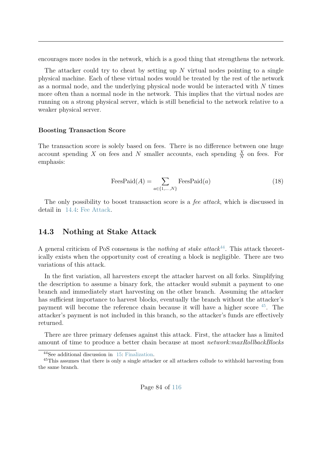encourages more nodes in the network, which is a good thing that strengthens the network.

The attacker could try to cheat by setting up *N* virtual nodes pointing to a single physical machine. Each of these virtual nodes would be treated by the rest of the network as a normal node, and the underlying physical node would be interacted with *N* times more often than a normal node in the network. This implies that the virtual nodes are running on a strong physical server, which is still beneficial to the network relative to a weaker physical server.

#### **Boosting Transaction Score**

The transaction score is solely based on fees. There is no difference between one huge account spending *X* on fees and *N* smaller accounts, each spending  $\frac{X}{N}$  on fees. For emphasis:

$$
\text{FeesPaid}(A) = \sum_{a \in \{1, \dots, N\}} \text{FeesPaid}(a) \tag{18}
$$

The only possibility to boost transaction score is a *fee attack*, which is discussed in detail in [14.4:](#page-91-0) [Fee Attack.](#page-91-0)

#### **14.3 Nothing at Stake Attack**

A general criticism of PoS consensus is the *nothing at stake attack*[44](#page-90-0). This attack theoretically exists when the opportunity cost of creating a block is negligible. There are two variations of this attack.

In the first variation, all harvesters except the attacker harvest on all forks. Simplifying the description to assume a binary fork, the attacker would submit a payment to one branch and immediately start harvesting on the other branch. Assuming the attacker has sufficient importance to harvest blocks, eventually the branch without the attacker's payment will become the reference chain because it will have a higher score [45](#page-90-1). The attacker's payment is not included in this branch, so the attacker's funds are effectively returned.

There are three primary defenses against this attack. First, the attacker has a limited amount of time to produce a better chain because at most *network:maxRollbackBlocks*

<span id="page-90-1"></span><span id="page-90-0"></span><sup>44</sup>See additional discussion in [15:](#page-96-0) [Finalization.](#page-96-0)

<sup>&</sup>lt;sup>45</sup>This assumes that there is only a single attacker or all attackers collude to withhold harvesting from the same branch.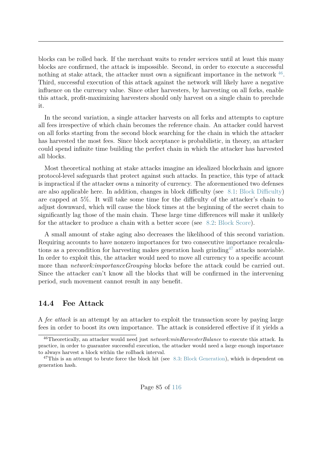blocks can be rolled back. If the merchant waits to render services until at least this many blocks are confirmed, the attack is impossible. Second, in order to execute a successful nothing at stake attack, the attacker must own a significant importance in the network  $46$ . Third, successful execution of this attack against the network will likely have a negative influence on the currency value. Since other harvesters, by harvesting on all forks, enable this attack, profit-maximizing harvesters should only harvest on a single chain to preclude it.

In the second variation, a single attacker harvests on all forks and attempts to capture all fees irrespective of which chain becomes the reference chain. An attacker could harvest on all forks starting from the second block searching for the chain in which the attacker has harvested the most fees. Since block acceptance is probabilistic, in theory, an attacker could spend infinite time building the perfect chain in which the attacker has harvested all blocks.

Most theoretical nothing at stake attacks imagine an idealized blockchain and ignore protocol-level safeguards that protect against such attacks. In practice, this type of attack is impractical if the attacker owns a minority of currency. The aforementioned two defenses are also applicable here. In addition, changes in block difficulty (see [8.1:](#page-49-0) [Block Difficulty\)](#page-49-0) are capped at 5%. It will take some time for the difficulty of the attacker's chain to adjust downward, which will cause the block times at the beginning of the secret chain to significantly lag those of the main chain. These large time differences will make it unlikely for the attacker to produce a chain with a better score (see [8.2:](#page-50-1) [Block Score\)](#page-50-1).

A small amount of stake aging also decreases the likelihood of this second variation. Requiring accounts to have nonzero importances for two consecutive importance recalculations as a precondition for harvesting makes generation hash grinding<sup> $47$ </sup> attacks nonviable. In order to exploit this, the attacker would need to move all currency to a specific account more than *network:importanceGrouping* blocks before the attack could be carried out. Since the attacker can't know all the blocks that will be confirmed in the intervening period, such movement cannot result in any benefit.

## <span id="page-91-0"></span>**14.4 Fee Attack**

A *fee attack* is an attempt by an attacker to exploit the transaction score by paying large fees in order to boost its own importance. The attack is considered effective if it yields a

<span id="page-91-1"></span><sup>46</sup>Theoretically, an attacker would need just *network:minHarvesterBalance* to execute this attack. In practice, in order to guarantee successful execution, the attacker would need a large enough importance to always harvest a block within the rollback interval.

<span id="page-91-2"></span> $47$ This is an attempt to brute force the block hit (see [8.3:](#page-50-0) [Block Generation\)](#page-50-0), which is dependent on generation hash.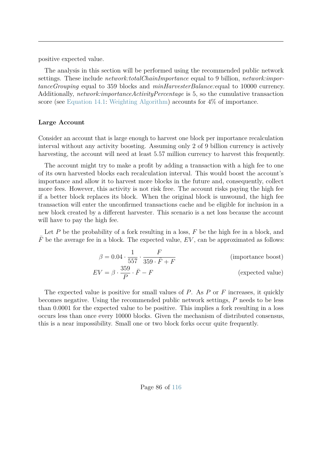positive expected value.

The analysis in this section will be performed using the recommended public network settings. These include *network:totalChainImportance* equal to 9 billion, *network:importanceGrouping* equal to 359 blocks and *minHarvesterBalance:e*qual to 10000 currency. Additionally, *network:importanceActivityPercentage* is 5, so the cumulative transaction score (see [Equation 14.1:](#page-86-2) [Weighting Algorithm\)](#page-86-2) accounts for 4% of importance.

#### **Large Account**

Consider an account that is large enough to harvest one block per importance recalculation interval without any activity boosting. Assuming only 2 of 9 billion currency is actively harvesting, the account will need at least 5.57 million currency to harvest this frequently.

The account might try to make a profit by adding a transaction with a high fee to one of its own harvested blocks each recalculation interval. This would boost the account's importance and allow it to harvest more blocks in the future and, consequently, collect more fees. However, this activity is not risk free. The account risks paying the high fee if a better block replaces its block. When the original block is unwound, the high fee transaction will enter the unconfirmed transactions cache and be eligible for inclusion in a new block created by a different harvester. This scenario is a net loss because the account will have to pay the high fee.

Let *P* be the probability of a fork resulting in a loss, *F* be the high fee in a block, and  $\overline{F}$  be the average fee in a block. The expected value,  $EV$ , can be approximated as follows:

$$
\beta = 0.04 \cdot \frac{1}{557} \cdot \frac{F}{359 \cdot \bar{F} + F}
$$
 (importance boost)  

$$
EV = \beta \cdot \frac{359}{P} \cdot \bar{F} - F
$$
 (expected value)

The expected value is positive for small values of *P*. As *P* or *F* increases, it quickly becomes negative. Using the recommended public network settings, *P* needs to be less than 0.0001 for the expected value to be positive. This implies a fork resulting in a loss occurs less than once every 10000 blocks. Given the mechanism of distributed consensus, this is a near impossibility. Small one or two block forks occur quite frequently.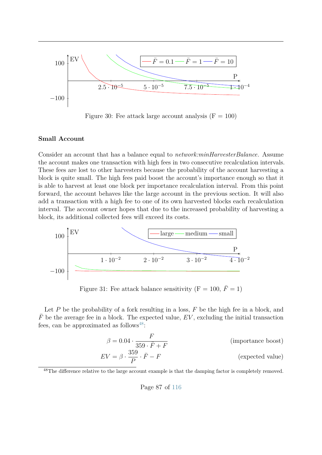

Figure 30: Fee attack large account analysis  $(F = 100)$ 

#### **Small Account**

Consider an account that has a balance equal to *network:minHarvesterBalance*. Assume the account makes one transaction with high fees in two consecutive recalculation intervals. These fees are lost to other harvesters because the probability of the account harvesting a block is quite small. The high fees paid boost the account's importance enough so that it is able to harvest at least one block per importance recalculation interval. From this point forward, the account behaves like the large account in the previous section. It will also add a transaction with a high fee to one of its own harvested blocks each recalculation interval. The account owner hopes that due to the increased probability of harvesting a block, its additional collected fees will exceed its costs.



Figure 31: Fee attack balance sensitivity  $(F = 100, \bar{F} = 1)$ 

Let *P* be the probability of a fork resulting in a loss, *F* be the high fee in a block, and  $F$  be the average fee in a block. The expected value,  $EV$ , excluding the initial transaction fees, can be approximated as follows<sup>[48](#page-93-0)</sup>:

$$
\beta = 0.04 \cdot \frac{F}{359 \cdot \bar{F} + F}
$$
 (importance boost)  

$$
EV = \beta \cdot \frac{359}{\bar{F} - F}
$$
 (expected value)

$$
EV = \beta \cdot \frac{359}{P} \cdot \bar{F} - F \tag{expected value}
$$

Page 87 of [116](#page-122-0)

<span id="page-93-0"></span><sup>&</sup>lt;sup>48</sup>The difference relative to the large account example is that the damping factor is completely removed.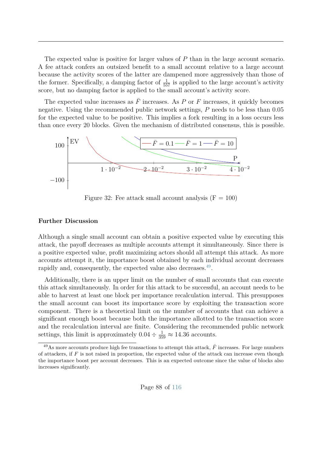The expected value is positive for larger values of *P* than in the large account scenario. A fee attack confers an outsized benefit to a small account relative to a large account because the activity scores of the latter are dampened more aggressively than those of the former. Specifically, a damping factor of  $\frac{1}{557}$  is applied to the large account's activity score, but no damping factor is applied to the small account's activity score.

The expected value increases as  $\overline{F}$  increases. As *P* or *F* increases, it quickly becomes negative. Using the recommended public network settings, *P* needs to be less than 0.05 for the expected value to be positive. This implies a fork resulting in a loss occurs less than once every 20 blocks. Given the mechanism of distributed consensus, this is possible.



Figure 32: Fee attack small account analysis  $(F = 100)$ 

#### **Further Discussion**

Although a single small account can obtain a positive expected value by executing this attack, the payoff decreases as multiple accounts attempt it simultaneously. Since there is a positive expected value, profit maximizing actors should all attempt this attack. As more accounts attempt it, the importance boost obtained by each individual account decreases rapidly and, consequently, the expected value also decreases.<sup>[49](#page-94-0)</sup>.

Additionally, there is an upper limit on the number of small accounts that can execute this attack simultaneously. In order for this attack to be successful, an account needs to be able to harvest at least one block per importance recalculation interval. This presupposes the small account can boost its importance score by exploiting the transaction score component. There is a theoretical limit on the number of accounts that can achieve a significant enough boost because both the importance allotted to the transaction score and the recalculation interval are finite. Considering the recommended public network settings, this limit is approximately  $0.04 \div \frac{1}{359} \approx 14.36$  accounts.

<span id="page-94-0"></span><sup>&</sup>lt;sup>49</sup>As more accounts produce high fee transactions to attempt this attack,  $\bar{F}$  increases. For large numbers of attackers, if *F* is not raised in proportion, the expected value of the attack can increase even though the importance boost per account decreases. This is an expected outcome since the value of blocks also increases significantly.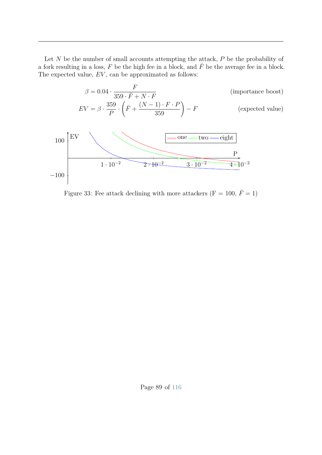Let *N* be the number of small accounts attempting the attack, *P* be the probability of a fork resulting in a loss,  $F$  be the high fee in a block, and  $\bar{F}$  be the average fee in a block. The expected value, *EV* , can be approximated as follows:



Figure 33: Fee attack declining with more attackers (F = 100,  $\bar{F}$  = 1)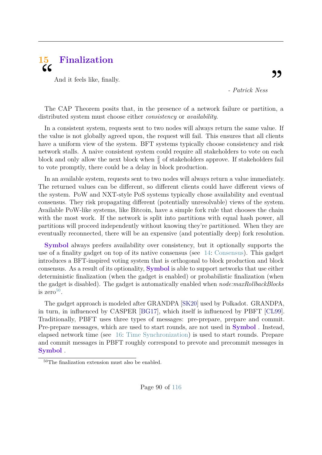<span id="page-96-0"></span>

And it feels like, finally.

*- Patrick Ness*

The CAP Theorem posits that, in the presence of a network failure or partition, a distributed system must choose either *consistency* or *availability*.

In a consistent system, requests sent to two nodes will always return the same value. If the value is not globally agreed upon, the request will fail. This ensures that all clients have a uniform view of the system. BFT systems typically choose consistency and risk network stalls. A naive consistent system could require all stakeholders to vote on each block and only allow the next block when  $\frac{2}{3}$  of stakeholders approve. If stakeholders fail to vote promptly, there could be a delay in block production.

In an available system, requests sent to two nodes will always return a value immediately. The returned values can be different, so different clients could have different views of the system. PoW and NXT-style PoS systems typically chose availability and eventual consensus. They risk propagating different (potentially unresolvable) views of the system. Available PoW-like systems, like Bitcoin, have a simple fork rule that chooses the chain with the most work. If the network is split into partitions with equal hash power, all partitions will proceed independently without knowing they're partitioned. When they are eventually reconnected, there will be an expensive (and potentially deep) fork resolution.

**Symbol** always prefers availability over consistency, but it optionally supports the use of a finality gadget on top of its native consensus (see [14:](#page-85-0) [Consensus\)](#page-85-0). This gadget introduces a BFT-inspired voting system that is orthogonal to block production and block consensus. As a result of its optionality, **Symbol** is able to support networks that use either deterministic finalization (when the gadget is enabled) or probabilistic finalization (when the gadget is disabled). The gadget is automatically enabled when *node:maxRollbackBlocks* is zero $50$ .

The gadget approach is modeled after GRANDPA [\[SK20\]](#page-121-2) used by Polkadot. GRANDPA, in turn, in influenced by CASPER [\[BG17\]](#page-121-3), which itself is influenced by PBFT [\[CL99\]](#page-121-4). Traditionally, PBFT uses three types of messages: pre-prepare, prepare and commit. Pre-prepare messages, which are used to start rounds, are not used in **Symbol** . Instead, elapsed network time (see [16:](#page-108-0) [Time Synchronization\)](#page-108-0) is used to start rounds. Prepare and commit messages in PBFT roughly correspond to prevote and precommit messages in **Symbol** .

<span id="page-96-1"></span><sup>50</sup>The finalization extension must also be enabled.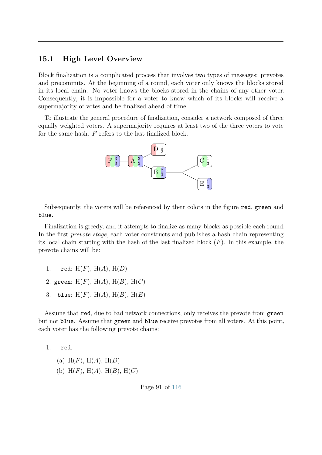## **15.1 High Level Overview**

Block finalization is a complicated process that involves two types of messages: prevotes and precommits. At the beginning of a round, each voter only knows the blocks stored in its local chain. No voter knows the blocks stored in the chains of any other voter. Consequently, it is impossible for a voter to know which of its blocks will receive a supermajority of votes and be finalized ahead of time.

To illustrate the general procedure of finalization, consider a network composed of three equally weighted voters. A supermajority requires at least two of the three voters to vote for the same hash. *F* refers to the last finalized block.



Subsequently, the voters will be referenced by their colors in the figure red, green and blue.

Finalization is greedy, and it attempts to finalize as many blocks as possible each round. In the first *prevote stage*, each voter constructs and publishes a hash chain representing its local chain starting with the hash of the last finalized block (*F*). In this example, the prevote chains will be:

- 1. red: H(*F*), H(*A*), H(*D*) 2. green: H(*F*), H(*A*), H(*B*), H(*C*)
- 3. blue: H(*F*), H(*A*), H(*B*), H(*E*)

Assume that red, due to bad network connections, only receives the prevote from green but not blue. Assume that green and blue receive prevotes from all voters. At this point, each voter has the following prevote chains:

1. red:

(a)  $H(F)$ ,  $H(A)$ ,  $H(D)$ (b) H(*F*), H(*A*), H(*B*), H(*C*)

Page 91 of [116](#page-122-0)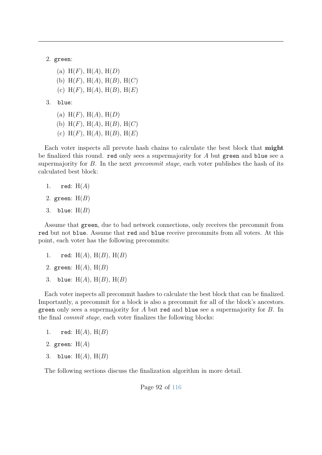2. green:

- (a)  $H(F)$ ,  $H(A)$ ,  $H(D)$ (b) H(*F*), H(*A*), H(*B*), H(*C*) (c)  $H(F)$ ,  $H(A)$ ,  $H(B)$ ,  $H(E)$
- 3. blue:
	- (a)  $H(F)$ ,  $H(A)$ ,  $H(D)$ (b) H(*F*), H(*A*), H(*B*), H(*C*) (c) H(*F*), H(*A*), H(*B*), H(*E*)

Each voter inspects all prevote hash chains to calculate the best block that **might** be finalized this round. red only sees a supermajority for *A* but green and blue see a supermajority for *B*. In the next *precommit stage*, each voter publishes the hash of its calculated best block:

- 1. red: H(*A*)
- 2. green: H(*B*)
- 3. blue: H(*B*)

Assume that green, due to bad network connections, only receives the precommit from red but not blue. Assume that red and blue receive precommits from all voters. At this point, each voter has the following precommits:

- 1. red: H(*A*), H(*B*), H(*B*)
- 2. green: H(*A*), H(*B*)
- 3. blue: H(*A*), H(*B*), H(*B*)

Each voter inspects all precommit hashes to calculate the best block that can be finalized. Importantly, a precommit for a block is also a precommit for all of the block's ancestors. green only sees a supermajority for *A* but red and blue see a supermajority for *B*. In the final *commit stage*, each voter finalizes the following blocks:

- 1. red:  $H(A)$ ,  $H(B)$
- 2. green: H(*A*)
- 3. blue: H(*A*), H(*B*)

The following sections discuss the finalization algorithm in more detail.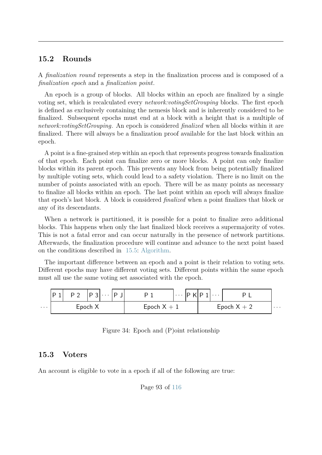## **15.2 Rounds**

A *finalization round* represents a step in the finalization process and is composed of a *finalization epoch* and a *finalization point*.

An epoch is a group of blocks. All blocks within an epoch are finalized by a single voting set, which is recalculated every *network:votingSetGrouping* blocks. The first epoch is defined as exclusively containing the nemesis block and is inherently considered to be finalized. Subsequent epochs must end at a block with a height that is a multiple of *network:votingSetGrouping*. An epoch is considered *finalized* when all blocks within it are finalized. There will always be a finalization proof available for the last block within an epoch.

A point is a fine-grained step within an epoch that represents progress towards finalization of that epoch. Each point can finalize zero or more blocks. A point can only finalize blocks within its parent epoch. This prevents any block from being potentially finalized by multiple voting sets, which could lead to a safety violation. There is no limit on the number of points associated with an epoch. There will be as many points as necessary to finalize all blocks within an epoch. The last point within an epoch will always finalize that epoch's last block. A block is considered *finalized* when a point finalizes that block or any of its descendants.

When a network is partitioned, it is possible for a point to finalize zero additional blocks. This happens when only the last finalized block receives a supermajority of votes. This is not a fatal error and can occur naturally in the presence of network partitions. Afterwards, the finalization procedure will continue and advance to the next point based on the conditions described in [15.5:](#page-101-0) [Algorithm.](#page-101-0)

The important difference between an epoch and a point is their relation to voting sets. Different epochs may have different voting sets. Different points within the same epoch must all use the same voting set associated with the epoch.

|   | 'P 1 | P <sub>2</sub> | $ P_3  \cdots  P_n$ |  |               | $\left[\ldots\right]\mathsf{P}\,\mathsf{K}\mathsf{P}\,1\mathsf{I}\ldots$ |  |               |          |
|---|------|----------------|---------------------|--|---------------|--------------------------------------------------------------------------|--|---------------|----------|
| . |      |                | Epoch X             |  | Epoch $X + 1$ |                                                                          |  | Epoch $X + 2$ | $\cdots$ |

|  |  |  |  | Figure 34: Epoch and (P) oint relationship |
|--|--|--|--|--------------------------------------------|
|--|--|--|--|--------------------------------------------|

#### **15.3 Voters**

An account is eligible to vote in a epoch if all of the following are true:

Page 93 of [116](#page-122-0)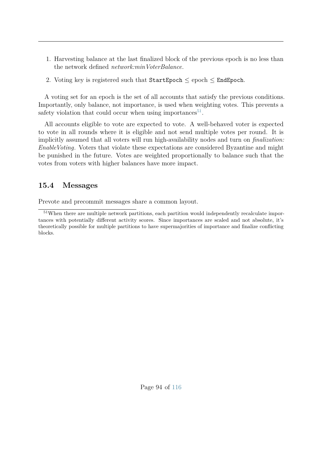- 1. Harvesting balance at the last finalized block of the previous epoch is no less than the network defined *network:minVoterBalance*.
- 2. Voting key is registered such that  $StartEpoch \leq epoch \leq EndEpoch$ .

A voting set for an epoch is the set of all accounts that satisfy the previous conditions. Importantly, only balance, not importance, is used when weighting votes. This prevents a safety violation that could occur when using importances<sup>[51](#page-100-0)</sup>.

All accounts eligible to vote are expected to vote. A well-behaved voter is expected to vote in all rounds where it is eligible and not send multiple votes per round. It is implicitly assumed that all voters will run high-availability nodes and turn on *finalization: EnableVoting*. Voters that violate these expectations are considered Byzantine and might be punished in the future. Votes are weighted proportionally to balance such that the votes from voters with higher balances have more impact.

# **15.4 Messages**

Prevote and precommit messages share a common layout.

<span id="page-100-0"></span><sup>&</sup>lt;sup>51</sup>When there are multiple network partitions, each partition would independently recalculate importances with potentially different activity scores. Since importances are scaled and not absolute, it's theoretically possible for multiple partitions to have supermajorities of importance and finalize conflicting blocks.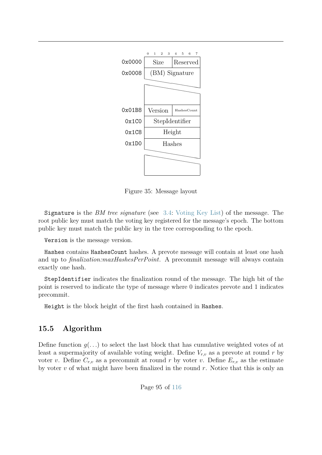

Figure 35: Message layout

Signature is the *BM tree signature* (see [3.4:](#page-19-0) [Voting Key List\)](#page-19-0) of the message. The root public key must match the voting key registered for the message's epoch. The bottom public key must match the public key in the tree corresponding to the epoch.

Version is the message version.

Hashes contains HashesCount hashes. A prevote message will contain at least one hash and up to *finalization:maxHashesPerPoint*. A precommit message will always contain exactly one hash.

StepIdentifier indicates the finalization round of the message. The high bit of the point is reserved to indicate the type of message where 0 indicates prevote and 1 indicates precommit.

<span id="page-101-0"></span>Height is the block height of the first hash contained in Hashes.

# **15.5 Algorithm**

Define function  $g(\ldots)$  to select the last block that has cumulative weighted votes of at least a supermajority of available voting weight. Define  $V_{r,v}$  as a prevote at round  $r$  by voter *v*. Define  $C_{r,v}$  as a precommit at round *r* by voter *v*. Define  $E_{r,v}$  as the estimate by voter *v* of what might have been finalized in the round *r*. Notice that this is only an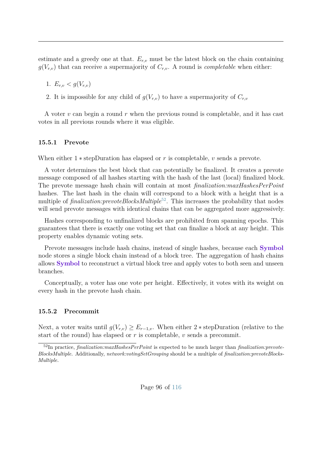estimate and a greedy one at that.  $E_{r,v}$  must be the latest block on the chain containing  $g(V_{r,v})$  that can receive a supermajority of  $C_{r,v}$ . A round is *completable* when either:

1.  $E_{r,v} < g(V_{r,v})$ 

2. It is impossible for any child of  $g(V_{r,v})$  to have a supermajority of  $C_{r,v}$ 

A voter *v* can begin a round *r* when the previous round is completable, and it has cast votes in all previous rounds where it was eligible.

#### **15.5.1 Prevote**

When either 1 ∗ stepDuration has elapsed or *r* is completable, *v* sends a prevote.

A voter determines the best block that can potentially be finalized. It creates a prevote message composed of all hashes starting with the hash of the last (local) finalized block. The prevote message hash chain will contain at most *finalization:maxHashesPerPoint* hashes. The last hash in the chain will correspond to a block with a height that is a multiple of *finalization:prevoteBlocksMultiple*<sup>[52](#page-102-0)</sup>. This increases the probability that nodes will send prevote messages with identical chains that can be aggregated more aggressively.

Hashes corresponding to unfinalized blocks are prohibited from spanning epochs. This guarantees that there is exactly one voting set that can finalize a block at any height. This property enables dynamic voting sets.

Prevote messages include hash chains, instead of single hashes, because each **Symbol** node stores a single block chain instead of a block tree. The aggregation of hash chains allows **Symbol** to reconstruct a virtual block tree and apply votes to both seen and unseen branches.

Conceptually, a voter has one vote per height. Effectively, it votes with its weight on every hash in the prevote hash chain.

#### **15.5.2 Precommit**

Next, a voter waits until  $g(V_{r,v}) \geq E_{r-1,v}$ . When either 2  $*$  stepDuration (relative to the start of the round) has elapsed or *r* is completable, *v* sends a precommit.

<span id="page-102-0"></span><sup>52</sup>In practice, *finalization:maxHashesPerPoint* is expected to be much larger than *finalization:prevote-BlocksMultiple*. Additionally, *network:votingSetGrouping* should be a multiple of *finalization:prevoteBlocks-Multiple*.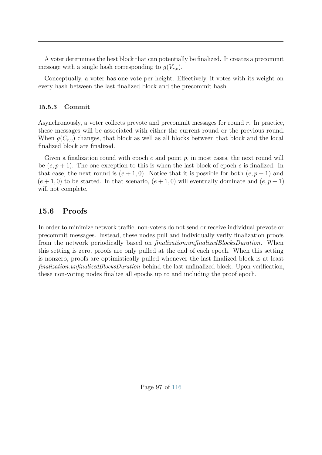A voter determines the best block that can potentially be finalized. It creates a precommit message with a single hash corresponding to  $g(V_{r,v})$ .

Conceptually, a voter has one vote per height. Effectively, it votes with its weight on every hash between the last finalized block and the precommit hash.

### **15.5.3 Commit**

Asynchronously, a voter collects prevote and precommit messages for round *r*. In practice, these messages will be associated with either the current round or the previous round. When  $g(C_{r,v})$  changes, that block as well as all blocks between that block and the local finalized block are finalized.

Given a finalization round with epoch *e* and point *p*, in most cases, the next round will be  $(e, p+1)$ . The one exception to this is when the last block of epoch  $e$  is finalized. In that case, the next round is  $(e + 1, 0)$ . Notice that it is possible for both  $(e, p + 1)$  and  $(e+1,0)$  to be started. In that scenario,  $(e+1,0)$  will eventually dominate and  $(e,p+1)$ will not complete.

# **15.6 Proofs**

In order to minimize network traffic, non-voters do not send or receive individual prevote or precommit messages. Instead, these nodes pull and individually verify finalization proofs from the network periodically based on *finalization:unfinalizedBlocksDuration*. When this setting is zero, proofs are only pulled at the end of each epoch. When this setting is nonzero, proofs are optimistically pulled whenever the last finalized block is at least *finalization:unfinalizedBlocksDuration* behind the last unfinalized block. Upon verification, these non-voting nodes finalize all epochs up to and including the proof epoch.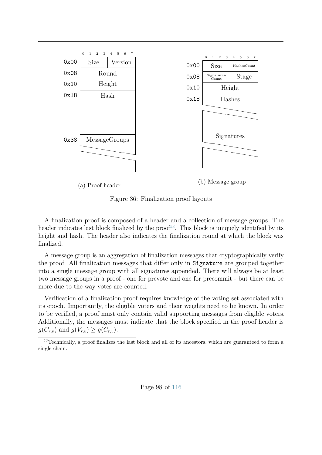

Figure 36: Finalization proof layouts

A finalization proof is composed of a header and a collection of message groups. The header indicates last block finalized by the proof<sup>[53](#page-104-0)</sup>. This block is uniquely identified by its height and hash. The header also indicates the finalization round at which the block was finalized.

A message group is an aggregation of finalization messages that cryptographically verify the proof. All finalization messages that differ only in Signature are grouped together into a single message group with all signatures appended. There will always be at least two message groups in a proof - one for prevote and one for precommit - but there can be more due to the way votes are counted.

Verification of a finalization proof requires knowledge of the voting set associated with its epoch. Importantly, the eligible voters and their weights need to be known. In order to be verified, a proof must only contain valid supporting messages from eligible voters. Additionally, the messages must indicate that the block specified in the proof header is  $g(C_{r,v})$  and  $g(V_{r,v}) \geq g(C_{r,v})$ .

<span id="page-104-0"></span><sup>53</sup>Technically, a proof finalizes the last block and all of its ancestors, which are guaranteed to form a single chain.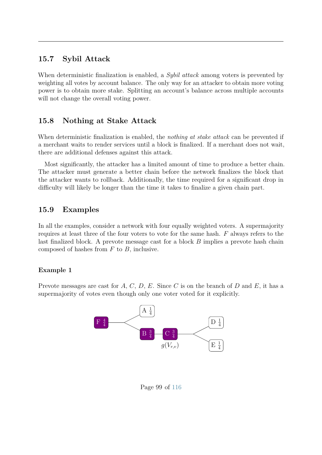# **15.7 Sybil Attack**

When deterministic finalization is enabled, a *Sybil attack* among voters is prevented by weighting all votes by account balance. The only way for an attacker to obtain more voting power is to obtain more stake. Splitting an account's balance across multiple accounts will not change the overall voting power.

# **15.8 Nothing at Stake Attack**

When deterministic finalization is enabled, the *nothing at stake attack* can be prevented if a merchant waits to render services until a block is finalized. If a merchant does not wait, there are additional defenses against this attack.

Most significantly, the attacker has a limited amount of time to produce a better chain. The attacker must generate a better chain before the network finalizes the block that the attacker wants to rollback. Additionally, the time required for a significant drop in difficulty will likely be longer than the time it takes to finalize a given chain part.

# **15.9 Examples**

In all the examples, consider a network with four equally weighted voters. A supermajority requires at least three of the four voters to vote for the same hash. *F* always refers to the last finalized block. A prevote message cast for a block *B* implies a prevote hash chain composed of hashes from *F* to *B*, inclusive.

## **Example 1**

Prevote messages are cast for *A*, *C*, *D*, *E*. Since *C* is on the branch of *D* and *E*, it has a supermajority of votes even though only one voter voted for it explicitly.



Page 99 of [116](#page-122-0)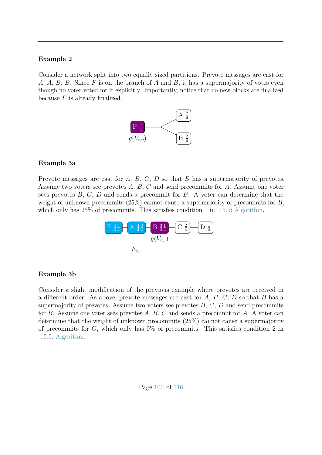#### **Example 2**

Consider a network split into two equally sized partitions. Prevote messages are cast for *A*, *A*, *B*, *B*. Since *F* is on the branch of *A* and *B*, it has a supermajority of votes even though no voter voted for it explicitly. Importantly, notice that no new blocks are finalized because *F* is already finalized.



#### **Example 3a**

Prevote messages are cast for *A*, *B*, *C*, *D* so that *B* has a supermajority of prevotes. Assume two voters see prevotes *A*, *B*, *C* and send precommits for *A*. Assume one voter sees prevotes *B*, *C*, *D* and sends a precommit for *B*. A voter can determine that the weight of unknown precommits (25%) cannot cause a supermajority of precommits for *B*, which only has  $25\%$  of precommits. This satisfies condition 1 in [15.5:](#page-101-0) [Algorithm.](#page-101-0)



#### **Example 3b**

Consider a slight modification of the previous example where prevotes are received in a different order. As above, prevote messages are cast for *A*, *B*, *C*, *D* so that *B* has a supermajority of prevotes. Assume two voters see prevotes *B*, *C*, *D* and send precommits for *B*. Assume one voter sees prevotes *A*, *B*, *C* and sends a precommit for *A*. A voter can determine that the weight of unknown precommits (25%) cannot cause a supermajority of precommits for *C*, which only has 0% of precommits. This satisfies condition 2 in [15.5:](#page-101-0) [Algorithm.](#page-101-0)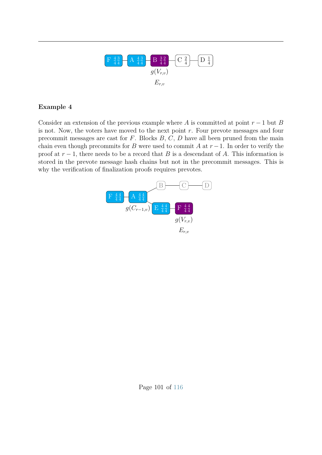

## **Example 4**

Consider an extension of the previous example where *A* is committed at point  $r - 1$  but *B* is not. Now, the voters have moved to the next point *r*. Four prevote messages and four precommit messages are cast for *F*. Blocks *B*, *C*, *D* have all been pruned from the main chain even though precommits for *B* were used to commit *A* at  $r - 1$ . In order to verify the proof at  $r - 1$ , there needs to be a record that *B* is a descendant of *A*. This information is stored in the prevote message hash chains but not in the precommit messages. This is why the verification of finalization proofs requires prevotes.

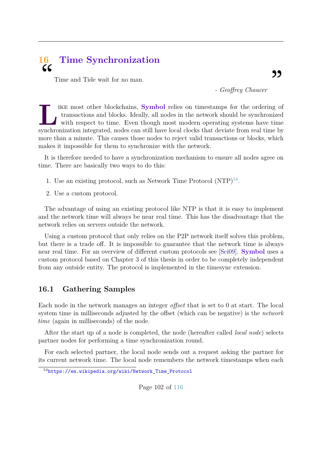### **16 Time Synchronization**  $cc$

Time and Tide wait for no man.

*- Geoffrey Chaucer*

IKE most other blockchains, **Symbol** relies on timestamps for the ordering of transactions and blocks. Ideally, all nodes in the network should be synchronized with respect to time. Even though most modern operating system ike most other blockchains, **Symbol** relies on timestamps for the ordering of transactions and blocks. Ideally, all nodes in the network should be synchronized with respect to time. Even though most modern operating systems have time more than a minute. This causes those nodes to reject valid transactions or blocks, which makes it impossible for them to synchronize with the network.

It is therefore needed to have a synchronization mechanism to ensure all nodes agree on time. There are basically two ways to do this:

- 1. Use an existing protocol, such as Network Time Protocol  $(NTP)^{54}$  $(NTP)^{54}$  $(NTP)^{54}$ .
- 2. Use a custom protocol.

The advantage of using an existing protocol like NTP is that it is easy to implement and the network time will always be near real time. This has the disadvantage that the network relies on servers outside the network.

Using a custom protocol that only relies on the P2P network itself solves this problem, but there is a trade off. It is impossible to guarantee that the network time is always near real time. For an overview of different custom protocols see [\[Sci09\]](#page-121-0). **Symbol** uses a custom protocol based on Chapter 3 of this thesis in order to be completely independent from any outside entity. The protocol is implemented in the timesync extension.

#### **16.1 Gathering Samples**

Each node in the network manages an integer *offset* that is set to 0 at start. The local system time in milliseconds adjusted by the offset (which can be negative) is the *network time* (again in milliseconds) of the node.

After the start up of a node is completed, the node (hereafter called *local node*) selects partner nodes for performing a time synchronization round.

For each selected partner, the local node sends out a request asking the partner for its current network time. The local node remembers the network timestamps when each

<span id="page-108-0"></span><sup>54</sup>[https://en.wikipedia.org/wiki/Network\\_Time\\_Protocol](https://en.wikipedia.org/wiki/Network_Time_Protocol)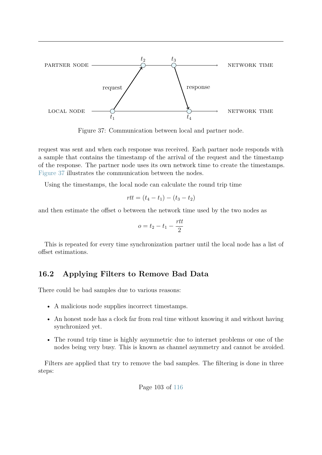<span id="page-109-0"></span>

Figure 37: Communication between local and partner node.

request was sent and when each response was received. Each partner node responds with a sample that contains the timestamp of the arrival of the request and the timestamp of the response. The partner node uses its own network time to create the timestamps. [Figure 37](#page-109-0) illustrates the communication between the nodes.

Using the timestamps, the local node can calculate the round trip time

$$
rtt = (t_4 - t_1) - (t_3 - t_2)
$$

and then estimate the offset o between the network time used by the two nodes as

$$
o = t_2 - t_1 - \frac{rtt}{2}
$$

This is repeated for every time synchronization partner until the local node has a list of offset estimations.

#### **16.2 Applying Filters to Remove Bad Data**

There could be bad samples due to various reasons:

- A malicious node supplies incorrect timestamps.
- An honest node has a clock far from real time without knowing it and without having synchronized yet.
- The round trip time is highly asymmetric due to internet problems or one of the nodes being very busy. This is known as channel asymmetry and cannot be avoided.

Filters are applied that try to remove the bad samples. The filtering is done in three steps:

Page 103 of [116](#page-122-0)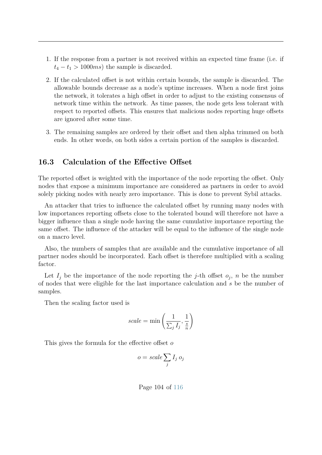- 1. If the response from a partner is not received within an expected time frame (i.e. if  $t_4 - t_1 > 1000ms$  the sample is discarded.
- 2. If the calculated offset is not within certain bounds, the sample is discarded. The allowable bounds decrease as a node's uptime increases. When a node first joins the network, it tolerates a high offset in order to adjust to the existing consensus of network time within the network. As time passes, the node gets less tolerant with respect to reported offsets. This ensures that malicious nodes reporting huge offsets are ignored after some time.
- 3. The remaining samples are ordered by their offset and then alpha trimmed on both ends. In other words, on both sides a certain portion of the samples is discarded.

#### **16.3 Calculation of the Effective Offset**

The reported offset is weighted with the importance of the node reporting the offset. Only nodes that expose a minimum importance are considered as partners in order to avoid solely picking nodes with nearly zero importance. This is done to prevent Sybil attacks.

An attacker that tries to influence the calculated offset by running many nodes with low importances reporting offsets close to the tolerated bound will therefore not have a bigger influence than a single node having the same cumulative importance reporting the same offset. The influence of the attacker will be equal to the influence of the single node on a macro level.

Also, the numbers of samples that are available and the cumulative importance of all partner nodes should be incorporated. Each offset is therefore multiplied with a scaling factor.

Let  $I_j$  be the importance of the node reporting the *j*-th offset  $o_j$ , *n* be the number of nodes that were eligible for the last importance calculation and *s* be the number of samples.

Then the scaling factor used is

scale = min 
$$
\left(\frac{1}{\sum_j I_j}, \frac{1}{\frac{s}{n}}\right)
$$

This gives the formula for the effective offset *o*

$$
o = scale \sum_{j} I_j o_j
$$

Page 104 of [116](#page-122-0)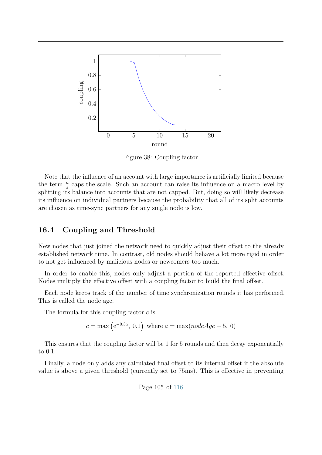

Figure 38: Coupling factor

Note that the influence of an account with large importance is artificially limited because the term  $\frac{n}{s}$  caps the scale. Such an account can raise its influence on a macro level by splitting its balance into accounts that are not capped. But, doing so will likely decrease its influence on individual partners because the probability that all of its split accounts are chosen as time-sync partners for any single node is low.

### **16.4 Coupling and Threshold**

New nodes that just joined the network need to quickly adjust their offset to the already established network time. In contrast, old nodes should behave a lot more rigid in order to not get influenced by malicious nodes or newcomers too much.

In order to enable this, nodes only adjust a portion of the reported effective offset. Nodes multiply the effective offset with a coupling factor to build the final offset.

Each node keeps track of the number of time synchronization rounds it has performed. This is called the node age.

The formula for this coupling factor *c* is:

$$
c = \max\left(e^{-0.3a}, 0.1\right)
$$
 where  $a = \max(nodeAge - 5, 0)$ 

This ensures that the coupling factor will be 1 for 5 rounds and then decay exponentially to 0.1.

Finally, a node only adds any calculated final offset to its internal offset if the absolute value is above a given threshold (currently set to 75ms). This is effective in preventing

Page 105 of [116](#page-122-0)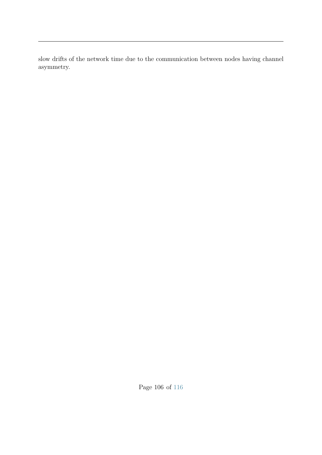slow drifts of the network time due to the communication between nodes having channel asymmetry.

Page 106 of [116](#page-122-0)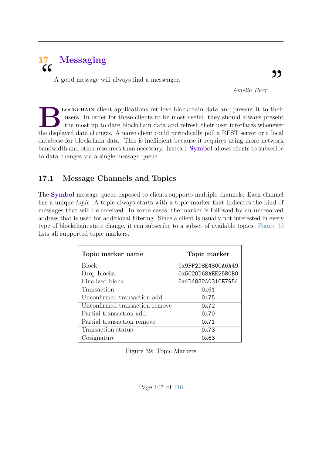## **17 Messaging**  $cc$

A good message will always find a messenger.

*- Amelia Barr*

LOCKCHAIN client applications retrieve blockchain data and present it to their users. In order for these clients to be most useful, they should always present the most up to date blockchain data and refresh their user inte lockchain client applications retrieve blockchain data and present it to their users. In order for these clients to be most useful, they should always present the most up to date blockchain data and refresh their user interfaces whenever database for blockchain data. This is inefficient because it requires using more network bandwidth and other resources than necessary. Instead, **Symbol** allows clients to subscribe to data changes via a single message queue.

## **17.1 Message Channels and Topics**

The **Symbol** message queue exposed to clients supports multiple channels. Each channel has a unique *topic*. A topic always starts with a topic marker that indicates the kind of messages that will be received. In some cases, the marker is followed by an unresolved address that is used for additional filtering. Since a client is usually not interested in every type of blockchain state change, it can subscribe to a subset of available topics. [Figure 39](#page-113-0) lists all supported topic markers.

<span id="page-113-0"></span>

| Topic marker name              | Topic marker       |
|--------------------------------|--------------------|
| <b>Block</b>                   | 0x9FF2D8E480CA6A49 |
| Drop blocks                    | 0x5C20D68AEE25B0B0 |
| Finalized block                | 0x4D4832A031CE7954 |
| Transaction                    | 0x61               |
| Unconfirmed transaction add    | 0x75               |
| Unconfirmed transaction remove | 0x72               |
| Partial transaction add        | 0x70               |
| Partial transaction remove     | 0x71               |
| Transaction status             | 0x73               |
| Cosignature                    | 0x63               |

Figure 39: Topic Markers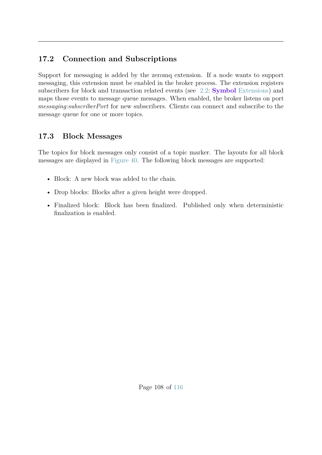### **17.2 Connection and Subscriptions**

Support for messaging is added by the zeromq extension. If a node wants to support messaging, this extension must be enabled in the broker process. The extension registers subscribers for block and transaction related events (see [2.2:](#page-10-0) **Symbol** [Extensions\)](#page-10-0) and maps those events to message queue messages. When enabled, the broker listens on port *messaging:subscriberPort* for new subscribers. Clients can connect and subscribe to the message queue for one or more topics.

### **17.3 Block Messages**

The topics for block messages only consist of a topic marker. The layouts for all block messages are displayed in [Figure 40.](#page-115-0) The following block messages are supported:

- Block: A new block was added to the chain.
- Drop blocks: Blocks after a given height were dropped.
- Finalized block: Block has been finalized. Published only when deterministic finalization is enabled.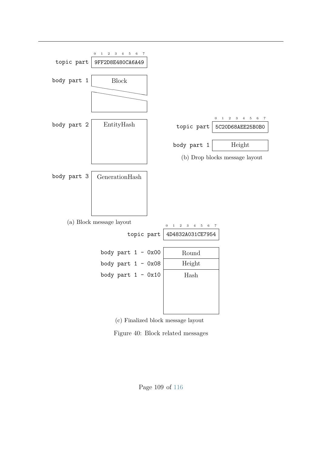<span id="page-115-0"></span>

(c) Finalized block message layout

Figure 40: Block related messages

Page 109 of [116](#page-122-0)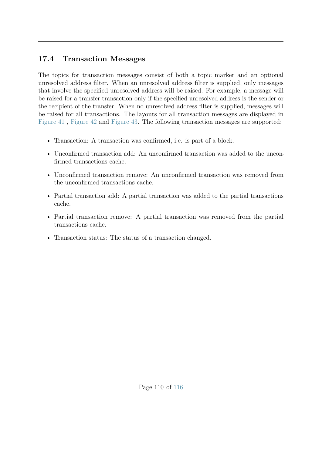### **17.4 Transaction Messages**

The topics for transaction messages consist of both a topic marker and an optional unresolved address filter. When an unresolved address filter is supplied, only messages that involve the specified unresolved address will be raised. For example, a message will be raised for a transfer transaction only if the specified unresolved address is the sender or the recipient of the transfer. When no unresolved address filter is supplied, messages will be raised for all transactions. The layouts for all transaction messages are displayed in [Figure 41](#page-117-0) , [Figure 42](#page-118-0) and [Figure 43.](#page-119-0) The following transaction messages are supported:

- Transaction: A transaction was confirmed, i.e. is part of a block.
- Unconfirmed transaction add: An unconfirmed transaction was added to the unconfirmed transactions cache.
- Unconfirmed transaction remove: An unconfirmed transaction was removed from the unconfirmed transactions cache.
- Partial transaction add: A partial transaction was added to the partial transactions cache.
- Partial transaction remove: A partial transaction was removed from the partial transactions cache.
- Transaction status: The status of a transaction changed.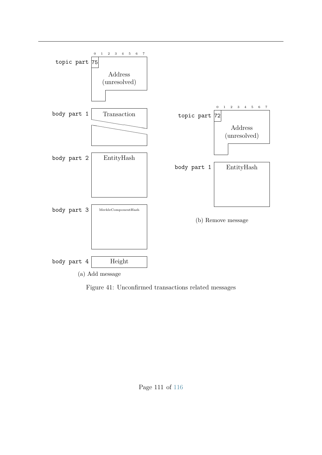<span id="page-117-0"></span>

Figure 41: Unconfirmed transactions related messages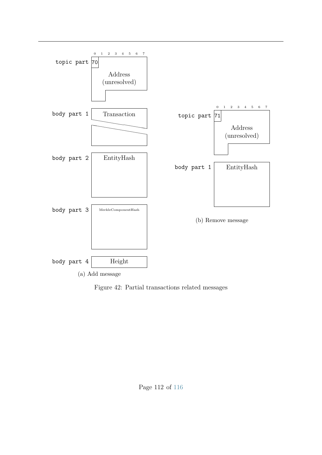<span id="page-118-0"></span>

Figure 42: Partial transactions related messages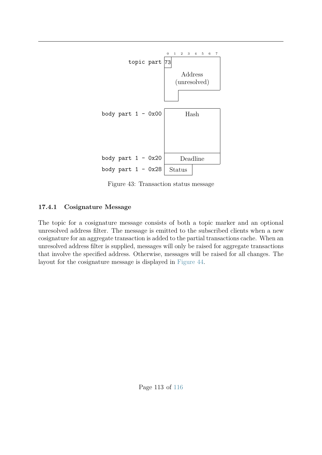<span id="page-119-0"></span>

Figure 43: Transaction status message

#### **17.4.1 Cosignature Message**

The topic for a cosignature message consists of both a topic marker and an optional unresolved address filter. The message is emitted to the subscribed clients when a new cosignature for an aggregate transaction is added to the partial transactions cache. When an unresolved address filter is supplied, messages will only be raised for aggregate transactions that involve the specified address. Otherwise, messages will be raised for all changes. The layout for the cosignature message is displayed in [Figure 44.](#page-120-0)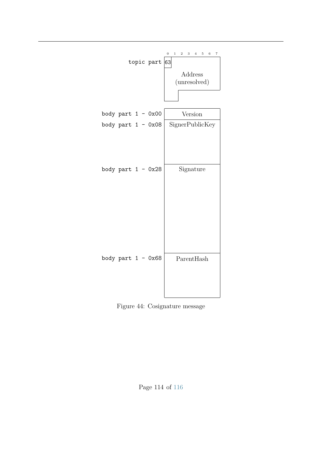<span id="page-120-0"></span>

Figure 44: Cosignature message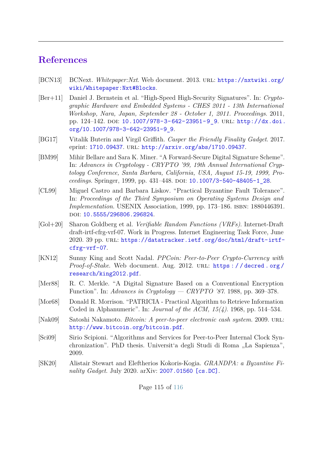## **References**

- [BCN13] BCNext. *Whitepaper:Nxt*. Web document. 2013. url: [https://nxtwiki.org/](https://nxtwiki.org/wiki/Whitepaper:Nxt#Blocks) [wiki/Whitepaper:Nxt#Blocks](https://nxtwiki.org/wiki/Whitepaper:Nxt#Blocks).
- [Ber+11] Daniel J. Bernstein et al. "High-Speed High-Security Signatures". In: *Cryptographic Hardware and Embedded Systems - CHES 2011 - 13th International Workshop, Nara, Japan, September 28 - October 1, 2011. Proceedings*. 2011, pp. 124-142. DOI: [10.1007/978-3-642-23951-9\\_9](https://doi.org/10.1007/978-3-642-23951-9_9). URL: [http://dx.doi.](http://dx.doi.org/10.1007/978-3-642-23951-9_9) [org/10.1007/978-3-642-23951-9\\_9](http://dx.doi.org/10.1007/978-3-642-23951-9_9).
- [BG17] Vitalik Buterin and Virgil Griffith. *Casper the Friendly Finality Gadget*. 2017. eprint: <1710.09437>. url: <http://arxiv.org/abs/1710.09437>.
- [BM99] Mihir Bellare and Sara K. Miner. "A Forward-Secure Digital Signature Scheme". In: *Advances in Cryptology - CRYPTO '99, 19th Annual International Cryptology Conference, Santa Barbara, California, USA, August 15-19, 1999, Proceedings.* Springer, 1999, pp. 431–448. DOI: 10.1007/3-540-48405-1 28.
- [CL99] Miguel Castro and Barbara Liskov. "Practical Byzantine Fault Tolerance". In: *Proceedings of the Third Symposium on Operating Systems Design and Implementation*. USENIX Association, 1999, pp. 173–186. ISBN: 1880446391. DOI: [10.5555/296806.296824](https://doi.org/10.5555/296806.296824).
- [Gol+20] Sharon Goldberg et al. *Verifiable Random Functions (VRFs)*. Internet-Draft draft-irtf-cfrg-vrf-07. Work in Progress. Internet Engineering Task Force, June 2020. 39 pp. URL: [https://datatracker.ietf.org/doc/html/draft-irtf](https://datatracker.ietf.org/doc/html/draft-irtf-cfrg-vrf-07)[cfrg-vrf-07](https://datatracker.ietf.org/doc/html/draft-irtf-cfrg-vrf-07).
- [KN12] Sunny King and Scott Nadal. *PPCoin: Peer-to-Peer Crypto-Currency with Proof-of-Stake.* Web document. Aug. 2012. URL: https://decred.org/ [research/king2012.pdf](https://decred.org/research/king2012.pdf).
- [Mer88] R. C. Merkle. "A Digital Signature Based on a Conventional Encryption Function". In: *Advances in Cryptology — CRYPTO '87*. 1988, pp. 369–378.
- [Mor68] Donald R. Morrison. "PATRICIA Practical Algorithm to Retrieve Information Coded in Alphanumeric". In: *Journal of the ACM, 15(4)*. 1968, pp. 514–534.
- [Nak09] Satoshi Nakamoto. *Bitcoin: A peer-to-peer electronic cash system*. 2009. url: <http://www.bitcoin.org/bitcoin.pdf>.
- <span id="page-121-0"></span>[Sci09] Sirio Scipioni. "Algorithms and Services for Peer-to-Peer Internal Clock Synchronization". PhD thesis. Universit'a degli Studi di Roma "La Sapienza", 2009.
- [SK20] Alistair Stewart and Eleftherios Kokoris-Kogia. *GRANDPA: a Byzantine Finality Gadget*. July 2020. arXiv: [2007.01560 \[cs.DC\]](https://arxiv.org/abs/2007.01560).